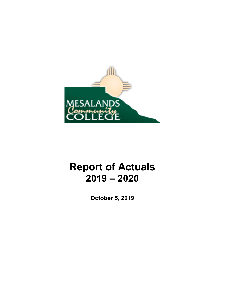

# **Report of Actuals 2019 – 2020**

**October 5, 2019**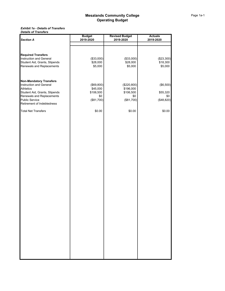#### *Exhibit 1a - Details of Transfers Details of Transfers*

|                                | <b>Budget</b> | <b>Revised Budget</b> | <b>Actuals</b> |
|--------------------------------|---------------|-----------------------|----------------|
| <b>Section A</b>               | 2019-2020     | 2019-2020             | 2019-2020      |
|                                |               |                       |                |
|                                |               |                       |                |
| <b>Required Transfers</b>      |               |                       |                |
| Instruction and General        | (\$33,000)    | (\$33,000)            | (\$23,300)     |
| Student Aid, Grants, Stipends  | \$28,000      | \$28,000              | \$18,300       |
| Renewals and Replacements      | \$5,000       | \$5,000               | \$5,000        |
|                                |               |                       |                |
|                                |               |                       |                |
| <b>Non-Mandatory Transfers</b> |               |                       |                |
| Instruction and General        | (\$69,800)    | (\$220,800)           | (\$6,500)      |
| <b>Athletics</b>               | \$45,000      | \$196,000             |                |
| Student Aid, Grants, Stipends  | \$106,500     | \$106,500             | \$55,320       |
| Renewals and Replacements      | \$0           | \$0                   | \$0            |
| Public Service                 | (\$81,700)    | (\$81,700)            | (\$48,820)     |
| Retirement of Indebtedness     |               |                       |                |
| <b>Total Net Transfers</b>     | \$0.00        | \$0.00                | \$0.00         |
|                                |               |                       |                |
|                                |               |                       |                |
|                                |               |                       |                |
|                                |               |                       |                |
|                                |               |                       |                |
|                                |               |                       |                |
|                                |               |                       |                |
|                                |               |                       |                |
|                                |               |                       |                |
|                                |               |                       |                |
|                                |               |                       |                |
|                                |               |                       |                |
|                                |               |                       |                |
|                                |               |                       |                |
|                                |               |                       |                |
|                                |               |                       |                |
|                                |               |                       |                |
|                                |               |                       |                |
|                                |               |                       |                |
|                                |               |                       |                |
|                                |               |                       |                |
|                                |               |                       |                |
|                                |               |                       |                |
|                                |               |                       |                |
|                                |               |                       |                |
|                                |               |                       |                |
|                                |               |                       |                |
|                                |               |                       |                |
|                                |               |                       |                |
|                                |               |                       |                |
|                                |               |                       |                |
|                                |               |                       |                |
|                                |               |                       |                |
|                                |               |                       |                |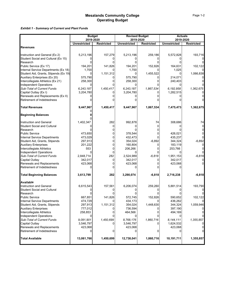### *Exhibit 1 - Summary of Current and Plant Funds*

|                                                                | <b>Budget</b>       |                   | <b>Revised Budget</b> |                   | <b>Actuals</b>      |                   |
|----------------------------------------------------------------|---------------------|-------------------|-----------------------|-------------------|---------------------|-------------------|
|                                                                | 2019-2020           |                   | 2019-2020             |                   | 2019-2020           |                   |
|                                                                | <b>Unrestricted</b> | <b>Restricted</b> | <b>Unrestricted</b>   | <b>Restricted</b> | <b>Unrestricted</b> | <b>Restricted</b> |
| <b>Revenues</b>                                                |                     |                   |                       |                   |                     |                   |
|                                                                |                     |                   |                       |                   |                     |                   |
| Instruction and General (Ex 2)                                 | 5,213,196           | 157,279           | 5,213,196             | 259,186           | 5,572,828           | 193,716           |
| Student Social and Cultural (Ex 15)                            |                     | 0                 |                       | 0                 |                     |                   |
| Research                                                       |                     |                   |                       |                   |                     |                   |
| Public Service (Ex 17)<br>Internal Service Departments (Ex 18) | 194,201             | 141,826           | 194,201               | 152,826           | 164,631             | 102,122           |
| Student Aid, Grants, Stipends (Ex 19)                          | 1,700<br>0          | 1,151,312         | 1,700<br>0            | 1,455,522         | 1,025<br>O          | 1,066,838         |
| Auxiliary Enterprises (Ex 20)                                  | 575,790             |                   | 575,790               |                   | 214,071             |                   |
| Intercollegiate Athletics (Ex 21)                              | 258,300             |                   | 258,300               |                   | 240,403             |                   |
| <b>Independent Operations</b>                                  |                     |                   |                       |                   |                     |                   |
| Sub-Total of Current Funds                                     | 6,243,187           | 1,450,417         | 6,243,187             | 1,867,534         | 6,192,958           | 1,362,675         |
| Capital Outlay (Ex I)                                          | 3,204,780           |                   | 3,204,780             |                   | 1,282,515           |                   |
| Renewals and Replacements (Ex II)                              |                     |                   |                       |                   |                     |                   |
| Retirement of Indebtedness                                     |                     |                   |                       |                   |                     |                   |
|                                                                |                     |                   |                       |                   |                     |                   |
| <b>Total Revenues</b>                                          | 9,447,967           | 1,450,417         | 9,447,967             | 1,867,534         | 7,475,473           | 1,362,675         |
| <b>Beginning Balances</b>                                      |                     |                   |                       |                   |                     |                   |
|                                                                |                     |                   |                       |                   |                     |                   |
| <b>Instruction and General</b>                                 | 1,402,347           | 282               | 992,878               | 74                | 308,686             | 74                |
| <b>Student Social and Cultural</b>                             |                     | 0                 |                       | n                 |                     |                   |
| Research                                                       |                     | 0                 |                       |                   |                     |                   |
| <b>Public Service</b>                                          | 473,650             | 0                 | 378,544               |                   | 426.021             |                   |
| <b>Internal Service Departments</b>                            | 473,029             | 0                 | 432,473               |                   | 435,237             |                   |
| Student Aid, Grants, Stipends                                  | 297,913             | 0                 | 354,024               | $-6,892$          | 344,324             | $-6,892$          |
| <b>Auxiliary Enterprises</b>                                   | 201,222             | 0                 | 160,804               | 0                 | 183,119             |                   |
| Intercollegiate Athletics                                      | 553                 | 0                 | 206,266               |                   | 253,766             |                   |
| <b>Independent Operations</b>                                  |                     | $\Omega$          |                       |                   |                     |                   |
| Sub-Total of Current Funds                                     | 2,848,714           | 282               | 2,524,989             | $-6,818$          | 1,951,153           | $-6,818$          |
| <b>Capital Outlay</b>                                          | 342,017             | 0                 | 342,017               |                   | 342,017             |                   |
| Renewals and Replacements                                      | 423,068             | 0                 | 423,068               |                   | 423,068             |                   |
| Retirement of Indebtedness                                     |                     |                   |                       |                   |                     |                   |
| <b>Total Beginning Balances</b>                                | 3,613,799           | 282               | 3,290,074             | $-6,818$          | 2,716,238           | $-6,818$          |
| Available                                                      |                     |                   |                       |                   |                     |                   |
| Instruction and General                                        | 6,615,543           | 157,561           | 6,206,074             | 259,260           | 5,881,514           | 193,790           |
| <b>Student Social and Cultural</b>                             |                     |                   |                       |                   |                     |                   |
| Research                                                       |                     |                   |                       |                   |                     |                   |
| Public Service                                                 | 667,851             | 141,826           | 572,745               | 152,826           | 590,652             | 102,122           |
| Internal Service Departments                                   | 474,729             |                   | 434,173               |                   | 436,262             |                   |
| Student Aid, Grants, Stipends                                  | 297,913             | 1,151,312         | 354,024               | 1,448,630         | 344,324             | 1,059,946         |
| <b>Auxiliary Enterprises</b>                                   | 777,012             |                   | 736,594               |                   | 397,190             |                   |
| Intercollegiate Athletics                                      | 258,853             |                   | 464,566               |                   | 494,169             |                   |
| <b>Independent Operations</b>                                  | 0                   |                   |                       |                   |                     |                   |
| Sub-Total of Current Funds                                     | 9,091,901           | 1,450,699         | 8,768,176             | 1,860,716         | 8,144,111           | 1,355,857         |
| <b>Capital Outlay</b><br>Renewals and Replacements             | 3,546,797           |                   | 3,546,797             |                   | 1,624,532           |                   |
| Retirement of Indebtedness                                     | 423,068             | 0                 | 423,068               | 0                 | 423,068             |                   |
| <b>Total Available</b>                                         | 13,061,766          | 1,450,699         | 12,738,041            | 1,860,716         | 10,191,711          | 1,355,857         |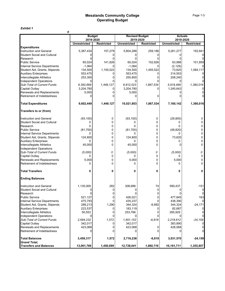*Exhibit 1*

|                                                         | 0                          |                   |                                    |                   |                     |                             |
|---------------------------------------------------------|----------------------------|-------------------|------------------------------------|-------------------|---------------------|-----------------------------|
|                                                         | <b>Budget</b><br>2019-2020 |                   | <b>Revised Budget</b><br>2019-2020 |                   |                     | <b>Actuals</b><br>2019-2020 |
|                                                         | <b>Unrestricted</b>        | <b>Restricted</b> | <b>Unrestricted</b>                | <b>Restricted</b> | <b>Unrestricted</b> | <b>Restricted</b>           |
| <b>Expenditures</b>                                     |                            |                   |                                    |                   |                     |                             |
| <b>Instruction and General</b>                          | 5,387,434                  | 157,279           | 5,804,288                          | 259,186           | 5,261,277           | 193,941                     |
| Student Social and Cultural                             |                            |                   |                                    |                   |                     |                             |
| Research                                                |                            | U                 | 0                                  | 0                 |                     |                             |
| <b>Public Service</b>                                   | 65,024                     | 141,826           | 65,024                             | 152,826           | 63,988              | 101,959                     |
| <b>Internal Service Departments</b>                     | $-1,064$                   |                   | $-1,064$                           |                   | (2, 129)            |                             |
| Student Aid, Grants, Stipends                           | 134,500                    | 1,150,022         | 134,500                            | 1,455,522         | 73,620              | 1,084,117                   |
| <b>Auxiliary Enterprises</b>                            | 553,475                    |                   | 553,475                            |                   | 314,503             |                             |
| Intercollegiate Athletics                               | 253,300                    | U                 | 255,800                            | 0                 | 208,240             |                             |
| <b>Independent Operations</b>                           |                            |                   |                                    |                   |                     |                             |
| Sub-Total of Current Funds                              | 6,392,669                  | 1,449,127         | 6,812,023                          | 1,867,534         | 5,919,499           | 1,380,016                   |
| Capital Outlay                                          | 3,204,780                  |                   | 3,204,780                          |                   | 1,240,643           |                             |
| Renewals and Replacements                               | 5,000                      |                   | 5,000                              |                   |                     |                             |
| Retirement of Indebtedness                              |                            |                   |                                    | 0                 |                     |                             |
| <b>Total Expenditures</b>                               | 9,602,449                  | 1,449,127         | 10,021,803                         | 1,867,534         | 7,160,142           | 1,380,016                   |
| Transfers to or (from)                                  |                            |                   |                                    |                   |                     |                             |
| Instruction and General                                 | (93, 100)                  | 0                 | (93, 100)                          | 0                 | (29, 800)           | 0                           |
| <b>Student Social and Cultural</b>                      | 0                          | 0                 | 0                                  | 0                 | O                   | 0                           |
| Research                                                | 0                          | 0                 | 0                                  | 0                 |                     | 0                           |
| <b>Public Service</b>                                   | (81, 700)                  | 0                 | (81, 700)                          | 0                 | (48, 820)           |                             |
| <b>Internal Service Departments</b>                     | 0                          | 0                 | 0                                  | 0                 |                     | 0                           |
| Student Aid, Grants, Stipends                           | 124,800                    | 0                 | 124,800                            | 0                 | 73,620              | 0                           |
| <b>Auxiliary Enterprises</b>                            | 0                          | 0                 |                                    | 0                 |                     | 0                           |
| Intercollegiate Athletics                               | 45,000                     | 0                 | 45,000                             | 0                 |                     | 0                           |
| <b>Independent Operations</b>                           |                            |                   |                                    |                   |                     |                             |
| Sub-Total of Current Funds                              | (5,000)                    | 0                 | (5,000)                            | 0                 | (5,000)             | 0                           |
| Capital Outlay                                          | 0                          | 0                 | 0                                  | $\Omega$          | 0                   | 0                           |
| Renewals and Replacements                               | 5,000                      | 0                 | 5,000                              | 0                 | 5,000               | 0                           |
| Retirement of Indebtedness                              | $\Omega$                   | $\Omega$          | 0                                  | 0                 | 0                   | 0                           |
| <b>Total Transfers</b>                                  | 0                          | 0                 | 0                                  | 0                 | 0                   | 0                           |
| <b>Ending Balances</b>                                  |                            |                   |                                    |                   |                     |                             |
| Instruction and General                                 | 1,135,009                  | 282               | 308,686                            | 74                | 590,437             | $-151$                      |
| <b>Student Social and Cultural</b>                      |                            |                   | 0                                  | 0                 |                     | 0                           |
| Research                                                |                            |                   |                                    | <sup>0</sup>      |                     |                             |
| Public Service                                          | 521,127                    | 0                 | 426,021                            | 0                 | 477,845             | 163                         |
| <b>Internal Service Departments</b>                     | 475,793                    |                   | 435,237                            |                   | 438,390             | $\overline{0}$              |
| Student Aid, Grants, Stipends                           | 288,213                    | 1,290             | 344,324                            | $-6,892$          | 344,324             | $-24,171$                   |
| <b>Auxiliary Enterprises</b>                            | 223,537                    | 0                 | 183,119                            | 0                 | 82,687              |                             |
| Intercollegiate Athletics                               | 50,553                     | 0                 | 253,766                            | 0                 | 285,929             | 0                           |
| Independent Operations                                  |                            |                   |                                    |                   |                     | 0                           |
| Sub-Total of Current Funds                              | 2,694,232                  | 1,572             | 1,951,153                          | $-6,818$          | 2,219,612           | $-24, 159$                  |
| Capital Outlay                                          | 342,017                    |                   | 342,017                            |                   | 383,890             |                             |
| Renewals and Replacements<br>Retirement of Indebtedness | 423,068                    | 0<br>0            | 423,068                            | 0<br>0            | 428,068             | 0<br>$\overline{0}$         |
| <b>Total Balances</b>                                   | 3,459,317                  | 1,572             | 2,716,238                          | $-6,818$          | 3,031,570           | $-24,159$                   |
| <b>Grand Total,</b>                                     |                            |                   |                                    |                   |                     |                             |
| <b>Transfers and Balances</b>                           | 13,061,766                 | 1,450,699         | 12,738,041                         | 1,860,716         | 10,191,711          | 1,355,857                   |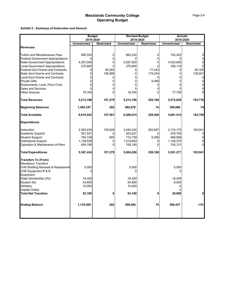*Exhibit 2 - Summary of Instruction and General*

|                                                                                    |                     | <b>Budget</b>     |                     | <b>Revised Budget</b> |                     | <b>Actuals</b>    |
|------------------------------------------------------------------------------------|---------------------|-------------------|---------------------|-----------------------|---------------------|-------------------|
|                                                                                    | 2019-2020           |                   | 2019-2020           |                       |                     | 2019-2020         |
|                                                                                    | <b>Unrestricted</b> | <b>Restricted</b> | <b>Unrestricted</b> | <b>Restricted</b>     | <b>Unrestricted</b> | <b>Restricted</b> |
| <b>Revenues</b>                                                                    |                     |                   |                     |                       |                     |                   |
|                                                                                    |                     |                   |                     |                       |                     |                   |
| Tuition and Miscellaneous Fees                                                     | 660,332<br>∩        | 0<br>0            | 660,332             | 0<br>0                | 742,454             | 0<br>0            |
| <b>Federal Government Appropriations</b><br><b>State Government Appropriations</b> | 4,257,500           | 0                 | 4,257,500           | 0                     | 4,432,500           | 0                 |
| <b>Local Government Appropriations</b>                                             | 275,600             | 0                 | 275,600             | $\Omega$              | 320,119             | $\Omega$          |
| <b>Federal Govt Grants and Contracts</b>                                           | 0                   | 50,293            | 0                   | 77,443                | $\Omega$            | 65,165            |
| State Govt Grants and Contracts                                                    | 0                   | 106,986           | 0                   | 175,244               | $\Omega$            | 128,551           |
| <b>Local Govt Grants and Contracts</b>                                             | U                   |                   | 0                   |                       | 0                   | 0                 |
| Private Gifts                                                                      |                     | 0                 | 0                   | 6,499                 | 0                   | $\mathbf 0$       |
| Endowments, Land, Perm Fund                                                        |                     |                   |                     |                       |                     | 0                 |
| <b>Sales and Services</b>                                                          |                     | 0                 |                     | 0                     |                     |                   |
| <b>Other Sources</b>                                                               | 19,764              | $\Omega$          | 19,764              |                       | 77,756              | $\Omega$          |
|                                                                                    |                     |                   |                     |                       |                     |                   |
| <b>Total Revenues</b>                                                              | 5,213,196           | 157,279           | 5,213,196           | 259,186               | 5,572,828           | 193,716           |
| <b>Beginning Balances</b>                                                          | 1,402,347           | 282               | 992,878             | 74                    | 308,686             | 74                |
| <b>Total Available</b>                                                             | 6,615,543           | 157,561           | 6,206,074           | 259,260               | 5,881,514           | 193,790           |
| <b>Expenditures</b>                                                                |                     |                   |                     |                       |                     |                   |
| Instruction                                                                        | 2,305,434           | 156,629           | 2,440,434           | 252,687               | 2,174,170           | 193,941           |
| Academic Support                                                                   | 551,527             |                   | 623,227             |                       | 576,793             |                   |
| <b>Student Support</b>                                                             | 784,739             | 650               | 714,739             | 6,499                 | 668,809             |                   |
| Institutional Support                                                              | 1,139,539           | 0                 | 1,319,693           | 0                     | 1,136,375           |                   |
| Operation & Maintenance of Plant                                                   | 606,195             | 0                 | 706,195             | 0                     | 705,131             |                   |
| <b>Total Expenditures</b>                                                          | 5,387,434           | 157,279           | 5,804,288           | 259,186               | 5,261,277           | 193,941           |
| <b>Transfers To (From)</b>                                                         |                     |                   |                     |                       |                     |                   |
| <b>Mandatory Transfers</b>                                                         |                     |                   |                     |                       |                     |                   |
| CHE Building Renewal & Replacemer                                                  | 5,000               |                   | 5,000               |                       | 5,000               |                   |
| CHE Equipment R & R                                                                |                     |                   |                     |                       |                     |                   |
| Equipment                                                                          |                     |                   |                     |                       |                     |                   |
| State Scholarship (3%)                                                             | 18,300              |                   | 18,300              |                       | 18,300              |                   |
| Student Aid                                                                        | 54,800              |                   | 54,800              |                       | 6,500               |                   |
| Athletics                                                                          | 15,000              |                   | 15,000              |                       |                     |                   |
| Capital Outlay                                                                     |                     | O                 |                     | U                     |                     |                   |
| <b>Total Net Transfers</b>                                                         | 93,100              |                   | 93,100              |                       | 29,800              | 0                 |
| <b>Ending Balance</b>                                                              | 1,135,009           | 282               | 308,686             | 74                    | 590,437             | $-151$            |
|                                                                                    |                     |                   |                     |                       |                     |                   |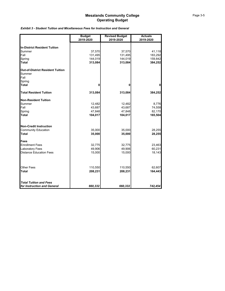|  | <b>Exhibit 3 - Student Tuition and Micellaneous Fees for Instruction and General</b> |  |  |  |
|--|--------------------------------------------------------------------------------------|--|--|--|
|--|--------------------------------------------------------------------------------------|--|--|--|

|                                         | <b>Budget</b><br>2019-2020 | <b>Revised Budget</b><br>2019-2020 | <b>Actuals</b><br>2019-2020 |
|-----------------------------------------|----------------------------|------------------------------------|-----------------------------|
| <b>In-District Resident Tuition</b>     |                            |                                    |                             |
| Summer                                  | 37,570                     | 37,570                             | 41,118                      |
| Fall                                    | 131,495                    | 131,495                            | 183,292                     |
| Spring                                  | 144,019                    | 144,019                            | 159,842                     |
| <b>Total</b>                            | 313,084                    | 313,084                            | 384,252                     |
| <b>Out-of-District Resident Tuition</b> |                            |                                    |                             |
| Summer                                  |                            |                                    |                             |
| Fall                                    |                            |                                    |                             |
| Spring                                  |                            |                                    |                             |
| <b>Total</b>                            | 0                          | 0                                  | $\mathbf 0$                 |
| <b>Total Resident Tuition</b>           | 313,084                    | 313,084                            | 384,252                     |
| <b>Non-Resident Tuition</b>             |                            |                                    |                             |
| Summer                                  | 12,482                     | 12,482                             | 8,776                       |
| Fall                                    | 43,687                     | 43,687                             | 74,558                      |
| Spring                                  | 47,848                     | 47,848                             | 82,170                      |
| <b>Total</b>                            | 104,017                    | 104,017                            | 165,504                     |
| <b>Non-Credit Instruction</b>           |                            |                                    |                             |
| <b>Community Education</b>              | 35,000                     | 35,000                             | 28,255                      |
| <b>Total</b>                            | 35,000                     | 35,000                             | 28,255                      |
| <b>Fees</b>                             |                            |                                    |                             |
| <b>Enrollment Fees</b>                  | 32,775                     | 32,775                             | 23,463                      |
| <b>Laboratory Fees</b>                  | 49,906                     | 49,906                             | 60,231                      |
| <b>Distance Education Fees</b>          | 15,000                     | 15,000                             | 18,143                      |
| <b>Other Fees</b>                       | 110,550                    | 110,550                            | 62,607                      |
| <b>Total</b>                            | 208,231                    | 208,231                            | 164,443                     |
| <b>Total Tuition and Fees</b>           |                            |                                    |                             |
| for Instruction and General             | 660,332                    | 660,332                            | 742,454                     |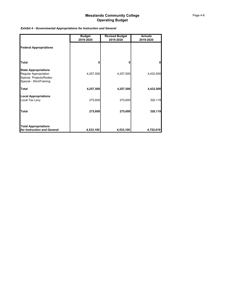### *Exhibit 4 - Governmental Appropriations for Instruction and General*

|                                                                                                          | <b>Budget</b><br>2019-2020 | <b>Revised Budget</b><br>2019-2020 | <b>Actuals</b><br>2019-2020 |
|----------------------------------------------------------------------------------------------------------|----------------------------|------------------------------------|-----------------------------|
| <b>Federal Appropriations</b>                                                                            |                            |                                    |                             |
| <b>Total</b>                                                                                             | n                          | n                                  | $\mathbf{0}$                |
| <b>State Appropriations</b><br>Regular Appropriation<br>Special Projects/Rodeo<br>Special - WindTraining | 4,257,500                  | 4,257,500                          | 4,432,500                   |
| <b>Total</b>                                                                                             | 4,257,500                  | 4,257,500                          | 4,432,500                   |
| <b>Local Appropriations</b><br>Local Tax Levy                                                            | 275,600                    | 275,600                            | 320,119                     |
| <b>Total</b>                                                                                             | 275,600                    | 275,600                            | 320,119                     |
| <b>Total Appropriations</b><br>for Instruction and General                                               | 4,533,100                  | 4,533,100                          | 4,752,619                   |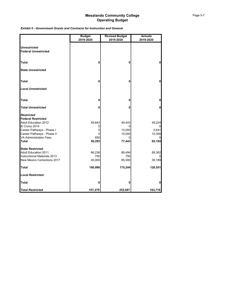|                                                                                                                                                                                                             | <b>Budget</b><br>2019-2020             | <b>Revised Budget</b><br>2019-2020             | <b>Actuals</b><br>2019-2020                   |  |
|-------------------------------------------------------------------------------------------------------------------------------------------------------------------------------------------------------------|----------------------------------------|------------------------------------------------|-----------------------------------------------|--|
| <b>Unrestricted</b><br><b>Federal Unrestricted</b>                                                                                                                                                          |                                        |                                                |                                               |  |
| <b>Total</b>                                                                                                                                                                                                | 0                                      | 0                                              | 0                                             |  |
| <b>State Unrestricted</b>                                                                                                                                                                                   |                                        |                                                |                                               |  |
| <b>Total</b>                                                                                                                                                                                                | 0                                      | 0                                              | 0                                             |  |
| <b>Local Unrestricted</b>                                                                                                                                                                                   |                                        |                                                |                                               |  |
| <b>Total</b>                                                                                                                                                                                                | 0                                      | 0                                              | 0                                             |  |
| <b>Total Unrestricted</b>                                                                                                                                                                                   | 0                                      | 0                                              | 0                                             |  |
| <b>Restricted</b><br><b>Federal Restricted</b><br><b>Adult Education 2012</b><br>El Civics 2014<br>Career Pathways - Phase I<br>Career Pathways - Phase II<br><b>VA Administration Fees</b><br><b>Total</b> | 49,643<br>0<br>0<br>0<br>650<br>50,293 | 49,443<br>0<br>13,000<br>15,000<br>0<br>77,443 | 49,224<br>0<br>5,641<br>10,300<br>0<br>65,165 |  |
| <b>State Restricted</b><br><b>Adult Education 2011</b><br>Instructional Materials 2013<br>New Mexico Corrections 2017                                                                                       | 66,236<br>750<br>40,000                | 89,494<br>750<br>85,000                        | 89,362<br>39,189                              |  |
| <b>Total</b>                                                                                                                                                                                                | 106,986                                | 175,244                                        | 128,551                                       |  |
| <b>Local Restricted</b>                                                                                                                                                                                     |                                        |                                                |                                               |  |
| <b>Total</b>                                                                                                                                                                                                | 0                                      | 0                                              | 0                                             |  |

*Total Restricted 157,279 252,687 193,716*

### *Exhibit 5 - Government Grants and Contracts for Instruction and General*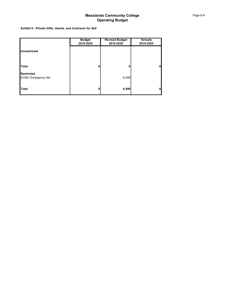*Exhibit 6 - Private Gifts, Grants, and Contracts for I&G*

|                                                | <b>Budget</b><br>2019-2020 | <b>Revised Budget</b><br>2019-2020 | <b>Actuals</b><br>2019-2020 |
|------------------------------------------------|----------------------------|------------------------------------|-----------------------------|
| <b>Unrestricted</b>                            |                            |                                    |                             |
|                                                |                            |                                    |                             |
| Total                                          | 0                          | 0                                  | 0                           |
| <b>Restricted</b><br><b>ECMC Emergency Aid</b> |                            | 6,499                              |                             |
| Total                                          | 0                          | 6,499                              | 0                           |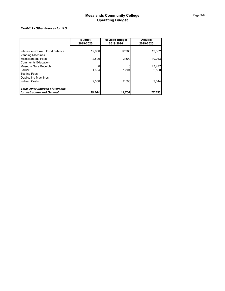#### *Exhibit 9 - Other Sources for I&G*

|                                                                      | <b>Budget</b><br>2019-2020 | <b>Revised Budget</b><br>2019-2020 | <b>Actuals</b><br>2019-2020 |
|----------------------------------------------------------------------|----------------------------|------------------------------------|-----------------------------|
| Interest on Current Fund Balance                                     | 12,960                     | 12,960                             | 19,332                      |
| <b>Vending Machines</b>                                              |                            |                                    |                             |
| Miscellaneous Fees<br><b>Community Education</b>                     | 2,500                      | 2,500                              | 10,043                      |
| <b>Museum Gate Receipts</b>                                          |                            |                                    | 43,477                      |
| Farrier<br><b>Testing Fees</b>                                       | 1.804                      | 1.804                              | 2.560                       |
| <b>Duplicating Machines</b>                                          |                            |                                    |                             |
| <b>Indirect Costs</b>                                                | 2,500                      | 2,500                              | 2,344                       |
| <b>Total Other Sources of Revenue</b><br>for Instruction and General | 19,764                     | 19.764                             | 77,756                      |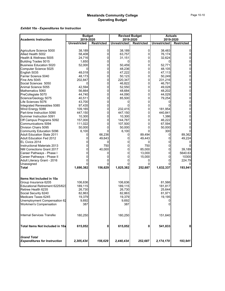|                                                           | <b>Budget</b>       |                   | <b>Revised Budget</b> |                   | <b>Actuals</b>      |                   |
|-----------------------------------------------------------|---------------------|-------------------|-----------------------|-------------------|---------------------|-------------------|
| <b>Academic Instruction</b>                               | 2019-2020           |                   | 2019-2020             |                   | 2019-2020           |                   |
|                                                           | <b>Unrestricted</b> | <b>Restricted</b> | <b>Unrestricted</b>   | <b>Restricted</b> | <b>Unrestricted</b> | <b>Restricted</b> |
| Agriculture Science 5000                                  | 38,189              | 0                 | 38,189                | 0                 | 38,483              |                   |
| Allied Health 5002                                        | 58,408              | 0                 | 63,757                | 0                 | 76,174              | 0                 |
| Health & Wellness 5005                                    | 24,716              | $\mathbf 0$       | 31,151                | 0                 | 32,624              | $\mathbf 0$       |
| <b>Building Trades 5015</b>                               | 1,650               | 0                 | O                     | 0                 |                     | 0                 |
| <b>Business Education 5020</b>                            | 52,000              | 0                 | 50,459                | 0                 | 52,771              | $\mathbf{0}$      |
| Computer Science 5025                                     | 0                   | $\mathbf 0$       | 48,236                | 0                 | 48,105              | 0                 |
| English 5035                                              | 48,018              | 0                 | 47,222                | 0                 | 47,113              | 0                 |
| Farrier Science 5040                                      | 48,173              | 0                 | 50,123                | 0                 | 50,249              | $\mathbf{0}$      |
| Fine Arts 5045                                            | 202,847             | 0                 | 220,347               | 0                 | 231,216             | 0                 |
| Social Sciences 5050                                      | 0                   | 0                 | 46,822                | 0                 | 46,791              | 0                 |
| Animal Science 5055                                       | 42,594              | 0                 | 52,550                | 0                 | 49,028              | 0                 |
| Mathematics 5060                                          | 56,664              | 0                 | 48,684                | 0                 | 48,202              | 0                 |
| PreCollegiate 5070                                        | 44,740              | 0                 | 44,090                | 0                 | 44,029              | 0                 |
| Science/Geology 5075                                      | 40,511              | 0                 | 85,500                | 0                 | 79,254              | 0                 |
| Life Sciences 5076                                        | 43,700              | 0                 |                       | 0                 |                     | 0                 |
| Integrated Renewables 5085                                | 97,435              | 0                 |                       | 0                 |                     | 0                 |
| Wind Energy 5088                                          | 109,165             | 0                 | 232,415               | 0                 | 181,954             | 0                 |
| Part-time Instruction 5090                                | 447,150             | 0                 | 447,150               | 0                 | 440,841             | 0                 |
| Summer Instruction 5091                                   | 10,300              | 0                 | 10,300                | 0                 | 1,386               | 0                 |
| Off Campus Programs 5092                                  | 157,000             | 0                 | 144,787               | 0                 | 46,222              | 0                 |
| Communications 5094                                       | 111,022             | 0                 | 107,500               | 0                 | 67,594              |                   |
| Division Chairs 5095                                      | 50,000              | O                 | 50,000                | 0                 | 50,000              |                   |
| Community Education 5096                                  | 6,100               | <sup>0</sup>      | 6,100                 |                   | 300                 |                   |
| <b>Adult Education State 2011</b>                         | 0                   | 66,236            | 0                     | 89,494            | 0                   | 89,362            |
| <b>Adult Education Fed 2012</b>                           | 0                   | 49,643            | 0                     | 49,443            | 0                   | 49,224            |
| EL Civics 2014                                            | 0                   | 0                 | 0                     | 0                 | 0                   |                   |
| Instructional Materials 2013                              | 0                   | 750               | 0                     | 750               | 0                   |                   |
| NM Corrections Grant 2017                                 | 0                   | 40,000            | 0                     | 85,000            | 0                   | 39,189            |
| Career Pathways - Phase I                                 | 0                   | 0                 | 0                     | 13,000            | 0                   | 5640.63           |
| Career Pathways - Phase II                                |                     |                   | 0                     | 15,000            | 0                   | 10300             |
| Adult Literacy Grant - 2016                               |                     |                   |                       | 0                 |                     | 224.79            |
| Unassigned                                                |                     |                   |                       | 0                 |                     |                   |
| <b>Total</b>                                              | 1,690,382           | 156,629           | 1,825,382             | 252,687           | 1,632,337           | 193,941           |
| Items Not Included in 10a                                 |                     |                   |                       |                   |                     |                   |
| Group Insurance 6205                                      | 106,636             |                   | 106,636               |                   | 81,566              |                   |
| Educational Retirement 6225/623                           | 189,115             |                   | 189,115               |                   | 181,817             |                   |
| Retiree Health 6235                                       | 26,730              |                   | 26,730                |                   | 25,644              |                   |
| Social Security 6240                                      | 82,863              |                   | 82,863                |                   | 81,971              |                   |
| Medicare Taxes 6245                                       | 19,379              |                   | 19,379                |                   | 19,195              |                   |
| Unemployment Compensation 62                              | 9,692               |                   | 9,692                 |                   | 0                   |                   |
| <b>Workmen's Compensation</b>                             | 387                 |                   | 387                   |                   | 0                   |                   |
| <b>Internal Services Transfer</b>                         | 180,250             |                   | 180,250               |                   | 151,640             |                   |
| Total Items Not Included in 10a                           | 615,052             | 0                 | 615,052               | 0                 | 541,833             | 0                 |
| <b>Grand Total</b><br><b>Expenditures for Instruction</b> | 2,305,434           | 156,629           | 2,440,434             | 252,687           | 2,174,170           | 193,941           |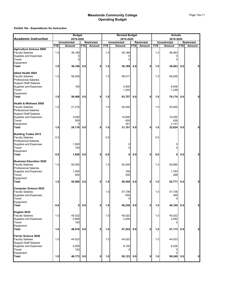|                                                  | <b>Budget</b> |                                  |            |                   |            | <b>Revised Budget</b>            |            | <b>Actuals</b>    |            |                                  |            |                   |
|--------------------------------------------------|---------------|----------------------------------|------------|-------------------|------------|----------------------------------|------------|-------------------|------------|----------------------------------|------------|-------------------|
| <b>Academic Instruction</b>                      |               | 2019-2020<br><b>Unrestricted</b> |            | <b>Restricted</b> |            | 2019-2020<br><b>Unrestricted</b> |            | <b>Restricted</b> |            | 2019-2020<br><b>Unrestricted</b> |            | <b>Restricted</b> |
|                                                  | <b>FTE</b>    | Amount                           | <b>FTE</b> | Amount            | <b>FTE</b> | Amount                           | <b>FTE</b> | Amount            | <b>FTE</b> | Amount                           | <b>FTE</b> | Amount            |
| <b>Agriculture Science 5000</b>                  |               |                                  |            |                   |            |                                  |            |                   |            |                                  |            |                   |
| <b>Faculty Salaries</b><br>Supplies and Expenses | 1.0           | 38,189<br>0                      |            |                   | 1.0        | 38,189<br>$\Omega$               |            |                   | 1.0        | 38,483<br>0                      |            |                   |
| Travel                                           |               | 0                                |            |                   |            | $\Omega$                         |            |                   |            | $\overline{0}$                   |            |                   |
| Equipment                                        |               |                                  |            |                   |            |                                  |            |                   |            |                                  |            |                   |
| <b>Total</b>                                     | 1.0           | 38,189                           | 0.0        | 0                 | 1.0        | 38,189                           | 0.0        | 0                 | 1.0        | 38,483                           | 0.0        | 0                 |
|                                                  |               |                                  |            |                   |            |                                  |            |                   |            |                                  |            |                   |
| Allied Health 5002<br><b>Faculty Salaries</b>    |               | 58,258                           |            |                   |            | 58,017                           |            |                   |            | 65,000                           |            |                   |
| <b>Professional Salaries</b>                     | 1.0           |                                  |            |                   | 1.0        |                                  |            |                   | 1.0        |                                  |            |                   |
| <b>Support Staff Salaries</b>                    |               |                                  |            |                   |            |                                  |            |                   |            |                                  |            |                   |
| Supplies and Expenses                            |               | 150                              |            |                   |            | 4,500                            |            |                   |            | 9,936                            |            |                   |
| Travel                                           |               |                                  |            |                   |            | 1,240                            |            |                   |            | 1,238                            |            |                   |
| Equipment                                        |               |                                  |            |                   |            |                                  |            |                   |            |                                  |            |                   |
| <b>Total</b>                                     | 1.0           | 58,408                           | 0.0        | 0                 | 1.0        | 63,757                           | 0.0        | 0                 | 1.0        | 76,174                           | 0.0        | $\mathbf{0}$      |
| <b>Health &amp; Wellness 5005</b>                |               |                                  |            |                   |            |                                  |            |                   |            |                                  |            |                   |
| <b>Faculty Salaries</b>                          | 1.0           | 21,216                           |            |                   | 1.0        | 20,400                           |            |                   | 1.0        | 20,000                           |            |                   |
| <b>Professional Salaries</b>                     |               |                                  |            |                   |            |                                  |            |                   |            |                                  |            |                   |
| <b>Support Staff Salaries</b>                    |               |                                  |            |                   |            |                                  |            |                   |            |                                  |            |                   |
| Supplies and Expenses                            |               | 3,000                            |            |                   |            | 10,000                           |            |                   |            | 10,050                           |            |                   |
| Travel                                           |               | 500                              |            |                   |            | 400                              |            |                   |            | 426                              |            |                   |
| Equipment                                        | 1.0           |                                  |            | 0                 | 1.0        | 351                              |            | 0                 |            | 2,147                            |            | 0                 |
| <b>Total</b>                                     |               | 24,716                           | 0.0        |                   |            | 31,151                           | 0.0        |                   | 1.0        | 32,624                           | 0.0        |                   |
| <b>Building Trades 5015</b>                      |               |                                  |            |                   |            |                                  |            |                   |            |                                  |            |                   |
| <b>Faculty Salaries</b>                          | 0.0           |                                  |            |                   | 0.0        |                                  |            |                   | 0.0        |                                  |            |                   |
| <b>Professional Salaries</b>                     |               |                                  |            |                   |            |                                  |            |                   |            |                                  |            |                   |
| Supplies and Expenses                            |               | 1,500                            |            |                   |            | 0                                |            |                   |            | $\overline{0}$                   |            |                   |
| Travel                                           |               | 150                              |            |                   |            | $\Omega$                         |            |                   |            | $\Omega$                         |            |                   |
| Equipment<br><b>Total</b>                        | 0.0           | 1,650                            | 0.0        | 0                 | 0.0        | 0                                | 0.0        | 0                 | 0.0        | 0                                | 0.0        | 0                 |
|                                                  |               |                                  |            |                   |            |                                  |            |                   |            |                                  |            |                   |
| <b>Business Education 5020</b>                   |               |                                  |            |                   |            |                                  |            |                   |            |                                  |            |                   |
| <b>Faculty Salaries</b>                          | 1.0           | 50,000                           |            |                   | 1.0        | 50,000                           |            |                   | 1.0        | 50,690                           |            |                   |
| <b>Professional Salaries</b>                     |               |                                  |            |                   |            |                                  |            |                   |            |                                  |            |                   |
| Supplies and Expenses<br>Travel                  |               | 1,500<br>500                     |            |                   |            | 159<br>300                       |            |                   |            | 1,793<br>288                     |            |                   |
| Equipment                                        |               |                                  |            |                   |            |                                  |            |                   |            |                                  |            |                   |
| Total                                            | 1.0           | 52,000                           | 0.0        | 0                 | 1.0        | 50,459                           | 0.0        | 0                 | 1.0        | 52,771                           | 0.0        | 0                 |
|                                                  |               |                                  |            |                   |            |                                  |            |                   |            |                                  |            |                   |
| <b>Computer Science 5025</b>                     |               |                                  |            |                   |            |                                  |            |                   |            |                                  |            |                   |
| <b>Faculty Salaries</b>                          |               |                                  |            |                   | 1.0        | 47,736                           |            |                   | 1.0        | 47,736                           |            |                   |
| Supplies and Expenses<br>Travel                  |               |                                  |            |                   |            | 500                              |            |                   |            | 369                              |            |                   |
| Equipment                                        |               |                                  |            |                   |            | 0                                |            |                   |            | 0                                |            |                   |
| <b>Total</b>                                     | 0.0           | 0                                | 0.0        | 0                 | 1.0        | 48,236                           | 0.0        | 0                 | 1.0        | 48,105                           | 0.0        | $\mathbf{0}$      |
|                                                  |               |                                  |            |                   |            |                                  |            |                   |            |                                  |            |                   |
| English 5035                                     |               |                                  |            |                   |            |                                  |            |                   |            |                                  |            |                   |
| <b>Faculty Salaries</b>                          | 1.0           | 45,022                           |            |                   | 1.0        | 45,022                           |            |                   | 1.0        | 45,022                           |            |                   |
| Supplies and Expenses                            |               | 2,846                            |            |                   |            | 2,200                            |            |                   |            | 2,092                            |            |                   |
| Travel<br>Equipment                              |               | 150                              |            |                   |            |                                  |            |                   |            | 0                                |            |                   |
| <b>Total</b>                                     | 1.0           | 48,018                           | 0.0        | 0                 | 1.0        | 47,222                           | 0.0        | 0                 | 1.0        | 47,113                           | 0.0        | 0                 |
|                                                  |               |                                  |            |                   |            |                                  |            |                   |            |                                  |            |                   |
| <b>Farrier Science 5040</b>                      |               |                                  |            |                   |            |                                  |            |                   |            |                                  |            |                   |
| <b>Faculty Salaries</b>                          | 1.0           | 44,023                           |            |                   | 1.0        | 44,023                           |            |                   | 1.0        | 44,023                           |            |                   |
| <b>Support Staff Salaries</b>                    |               |                                  |            |                   |            |                                  |            |                   |            |                                  |            |                   |
| Supplies and Expenses<br>Travel                  |               | 4,000<br>150                     |            |                   |            | 6,100<br>0                       |            |                   |            | 6,226<br>$\Omega$                |            |                   |
| Equipment                                        |               |                                  |            |                   |            |                                  |            |                   |            | $\Omega$                         |            |                   |
| <b>Total</b>                                     | 1.0           | 48,173                           | 0.0        | 0                 | 1.0        | 50,123                           | 0.0        | 0                 | 1.0        | 50,249                           | 0.0        | $\mathbf{0}$      |
|                                                  |               |                                  |            |                   |            |                                  |            |                   |            |                                  |            |                   |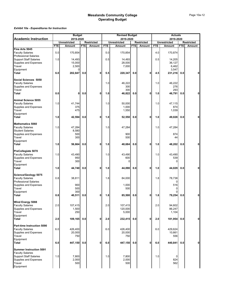|                                                               | <b>Budget</b> |                     |            |                   |            | <b>Revised Budget</b> |            | <b>Actuals</b>    |            |                     |            |                   |  |
|---------------------------------------------------------------|---------------|---------------------|------------|-------------------|------------|-----------------------|------------|-------------------|------------|---------------------|------------|-------------------|--|
| <b>Academic Instruction</b>                                   |               | 2019-2020           |            |                   |            | 2019-2020             |            |                   |            | 2019-2020           |            |                   |  |
|                                                               |               | <b>Unrestricted</b> |            | <b>Restricted</b> |            | <b>Unrestricted</b>   |            | <b>Restricted</b> |            | <b>Unrestricted</b> |            | <b>Restricted</b> |  |
|                                                               | <b>FTE</b>    | Amount              | <b>FTE</b> | Amount            | <b>FTE</b> | Amount                | <b>FTE</b> | Amount            | <b>FTE</b> | Amount              | <b>FTE</b> | Amount            |  |
| Fine Arts 5045<br><b>Faculty Salaries</b>                     | 5.0           | 170,854             |            |                   | 5.0        | 170,854               |            |                   | 4.0        | 170,874             |            |                   |  |
| <b>Professional Salaries</b><br><b>Support Staff Salaries</b> | 1.0           | 14,493              |            |                   | 0.5        | 14,493                |            |                   | 0.5        | 14,205              |            |                   |  |
| Supplies and Expenses                                         |               | 15,000              |            |                   |            | 28,000                |            |                   |            | 36,127              |            |                   |  |
| Travel                                                        |               | 2,500               |            |                   |            | 7,000                 |            |                   |            | 6,462               |            |                   |  |
| Equipment                                                     |               |                     |            |                   |            |                       |            |                   |            | 3,547               |            |                   |  |
| Total                                                         | 6.0           | 202,847             | 0.0        | 0                 | 5.5        | 220,347               | 0.0        | 0                 | 4.5        | 231,216             | 0.0        | 0                 |  |
| Social Sciences 5050                                          |               |                     |            |                   |            |                       |            |                   |            |                     |            |                   |  |
| <b>Faculty Salaries</b>                                       |               |                     |            |                   | 1.0        | 46,222                |            |                   | 1.0        | 46,222              |            |                   |  |
| Supplies and Expenses                                         |               |                     |            |                   |            | 300                   |            |                   |            | 276                 |            |                   |  |
| Travel                                                        |               |                     |            |                   |            | 300                   |            |                   |            | 293                 |            |                   |  |
| Total                                                         | 0.0           | 0                   | 0.0        | 0                 | 1.0        | 46,822                | 0.0        | 0                 | 1.0        | 46,791              | 0.0        | 0                 |  |
| Animal Science 5055                                           |               |                     |            |                   |            |                       |            |                   |            |                     |            |                   |  |
| <b>Faculty Salaries</b>                                       | 1.0           | 41,744              |            |                   | 1.0        | 50,000                |            |                   | 1.0        | 47,115              |            |                   |  |
| <b>Supplies and Expenses</b>                                  |               | 375                 |            |                   |            | 1,000                 |            |                   |            | 874                 |            |                   |  |
| Travel                                                        |               | 475                 |            |                   |            | 1,550                 |            |                   |            | 1,039               |            |                   |  |
| Equipment                                                     |               |                     |            |                   |            |                       |            |                   |            |                     |            |                   |  |
| Total                                                         | 1.0           | 42,594              | 0.0        | 0                 | 1.0        | 52,550                | 0.0        | 0                 | 1.0        | 49,028              | 0.0        | 0                 |  |
| <b>Mathematics 5060</b>                                       |               |                     |            |                   |            |                       |            |                   |            |                     |            |                   |  |
| <b>Faculty Salaries</b>                                       | 1.0           | 47,284              |            |                   | 1.0        | 47,284                |            |                   | 1.0        | 47,284              |            |                   |  |
| <b>Student Salaries</b>                                       |               | 8,580               |            |                   |            |                       |            |                   |            |                     |            |                   |  |
| <b>Supplies and Expenses</b>                                  |               | 500                 |            |                   |            | 900                   |            |                   |            | 874                 |            |                   |  |
| Travel                                                        |               | 300                 |            |                   |            | 500                   |            |                   |            | 44                  |            |                   |  |
| Equipment                                                     |               |                     |            |                   |            |                       |            |                   |            |                     |            |                   |  |
| Total                                                         | 1.0           | 56,664              | 0.0        | 0                 | 1.0        | 48,684                | 0.0        | 0                 | 1.0        | 48,202              | 0.0        | 0                 |  |
| PreCollegiate 5070                                            |               |                     |            |                   |            |                       |            |                   |            |                     |            |                   |  |
| <b>Faculty Salaries</b>                                       | 1.0           | 43,490              |            |                   | 1.0        | 43,490                |            |                   | 1.0        | 43,490              |            |                   |  |
| Supplies and Expenses                                         |               | 950                 |            |                   |            | 600                   |            |                   |            | 539                 |            |                   |  |
| Travel                                                        |               | 300                 |            |                   |            | $\Omega$              |            |                   |            | 0                   |            |                   |  |
| Equipment                                                     |               |                     |            |                   |            |                       |            | $\mathbf 0$       |            |                     |            | 0                 |  |
| Total                                                         | 1.0           | 44,740              | 0.0        | 0                 | 1.0        | 44,090                | 0.0        |                   | 1.0        | 44,029              | 0.0        |                   |  |
| Science/Geology 5075                                          |               |                     |            |                   |            |                       |            |                   |            |                     |            |                   |  |
| <b>Faculty Salaries</b>                                       | 0.8           | 38,811              |            |                   | 1.8        | 84,000                |            |                   | 1.8        | 78,738              |            |                   |  |
| <b>Professional Salaries</b>                                  |               |                     |            |                   |            |                       |            |                   |            |                     |            |                   |  |
| <b>Supplies and Expenses</b>                                  |               | 900                 |            |                   |            | 1,000                 |            |                   |            | 516                 |            |                   |  |
| Travel<br>Equipment                                           |               | 500<br>300          |            |                   |            | 500                   |            |                   |            | 0<br>O              |            |                   |  |
| Total                                                         | 0.8           | 40,511              | 0.0        | 0                 | 1.8        | 85,500                | 0.0        | 0                 | 1.8        | 79,254              | 0.0        | 0                 |  |
|                                                               |               |                     |            |                   |            |                       |            |                   |            |                     |            |                   |  |
| Wind Energy 5088                                              |               |                     |            |                   |            |                       |            |                   |            |                     |            |                   |  |
| <b>Faculty Salaries</b>                                       | 2.0           | 107,415             |            |                   | 2.0        | 107,415               |            |                   | 2.0        | 94,602              |            |                   |  |
| Supplies and Expenses<br>Travel                               |               | 1,500<br>250        |            |                   |            | 120,000<br>5,000      |            |                   |            | 86,247<br>1,104     |            |                   |  |
| Equipment                                                     |               |                     |            |                   |            |                       |            |                   |            |                     |            |                   |  |
| Total                                                         | 2.0           | 109,165             | 0.0        | 0                 | 2.0        | 232,415               | 0.0        | 0                 | 2.0        | 181,954             | 0.0        | 0                 |  |
| Part-time Instruction 5090                                    |               |                     |            |                   |            |                       |            |                   |            |                     |            |                   |  |
| <b>Faculty Salaries</b>                                       | 6.0           | 426,400             |            |                   | 6.0        | 426,400               |            |                   | 6.0        | 429,624             |            |                   |  |
| Supplies and Expenses                                         |               | 20,000              |            |                   |            | 20,000                |            |                   |            | 10,661              |            |                   |  |
| Travel                                                        |               | 750                 |            |                   |            | 750                   |            |                   |            | 556                 |            |                   |  |
| Equipment                                                     |               |                     |            |                   |            |                       |            |                   |            |                     |            |                   |  |
| Total                                                         | 6.0           | 447,150             | 0.0        | 0                 | 6.0        | 447,150               | 0.0        | $\mathbf{0}$      | 6.0        | 440,841             | 0.0        | 0                 |  |
| <b>Summer Instruction 5091</b>                                |               |                     |            |                   |            |                       |            |                   |            |                     |            |                   |  |
| <b>Faculty Salaries</b>                                       |               |                     |            |                   |            |                       |            |                   |            |                     |            |                   |  |
| <b>Support Staff Salaries</b>                                 | 1.0           | 7,800               |            |                   | 1.0        | 7,800                 |            |                   | 1.0        | 0                   |            |                   |  |
| Supplies and Expenses<br>Travel                               |               | 2,000               |            |                   |            | 2,000                 |            |                   |            | 824<br>562          |            |                   |  |
| Equipment                                                     |               | 500                 |            |                   |            | 500                   |            |                   |            |                     |            |                   |  |
|                                                               |               |                     |            |                   |            |                       |            |                   |            |                     |            |                   |  |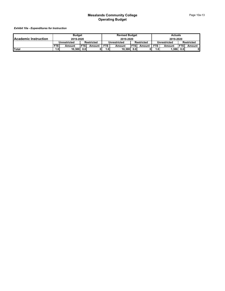|                             |       | <b>Budget</b>        |                   |        |              | <b>Revised Budget</b> |                  |                   | Actuals    |              |                  |                   |
|-----------------------------|-------|----------------------|-------------------|--------|--------------|-----------------------|------------------|-------------------|------------|--------------|------------------|-------------------|
| <b>Academic Instruction</b> |       | 2019-2020            |                   |        |              | 2019-2020             |                  |                   |            | 2019-2020    |                  |                   |
|                             |       | Jnrestricted         | <b>Restricted</b> |        | Unrestricted |                       |                  | <b>Restricted</b> |            | Unrestricted |                  | <b>Restricted</b> |
|                             |       | <b>STE</b><br>Amount |                   | Amount | <b>FTE</b>   | Amount                | <b>FTEI</b>      | Amount            | <b>FTE</b> | Amount       | <b>IFTEI</b>     | Amount            |
| <b>Total</b>                | ا0. ا | 10.300               | 0.0               |        | ا0.،         | 10.300                | 0.0 <sub>l</sub> |                   | ″0.،       | .386         | 0.0 <sub>1</sub> | 01                |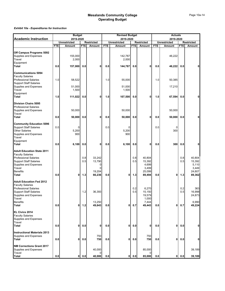|                                                                                                                        | <b>Budget</b> |                          |            |                   | <b>Revised Budget</b> |                          |            |                    |            | <b>Actuals</b>        |            |                   |  |  |
|------------------------------------------------------------------------------------------------------------------------|---------------|--------------------------|------------|-------------------|-----------------------|--------------------------|------------|--------------------|------------|-----------------------|------------|-------------------|--|--|
| <b>Academic Instruction</b>                                                                                            |               | 2019-2020                |            |                   |                       | 2019-2020                |            |                    |            | 2019-2020             |            |                   |  |  |
|                                                                                                                        |               | <b>Unrestricted</b>      |            | <b>Restricted</b> |                       | <b>Unrestricted</b>      | <b>FTE</b> | <b>Restricted</b>  | <b>FTE</b> | <b>Unrestricted</b>   |            | <b>Restricted</b> |  |  |
|                                                                                                                        | <b>FTE</b>    | Amount                   | <b>FTE</b> | Amount            | <b>FTE</b>            | Amount                   |            | Amount             |            | Amount                | <b>FTE</b> | Amount            |  |  |
| Off Campus Programs 5092<br><b>Supplies and Expenses</b><br>Travel                                                     |               | 155,000<br>2,000         |            |                   |                       | 142,787                  |            |                    |            | 46,222                |            |                   |  |  |
| Equipment<br>Total                                                                                                     | 0.0           | 157,000                  | 0.0        | $\mathbf 0$       | 0.0                   | 2,000<br>144,787         | 0.0        | 0                  | 0.0        | 46,222                | 0.0        | 0                 |  |  |
|                                                                                                                        |               |                          |            |                   |                       |                          |            |                    |            |                       |            |                   |  |  |
| <b>Communications 5094</b><br><b>Faculty Salaries</b><br><b>Professional Salaries</b><br><b>Support Staff Salaries</b> | 1.0           | 58,522                   |            |                   | 1.0                   | 55,000                   |            |                    | 1.0        | 50,385                |            |                   |  |  |
| Supplies and Expenses<br>Travel<br>Equipment                                                                           |               | 51,000<br>1,500          |            |                   |                       | 51,000<br>1,500          |            |                    |            | 17,210                |            |                   |  |  |
| Total                                                                                                                  | 1.0           | 111,022                  | 0.0        | $\mathbf{0}$      | 1.0                   | 107,500                  | 0.0        | 0                  | 1.0        | 67,594                | 0.0        | 0                 |  |  |
| <b>Division Chairs 5095</b><br><b>Professional Salaries</b>                                                            |               |                          |            |                   |                       |                          |            |                    |            |                       |            |                   |  |  |
| <b>Supplies and Expenses</b><br>Travel                                                                                 |               | 50,000                   |            |                   |                       | 50,000                   |            |                    |            | 50,000                |            |                   |  |  |
| Total                                                                                                                  | 0.0           | 50,000                   | 0.0        | 0                 | 0.0                   | 50,000                   | 0.0        | 0                  | 0.0        | 50,000                | 0.0        | 0                 |  |  |
| <b>Community Education 5096</b><br><b>Support Staff Salaries</b><br><b>Other Salaries</b><br>Supplies and Expenses     | 0.0           | $\Omega$<br>5,200<br>900 |            |                   | 0.0                   | $\Omega$<br>5,200<br>900 |            |                    | 0.0        | $\overline{0}$<br>300 |            |                   |  |  |
| Travel<br>Equipment<br>Total                                                                                           | 0.0           | 6,100                    | 0.0        | 0                 | 0.0                   | 6,100                    | 0.0        | 0                  | 0.0        | 300                   | 0.0        | 0                 |  |  |
| <b>Adult Education State 2011</b>                                                                                      |               |                          |            |                   |                       |                          |            |                    |            |                       |            |                   |  |  |
| <b>Faculty Salaries</b>                                                                                                |               |                          |            |                   |                       |                          |            |                    |            |                       |            |                   |  |  |
| <b>Professional Salaries</b><br><b>Support Staff Salaries</b>                                                          |               |                          | 0.8<br>0.5 | 33,242<br>13,790  |                       |                          | 0.8<br>0.5 | 40,804<br>15,392   |            |                       | 0.8<br>0.5 | 40,804<br>15,392  |  |  |
| Supplies and Expenses                                                                                                  |               |                          |            | 0                 |                       |                          |            | 4,699              |            |                       |            | 5,110             |  |  |
| Travel<br><b>Benefits</b>                                                                                              |               |                          |            | 0<br>19,204       |                       |                          |            | 3,499<br>25,099    |            |                       |            | 3,449             |  |  |
| Total                                                                                                                  | 0.0           | 0                        | $1.3$      | 66,236            | 0.0                   | 0                        | $1.3$      | 89,494             | 0.0        | 0                     | 1.3        | 24,607<br>89,362  |  |  |
| <b>Adult Education Fed 2012</b>                                                                                        |               |                          |            |                   |                       |                          |            |                    |            |                       |            |                   |  |  |
| <b>Faculty Salaries</b>                                                                                                |               |                          |            |                   |                       |                          |            |                    |            |                       |            |                   |  |  |
| <b>Professional Salaries</b><br><b>Support Staff Salaries</b>                                                          |               |                          | 1.2        | 36,393            |                       |                          | 0.2<br>0.5 | 6,270<br>15,150    |            |                       | 0.2<br>0.5 | 363<br>16,998     |  |  |
| Supplies and Expenses<br>Travel                                                                                        |               |                          |            |                   |                       |                          |            | 19,579<br>1,000    |            |                       |            | 24,873            |  |  |
| Benefits                                                                                                               |               |                          |            | 13,250            |                       |                          |            | 7,444              |            |                       |            | 6,990             |  |  |
| Total                                                                                                                  | 0.0           | 0                        | $1.2$      | 49,643            | 0.0                   | 0                        | 0.7        | 49,443             | 0.0        | 0                     | 0.7        | 49,224            |  |  |
| EL Civics 2014<br><b>Faculty Salaries</b>                                                                              |               |                          |            |                   |                       |                          |            |                    |            |                       |            |                   |  |  |
| Supplies and Expenses<br>Travel                                                                                        |               |                          |            |                   |                       |                          |            |                    |            |                       |            |                   |  |  |
| Total                                                                                                                  | 0.0           | 0                        | 0.0        | 0                 | 0.0                   | 0                        | 0.0        | 0                  | 0.0        | 0                     | 0.0        | $\mathbf{0}$      |  |  |
| <b>Instructional Materials 2013</b><br>Supplies and Expenses                                                           |               | 0                        |            | 750               |                       |                          |            | 750                |            |                       |            |                   |  |  |
| Total                                                                                                                  | 0.0           |                          | 0.0        | 750               | 0.0                   | 0                        | 0.0        | 750                | 0.0        | $\mathbf{0}$          | 0.0        | 0                 |  |  |
| <b>NM Corrections Grant 2017</b><br><b>Supplies and Expenses</b><br>Travel                                             |               |                          |            | 40,000<br>0       |                       |                          |            | 85,000<br>$\Omega$ |            |                       |            | 39,189            |  |  |
| <b>Total</b>                                                                                                           | 0.0           | 0                        | $0.0\,$    | 40,000            | 0.0                   | $\mathbf{0}$             | 0.0        | 85,000             | 0.0        | οI                    | 0.0        | 39,189            |  |  |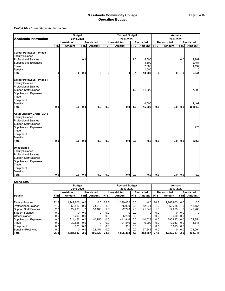### *Exhibit 10a - Expenditures for Instruction*

|                                                                                                                                                                                |            | <b>Budget</b>       |             |                   | <b>Revised Budget</b> |                     |             |                         |            | <b>Actuals</b>      |            |                         |  |  |
|--------------------------------------------------------------------------------------------------------------------------------------------------------------------------------|------------|---------------------|-------------|-------------------|-----------------------|---------------------|-------------|-------------------------|------------|---------------------|------------|-------------------------|--|--|
| <b>Academic Instruction</b>                                                                                                                                                    |            | 2019-2020           |             |                   |                       | 2019-2020           |             |                         |            | 2019-2020           |            |                         |  |  |
|                                                                                                                                                                                |            | <b>Unrestricted</b> |             | <b>Restricted</b> |                       | <b>Unrestricted</b> |             | <b>Restricted</b>       |            | <b>Unrestricted</b> |            | <b>Restricted</b>       |  |  |
|                                                                                                                                                                                | <b>FTE</b> | <b>Amount</b>       | <b>FTEI</b> | Amount            | <b>FTE</b>            | Amount              | <b>FTEI</b> | Amount                  | <b>FTE</b> | Amount              | <b>FTE</b> | Amount                  |  |  |
| Career Pathways - Phase I<br><b>Faculty Salaries</b><br><b>Professional Salaries</b><br>Supplies and Expenses<br>Travel                                                        |            |                     | 0.1         |                   |                       |                     | 1.0         | 5,000<br>4,500<br>2,500 |            |                     | 0.0        | 1,987<br>2,457<br>1,197 |  |  |
| <b>Benefits</b>                                                                                                                                                                |            |                     |             |                   |                       |                     |             | 1,000                   |            |                     |            |                         |  |  |
| <b>Total</b>                                                                                                                                                                   | 0          | 0                   | 0.1         | 0                 | 0                     | 0                   | 1           | 13,000                  | 0          | 0                   | 0          | 5,641                   |  |  |
| <b>Career Pathways - Phase II</b><br><b>Faculty Salaries</b><br><b>Professional Salaries</b>                                                                                   |            |                     |             |                   |                       |                     |             |                         |            |                     |            |                         |  |  |
| <b>Support Staff Salaries</b><br>Supplies and Expenses<br>Travel<br>Equipment                                                                                                  |            |                     |             |                   |                       |                     | 1.0         | 11,000                  |            |                     |            | 7,893                   |  |  |
| <b>Benefits</b>                                                                                                                                                                |            |                     |             |                   |                       |                     |             | 4,000                   |            |                     |            | 2,407                   |  |  |
| <b>Total</b>                                                                                                                                                                   | 0.0        | 0.0                 | 0.0         | 0.0               | 0.0                   | 0.0                 | 1.0         | 15,000                  | 0.0        | 0.0                 | 0.0        | 10300.0                 |  |  |
| <b>Adult Literacy Grant - 2016</b><br><b>Faculty Salaries</b><br><b>Professional Salaries</b><br><b>Support Staff Salaries</b><br>Supplies and Expenses<br>Travel<br>Equipment |            |                     |             |                   |                       |                     |             |                         |            |                     |            | 225                     |  |  |
| <b>Benefits</b>                                                                                                                                                                |            |                     |             |                   |                       |                     |             |                         |            |                     |            |                         |  |  |
| <b>Total</b>                                                                                                                                                                   | 0.0        | 0.0                 | 0.0         | 0.0               | 0.0                   | 0.0                 | 0.0         | 0.0                     | 0.0        | 0.0                 | 0.0        | 224.8                   |  |  |
| <b>Unassigned</b><br><b>Faculty Salaries</b><br><b>Professional Salaries</b><br><b>Support Staff Salaries</b><br>Supplies and Expenses<br>Travel<br>Equipment                  |            |                     |             |                   |                       |                     |             |                         |            |                     |            |                         |  |  |
| <b>Benefits</b>                                                                                                                                                                |            |                     |             |                   |                       |                     |             |                         |            |                     |            |                         |  |  |
| <b>Total</b>                                                                                                                                                                   | 0.0        |                     | $0.0$ 0.0   | 0.0               | 0.0                   | 0.0                 | 0.0         | 0.0                     | 0.0        | 0.0 <sub>l</sub>    | 0.0        | 0.0                     |  |  |

#### *Grand Total*

|                               |            | <b>Budget</b><br>2019-2020 |                  |                   |                  | <b>Revised Budget</b><br>2019-2020 |            |                   | <b>Actuals</b><br>2019-2020 |              |                  |                   |  |
|-------------------------------|------------|----------------------------|------------------|-------------------|------------------|------------------------------------|------------|-------------------|-----------------------------|--------------|------------------|-------------------|--|
|                               |            | <b>Unrestricted</b>        |                  | <b>Restricted</b> |                  | <b>Unrestricted</b>                |            | <b>Restricted</b> |                             | Unrestricted |                  | <b>Restricted</b> |  |
| <b>Details</b>                | <b>FTE</b> | Amount                     | <b>FTEI</b>      | Amount            | <b>FTE</b>       | Amount                             | <b>FTE</b> | Amount            | <b>FTE</b>                  | Amount       | FTEI             | Amount            |  |
|                               |            |                            |                  |                   |                  |                                    |            |                   |                             |              |                  |                   |  |
| <b>Faculty Salaries</b>       | 22.8       | 1,249,706                  | 0.0              | 0.0               | 25.8             | 1.279.052                          | 0.0        | 0.0               | 24.8                        | 1.268.903    | 0.0 <sub>1</sub> | 0.0               |  |
| <b>Professional Salaries</b>  | 1.01       | 58,522                     | 0.9 <sub>l</sub> | 33.242            | 1.0 <sub>l</sub> | 55,000                             | 2.0        | 52.074            | 1.0                         | 50.385       | 1.0              | 43,154            |  |
| <b>Support Staff Salaries</b> | 2.0        | 22,293                     | 1.7              | 50,183            | 1.5              | 22.293                             | 2.0        | 41.542            | 1.5                         | 14.205       | 1.0              | 40,283            |  |
| <b>Student Salaries</b>       | 0.0        |                            | 0.0 <sub>l</sub> |                   | 0.0              |                                    | 0.0        |                   | 0.0                         |              | 0.01             |                   |  |
| <b>Other Salaries</b>         | 0.0        | 5,200                      | 0.0              |                   | 0.01             | 5.200                              | 0.0        |                   | 0.0                         | 300          | 0.0              | 01                |  |
| <b>Supplies and Expenses</b>  | 0.0        | 314.456                    | 0.01             | 40.750            | 0.0              | 441.946                            | 0.0        | 114,528           | 0.0                         | 280.837      | 0.01             | 71,854            |  |
| Travel                        | 0.0        | 30.825                     | 0.0              |                   | 0.0              | 21,540                             | 0.0        | 6.999             | 0.0                         | 12,013       | 0.01             | 4,645             |  |
| Equipment                     | 0.0        | 800                        | 0.0 <sub>l</sub> |                   | 0.0              | 3511                               | 0.0        |                   | 0.0                         | 5,695        | 0.01             | $\Omega$          |  |
| Benefits (Restricted)         | 0.0        |                            | 0.0              | 32.454            | 0.0              | 0                                  | 0.0        | 37.544            | 0.0                         |              | 0.0 <sub>1</sub> | 34,004            |  |
| <b>Total</b>                  | 25.8       | 1,681,802                  | 2.61             | 156,629           | 28.3             | 1,825,382                          | 4.0        | 252,687           | 27.3                        | 1,632,337    | 2.01             | 193,941           |  |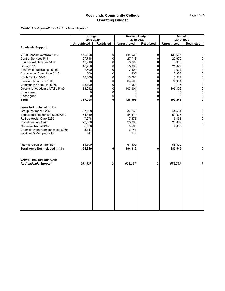*Exhibit 11 - Expenditures for Academic Support*

|                                   | <b>Budget</b>       |                   | <b>Revised Budget</b> |                   | <b>Actuals</b>      |                   |
|-----------------------------------|---------------------|-------------------|-----------------------|-------------------|---------------------|-------------------|
|                                   | 2019-2020           |                   | 2019-2020             |                   | 2019-2020           |                   |
|                                   | <b>Unrestricted</b> | <b>Restricted</b> | <b>Unrestricted</b>   | <b>Restricted</b> | <b>Unrestricted</b> | <b>Restricted</b> |
| <b>Academic Support</b>           |                     |                   |                       |                   |                     |                   |
| VP of Academic Affairs 5110       | 142,028             | 0                 | 141,030               | 0                 | 139,687             | $\overline{0}$    |
| Central Services 5111             | 27,718              | 0                 | 27,718                | $\mathbf 0$       | 29,670              | $\mathbf 0$       |
| <b>Educational Services 5112</b>  | 13,910              | $\overline{0}$    | 13,925                | $\mathbf 0$       | 5,966               | $\overline{0}$    |
| Library 5115                      | 48,750              | 0                 | 55,000                | $\overline{0}$    | 21,825              | $\overline{0}$    |
| Academic Publications 5135        | 7,500               | 0                 | 7,500                 | 0                 | 3,624               | $\mathbf 0$       |
| Assessment Committee 5140         | 500                 | 0                 | 500                   | 0                 | 2,959               | $\overline{0}$    |
| North Central 5145                | 18,000              | 0                 | 13,784                | 0                 | 6,917               | $\overline{0}$    |
| Dinosaur Museum 5160              | 0                   | $\overline{0}$    | 64,500                | $\pmb{0}$         | 74,994              | $\overline{0}$    |
| Community Outreach 5165           | 15,790              | 0                 | 1,050                 | 0                 | 1,196               | $\overline{0}$    |
| Director of Academic Affairs 5180 | 83,012              | $\Omega$          | 103,901               | 0                 | 106,406             | $\mathbf 0$       |
| Unassigned                        |                     | 0                 |                       | 0                 |                     | $\overline{0}$    |
| Unassigned                        | 0                   | 0                 |                       | 0                 |                     | $\overline{0}$    |
| Total                             | 357,208             | 0                 | 428,908               | 0                 | 393,243             | $\mathbf{0}$      |
| Items Not Included in 11a         |                     |                   |                       |                   |                     |                   |
| Group Insurance 6205              | 37,268              |                   | 37,268                |                   | 44,561              | $\mathbf 0$       |
| Educational Retirement 6225/6230  | 54,319              |                   | 54,319                |                   | 51,326              | $\mathbf 0$       |
| Retiree Health Care 6235          | 7,678               |                   | 7,678                 |                   | 6,463               | $\mathbf{0}$      |
| Social Security 6240              | 23,800              |                   | 23,800                |                   | 20,067              | $\overline{0}$    |
| Medicare Taxes 6245               | 5,566               |                   | 5,566                 |                   | 4,832               | $\overline{0}$    |
| Unemployment Compensation 6260    | 3,747               |                   | 3,747                 |                   |                     |                   |
| Workmen's Compensation            | 141                 |                   | 141                   |                   |                     |                   |
| <b>Internal Services Transfer</b> | 61,800              |                   | 61,800                |                   | 56,300              |                   |
| Total Items Not Included in 11a   | 194,319             | 0                 | 194,319               | 0                 | 183,549             | 0                 |
| <b>Grand Total Expenditures</b>   |                     |                   |                       |                   |                     |                   |
| for Academic Support              | 551,527             | 0                 | 623,227               | 0                 | 576,793             | 0                 |
|                                   |                     |                   |                       |                   |                     |                   |
|                                   |                     |                   |                       |                   |                     |                   |
|                                   |                     |                   |                       |                   |                     |                   |
|                                   |                     |                   |                       |                   |                     |                   |
|                                   |                     |                   |                       |                   |                     |                   |
|                                   |                     |                   |                       |                   |                     |                   |
|                                   |                     |                   |                       |                   |                     |                   |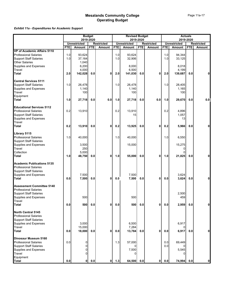### *Exhibit 11a - Expenditures for Academic Support*

|                                    |     |                                      | <b>Budget</b> |                                    |            | <b>Revised Budget</b>         |            |                                    |            | <b>Actuals</b>                       |            |                   |
|------------------------------------|-----|--------------------------------------|---------------|------------------------------------|------------|-------------------------------|------------|------------------------------------|------------|--------------------------------------|------------|-------------------|
|                                    |     |                                      | 2019-2020     |                                    |            |                               | 2019-2020  |                                    |            | 2019-2020                            |            |                   |
|                                    | FTE | <b>Unrestricted</b><br><b>Amount</b> | <b>FTE</b>    | <b>Restricted</b><br><b>Amount</b> | <b>FTE</b> | <b>Unrestricted</b><br>Amount | <b>FTE</b> | <b>Restricted</b><br><b>Amount</b> | <b>FTE</b> | <b>Unrestricted</b><br><b>Amount</b> | <b>FTE</b> | <b>Restricted</b> |
| <b>VP of Academic Affairs 5110</b> |     |                                      |               |                                    |            |                               |            |                                    |            |                                      |            | Amount            |
| <b>Professional Salaries</b>       | 1.0 | 93,624                               |               |                                    | 1.0        | 93,624                        |            |                                    | 1.0        | 94,344                               |            |                   |
| <b>Support Staff Salaries</b>      | 1.0 | 37,164                               |               |                                    | 1.0        | 32,906                        |            |                                    | 1.0        | 33,125                               |            |                   |
| <b>Other Salaries</b>              |     | 1,040                                |               |                                    |            |                               |            |                                    |            |                                      |            |                   |
| Supplies and Expenses              |     | 6,200                                |               |                                    |            | 8,000                         |            |                                    |            | 8,018                                |            |                   |
| Travel                             |     | 4,000                                |               |                                    |            | 6,500                         |            |                                    |            | 4,199                                |            |                   |
| <b>Total</b>                       | 2.0 | 142,028                              | 0.0           | 0                                  | 2.0        | 141,030                       | 0.0        | $\mathbf{0}$                       | 2.0        | 139,687                              | 0.0        |                   |
|                                    |     |                                      |               |                                    |            |                               |            |                                    |            |                                      |            |                   |
| <b>Central Services 5111</b>       |     |                                      |               |                                    |            |                               |            |                                    |            |                                      |            |                   |
| <b>Support Staff Salaries</b>      | 1.0 | 26,478                               |               |                                    | 1.0        | 26,478                        |            |                                    | 1.0        | 28,405                               |            |                   |
| Supplies and Expenses              |     | 1,140                                |               |                                    |            | 1,140                         |            |                                    |            | 1,165                                |            |                   |
| Travel                             |     | 100                                  |               |                                    |            | 100                           |            |                                    |            | 100                                  |            |                   |
| Equipment                          |     |                                      |               |                                    |            |                               |            |                                    |            |                                      |            |                   |
| <b>Total</b>                       | 1.0 | 27,718                               | 0.0           | 0.0                                | 1.0        | 27,718                        | 0.0        | 0.0                                | 1.0        | 29,670                               | 0.0        | 0.0               |
|                                    |     |                                      |               |                                    |            |                               |            |                                    |            |                                      |            |                   |
| <b>Educational Services 5112</b>   |     |                                      |               |                                    |            |                               |            |                                    |            |                                      |            |                   |
| <b>Professional Salaries</b>       | 0.2 | 13,910                               |               |                                    | 0.2        | 13,910                        |            |                                    | 0.2        | 4,896                                |            |                   |
| <b>Support Staff Salaries</b>      |     |                                      |               |                                    |            | 15                            |            |                                    |            | 1,057                                |            |                   |
| Supplies and Expenses              |     |                                      |               |                                    |            |                               |            |                                    |            | 13                                   |            |                   |
| Travel                             |     |                                      |               |                                    |            |                               |            |                                    |            |                                      |            |                   |
| <b>Total</b>                       | 0.2 | 13,910                               | 0.0           | 0                                  | 0.2        | 13,925                        | 0.0        | $\mathbf 0$                        | 0.2        | 5,966                                | 0.0        |                   |
|                                    |     |                                      |               |                                    |            |                               |            |                                    |            |                                      |            |                   |
| Library 5115                       |     |                                      |               |                                    |            |                               |            |                                    |            |                                      |            |                   |
| <b>Professional Salaries</b>       | 1.0 | 40,000                               |               |                                    | 1.0        | 40,000                        |            |                                    | 1.0        | 6,550                                |            |                   |
| <b>Support Staff Salaries</b>      |     |                                      |               |                                    |            |                               |            |                                    |            |                                      |            |                   |
| Supplies and Expenses              |     | 3,500                                |               |                                    |            | 15,000                        |            |                                    |            | 15,275                               |            |                   |
| Travel                             |     | 250                                  |               |                                    |            |                               |            |                                    |            | 0                                    |            |                   |
| Collection                         |     | 5,000                                |               |                                    |            |                               |            |                                    |            | O                                    |            |                   |
| <b>Total</b>                       | 1.0 | 48,750                               | 0.0           | 0                                  | 1.0        | 55,000                        | 0.0        | 0                                  | 1.0        | 21,825                               | 0.0        | 0                 |
| <b>Academic Publications 5135</b>  |     |                                      |               |                                    |            |                               |            |                                    |            |                                      |            |                   |
| <b>Professional Salaries</b>       |     |                                      |               |                                    |            |                               |            |                                    |            |                                      |            |                   |
| <b>Support Staff Salaries</b>      |     |                                      |               |                                    |            |                               |            |                                    |            |                                      |            |                   |
| Supplies and Expenses              |     | 7,500                                |               |                                    |            | 7,500                         |            |                                    |            | 3,624                                |            |                   |
| Total                              | 0.0 | 7,500                                | 0.0           | 0                                  | 0.0        | 7,500                         | 0.0        | 0                                  | 0.0        | 3,624                                | 0.0        |                   |
|                                    |     |                                      |               |                                    |            |                               |            |                                    |            |                                      |            |                   |
| <b>Assessment Committee 5140</b>   |     |                                      |               |                                    |            |                               |            |                                    |            |                                      |            |                   |
| <b>Professional Salaries</b>       |     |                                      |               |                                    |            |                               |            |                                    |            |                                      |            |                   |
| <b>Support Staff Salaries</b>      |     |                                      |               |                                    |            |                               |            |                                    |            | 2,500                                |            |                   |
| Supplies and Expenses              |     | 500                                  |               |                                    |            | 500                           |            |                                    |            | 459                                  |            |                   |
| Travel                             |     |                                      |               |                                    |            |                               |            |                                    |            |                                      |            |                   |
| <b>Total</b>                       | 0.0 | 500                                  | 0.0           | $\mathbf 0$                        | 0.0        | 500                           | 0.0        | $\mathbf 0$                        | $0.0\,$    | 2,959                                | 0.0        | ŋ                 |
| <b>North Central 5145</b>          |     |                                      |               |                                    |            |                               |            |                                    |            |                                      |            |                   |
| <b>Professional Salaries</b>       |     |                                      |               |                                    |            |                               |            |                                    |            |                                      |            |                   |
| <b>Support Staff Salaries</b>      |     |                                      |               |                                    |            |                               |            |                                    |            |                                      |            |                   |
| Supplies and Expenses              |     | 3,000                                |               |                                    |            | 6,500                         |            |                                    |            | 6,917                                |            |                   |
| Travel                             |     | 15,000                               |               |                                    |            | 7,284                         |            |                                    |            |                                      |            |                   |
| <b>Total</b>                       | 0.0 | 18,000                               | 0.0           | 0                                  | 0.0        | 13,784                        | 0.0        | $\mathbf 0$                        | $0.0\,$    | 6,917                                | 0.0        | 0                 |
|                                    |     |                                      |               |                                    |            |                               |            |                                    |            |                                      |            |                   |
| Dinosaur Museum 5160               |     |                                      |               |                                    |            |                               |            |                                    |            |                                      |            |                   |
| <b>Professional Salaries</b>       | 0.0 | 0                                    |               |                                    | 1.3        | 57,000                        |            |                                    | 0.0        | 69,449                               |            |                   |
| <b>Support Staff Salaries</b>      |     | 0                                    |               |                                    |            |                               |            |                                    | 0.0        |                                      |            |                   |
| Supplies and Expenses              |     | 0                                    |               |                                    |            | 7,500                         |            |                                    |            | 5,545                                |            |                   |
| Travel                             |     | $\Omega$                             |               |                                    |            | 0                             |            |                                    |            |                                      |            |                   |
| Equipment                          |     |                                      |               |                                    |            |                               |            |                                    |            |                                      |            |                   |
| <b>Total</b>                       | 0.0 | $\mathbf{0}$                         | 0.0           | $\mathbf 0$                        | 1.3        | 64,500                        | 0.0        | $\mathbf{0}$                       | $0.0\,$    | 74,994                               | 0.0        | 0                 |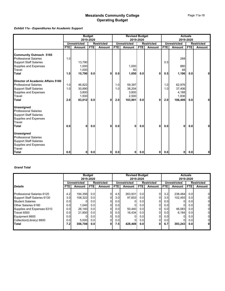### *Exhibit 11a - Expenditures for Academic Support*

|                                   |            | <b>Budget</b>       |            | <b>Revised Budget</b><br>2019-2020 |                  |                     |                  | <b>Actuals</b><br>2019-2020 |      |                     |            |                   |
|-----------------------------------|------------|---------------------|------------|------------------------------------|------------------|---------------------|------------------|-----------------------------|------|---------------------|------------|-------------------|
|                                   |            |                     | 2019-2020  |                                    |                  |                     |                  |                             |      |                     |            |                   |
|                                   |            | <b>Unrestricted</b> |            | <b>Restricted</b>                  |                  | <b>Unrestricted</b> |                  | <b>Restricted</b>           |      | <b>Unrestricted</b> |            | <b>Restricted</b> |
|                                   | <b>FTE</b> | <b>Amount</b>       | <b>FTE</b> | <b>Amount</b>                      | <b>FTE</b>       | Amount              | <b>FTE</b>       | <b>Amount</b>               | FTE. | Amount              | <b>FTE</b> | Amount            |
|                                   |            |                     |            |                                    |                  |                     |                  |                             |      |                     |            |                   |
| <b>Community Outreach 5165</b>    |            |                     |            |                                    |                  |                     |                  |                             |      |                     |            |                   |
| <b>Professional Salaries</b>      | 1.0        |                     |            |                                    |                  |                     |                  |                             |      | 268                 |            |                   |
| <b>Support Staff Salaries</b>     |            | 13,790              |            |                                    |                  |                     |                  |                             | 0.5  |                     |            |                   |
| Supplies and Expenses             |            | 1,000               |            |                                    |                  | 1,000               |                  |                             |      | 880                 |            |                   |
| Travel                            |            | 1,000               |            |                                    |                  | 50                  |                  |                             |      | 48                  |            |                   |
| <b>Total</b>                      | 1.0        | 15,790              | 0.0        | 0                                  | 0.0 <sub>l</sub> | 1,050               | 0.0              | 0                           | 0.5  | 1,196               | 0.0        | 0                 |
| Director of Academic Affairs 5180 |            |                     |            |                                    |                  |                     |                  |                             |      |                     |            |                   |
| <b>Professional Salaries</b>      | 1.0        | 46,822              |            |                                    | 1.0              | 59,397              |                  |                             | 1.0  | 62,976              |            |                   |
| <b>Support Staff Salaries</b>     | 1.0        | 30,890              |            |                                    | 1.0              | 38,204              |                  |                             | 1.0  | 37,406              |            |                   |
| Supplies and Expenses             |            | 3,800               |            |                                    |                  | 3,800               |                  |                             |      | 4,188               |            |                   |
| Travel                            |            | 1,500               |            |                                    |                  | 2,500               |                  |                             |      | 1,836               |            |                   |
| <b>Total</b>                      | 2.0        | 83,012              | 0.0        | 0                                  | 2.0              | 103,901             | 0.0 <sub>l</sub> | 0                           | 2.0  | 106,406             | 0.0        | <sup>0</sup>      |
|                                   |            |                     |            |                                    |                  |                     |                  |                             |      |                     |            |                   |
| <b>Unassigned</b>                 |            |                     |            |                                    |                  |                     |                  |                             |      |                     |            |                   |
| <b>Professional Salaries</b>      |            |                     |            |                                    |                  |                     |                  |                             |      |                     |            |                   |
| <b>Support Staff Salaries</b>     |            |                     |            |                                    |                  |                     |                  |                             |      |                     |            |                   |
| Supplies and Expenses             |            |                     |            |                                    |                  |                     |                  |                             |      |                     |            |                   |
| <b>Travel</b>                     |            |                     |            |                                    |                  |                     |                  |                             |      |                     |            |                   |
| <b>Total</b>                      | 0.0        | O                   | 0.0        | 0                                  | 0.0              | 0                   | 0.0              | 0                           | 0.0  | 0                   | 0.0        | 0                 |
| <b>Unassigned</b>                 |            |                     |            |                                    |                  |                     |                  |                             |      |                     |            |                   |
| <b>Professional Salaries</b>      |            |                     |            |                                    |                  |                     |                  |                             |      |                     |            |                   |
| <b>Support Staff Salaries</b>     |            |                     |            |                                    |                  |                     |                  |                             |      |                     |            |                   |
| <b>Supplies and Expenses</b>      |            |                     |            |                                    |                  |                     |                  |                             |      |                     |            |                   |
| Travel                            |            |                     |            |                                    |                  |                     |                  |                             |      |                     |            |                   |
| Total                             | 0.0        | 0                   | 0.0        | 01                                 | 0.0              | $\mathbf{0}$        | 0.0              | 0I                          | 0.0  | 0                   | 0.0        | $\mathbf{0}$      |

#### *Grand Total*

|                                   |                  | <b>Budget</b>       |            |                   | <b>Revised Budget</b> |                     |                   |                | <b>Actuals</b>   |                     |                  |                   |
|-----------------------------------|------------------|---------------------|------------|-------------------|-----------------------|---------------------|-------------------|----------------|------------------|---------------------|------------------|-------------------|
|                                   |                  |                     | 2019-2020  |                   |                       |                     | 2019-2020         |                |                  |                     | 2019-2020        |                   |
|                                   |                  | <b>Unrestricted</b> |            | <b>Restricted</b> |                       | <b>Unrestricted</b> | <b>Restricted</b> |                |                  | <b>Unrestricted</b> |                  | <b>Restricted</b> |
| <b>Details</b>                    | FTE.             | Amount              | <b>FTE</b> | Amount            | <b>FTE</b>            | Amount              | <b>FTE</b>        | Amount         | FTE.             | Amount              | FTE.             | Amount            |
|                                   |                  |                     |            |                   |                       |                     |                   |                |                  |                     |                  |                   |
| <b>Professional Salaries 6120</b> | 4.2              | 194,356             | 0.0        | 0l                | 4.5                   | 263,931             | 0.0               | $\overline{0}$ | 3.2              | 238,484             | 0.0              | $\overline{0}$    |
| Support Staff Salaries 6130       | 3.0 <sub>l</sub> | 108.322             | 0.0        |                   | 3.0 <sub>l</sub>      | 97.603              | 0.0 <sub>l</sub>  | 0              | 3.5              | 102.493             | 0.0              | 0                 |
| <b>Student Salaries</b>           | 0.01             |                     | 0.0        | 0                 | 0.0                   |                     | 0.0               | 01             | 0.0              |                     | 0.0              | 0                 |
| Other Salaries 6180               | 0.01             | 1,040               | 0.0        | 0                 | 0.0                   |                     | 0.0               | 01             | 0.0              | 01                  | 0.0              | 0                 |
| Supplies and Expenses 6310        | 0.0              | 26.140              | 0.0        |                   | 0.0                   | 50.440              | 0.0               | 0              | 0.0 <sub>l</sub> | 46,083              | 0.0              | 0                 |
| Travel 6500                       | 0.01             | 21,850              | 0.0        |                   | 0.0                   | 16,434              | 0.0 <sub>l</sub>  | 01             | 0.0 <sub>l</sub> | 6,184               | 0.0              | 0                 |
| Equipment 6600                    | 0.01             |                     | 0.0        | 0                 | 0.0                   |                     | 0.0               | 0              | 0.01             |                     | 0.0 <sub>l</sub> | 0                 |
| Collection(Library) 6800          | 0.0              | 5,000               | 0.0        |                   | 0.0                   |                     | 0.0               | 01             | 0.0              | 0                   | 0.0              | 0                 |
| <b>ITotal</b>                     | 7.2              | 356.708             | 0.0        | 0                 | 7.51                  | 428,408             | 0.0               | 01             | 6.7              | 393,243             | 0.0 <sub>l</sub> | $\mathbf{0}$      |
|                                   |                  |                     |            |                   |                       |                     |                   |                |                  |                     |                  |                   |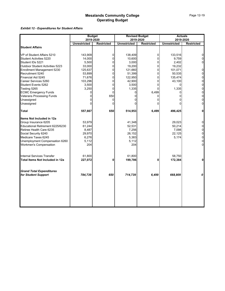### *Exhibit 12 - Expenditures for Student Affairs*

|                                                        | <b>Budget</b><br>2019-2020 |                   | <b>Revised Budget</b><br>2019-2020 |                   | <b>Actuals</b><br>2019-2020 |                   |
|--------------------------------------------------------|----------------------------|-------------------|------------------------------------|-------------------|-----------------------------|-------------------|
|                                                        | <b>Unrestricted</b>        | <b>Restricted</b> | <b>Unrestricted</b>                | <b>Restricted</b> | <b>Unrestricted</b>         | <b>Restricted</b> |
| <b>Student Affairs</b>                                 |                            |                   |                                    |                   |                             |                   |
| VP of Student Affairs 5210                             | 143,909                    | $\Omega$          | 138,409                            | $\overline{0}$    | 133,516                     | 0                 |
| Student Activities 5220                                | 14,000                     | 0                 | 10,600                             | $\Omega$          | 9,759                       | $\Omega$          |
| Student IDs 5221                                       | 5,500                      | 0                 | 3,000                              | $\Omega$          | 2,402                       | 0                 |
| Outdoor Student Activities 5223                        | 33,000                     | $\Omega$          | 19,200                             | $\Omega$          | 19,232                      |                   |
| Enrollment Management 5230                             | 125,637                    | 0                 | 121,660                            | $\overline{0}$    | 101,071                     | 0                 |
| Recruitment 5240                                       | 53,899                     | 0                 | 51,399                             | $\Omega$          | 50,535                      | $\overline{0}$    |
| Financial Aid 5245                                     | 71,676                     | $\Omega$          | 122,950                            | $\Omega$          | 135,474                     | $\overline{0}$    |
| Career Services 5260                                   | 103,296                    | $\Omega$          | 42,900                             | 0                 | 43,100                      | 0                 |
| Student Events 5262                                    | 3,500                      | $\Omega$          | 3,500                              | <sup>0</sup>      |                             | $\mathbf 0$       |
| Testing 5265                                           | 3,250                      | 0                 | 1,335                              | $\Omega$          | 1,335                       | 0                 |
| <b>ECMC Emergency Funds</b>                            |                            | $\Omega$          | 0                                  | 6,499             | <sup>0</sup>                | $\overline{0}$    |
| <b>Veterans Processing Funds</b>                       | 0                          | 650               | 0                                  | 0                 | <sup>0</sup>                | 0                 |
| Unassigned                                             | $\Omega$                   | $\Omega$          |                                    | 0                 |                             | 0                 |
| Unassigned                                             | ∩                          | U                 |                                    | 0                 |                             | 0                 |
| <b>Total</b>                                           | 557,667                    | 650               | 514,953                            | 6,499             | 496,425                     | 0                 |
| Items Not Included in 12a                              |                            |                   |                                    |                   |                             |                   |
| Group Insurance 6205                                   | 53,979                     |                   | 41,348                             |                   | 29,023                      | $\Omega$          |
| Educational Retirement 6225/6230                       | 61,244                     |                   | 52,531                             |                   | 50,214                      | $\Omega$          |
| Retiree Health Care 6235                               | 8,487                      |                   | 7,256                              |                   | 7,098                       | 0                 |
| Social Security 6240                                   | 29,970                     |                   | 26,152                             |                   | 22,125                      | $\mathbf 0$       |
| Medicare Taxes 6245                                    | 6,276                      |                   | 5,383                              |                   | 5,174                       | 0                 |
| Unemployment Compensation 6260                         | 5,112                      |                   | 5,112                              |                   |                             | $\Omega$          |
| <b>Workmen's Compensation</b>                          | 204                        |                   | 204                                |                   |                             | $\Omega$          |
| <b>Internal Services Transfer</b>                      | 61,800                     |                   | 61.800                             |                   | 58,750                      |                   |
| Total Items Not Included in 12a                        | 227,072                    | 0                 | 199,786                            | $\bf{0}$          | 172,384                     | 0                 |
|                                                        |                            |                   |                                    |                   |                             |                   |
| <b>Grand Total Expenditures</b><br>for Student Support | 784,739                    | 650               | 714,739                            | 6,499             | 668,809                     | 0                 |
|                                                        |                            |                   |                                    |                   |                             |                   |
|                                                        |                            |                   |                                    |                   |                             |                   |
|                                                        |                            |                   |                                    |                   |                             |                   |
|                                                        |                            |                   |                                    |                   |                             |                   |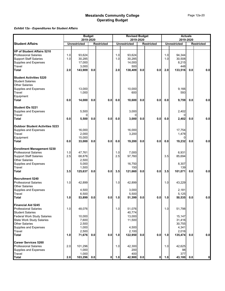### *Exhibit 12a - Expenditures for Student Affairs*

|                                                  | <b>Budget</b><br>2019-2020 |                     |     |                   | <b>Revised Budget</b><br>2019-2020 |                     |     |                   | <b>Actuals</b><br>2019-2020 |                     |     |                   |
|--------------------------------------------------|----------------------------|---------------------|-----|-------------------|------------------------------------|---------------------|-----|-------------------|-----------------------------|---------------------|-----|-------------------|
| <b>Student Affairs</b>                           |                            | <b>Unrestricted</b> |     | <b>Restricted</b> |                                    | <b>Unrestricted</b> |     | <b>Restricted</b> |                             | <b>Unrestricted</b> |     | <b>Restricted</b> |
|                                                  |                            |                     |     |                   |                                    |                     |     |                   |                             |                     |     |                   |
| VP of Student Affairs 5210                       |                            |                     |     |                   |                                    |                     |     |                   |                             |                     |     |                   |
| <b>Professional Salaries</b>                     | 1.0                        | 93,624              |     |                   | 1.0                                | 93,624              |     |                   | 1.0                         | 94,344              |     |                   |
| <b>Support Staff Salaries</b>                    | 1.0                        | 30,285              |     |                   | 1.0                                | 30,285              |     |                   | 1.0                         | 30,508              |     |                   |
|                                                  |                            | 17,000              |     |                   |                                    | 14,000              |     |                   |                             | 8,215               |     |                   |
| Supplies and Expenses<br>Travel                  |                            | 3,000               |     |                   |                                    | 500                 |     |                   |                             | 448                 |     |                   |
| Total                                            | 2.0                        | 143,909             | 0.0 |                   | 2.0                                | 138,409             | 0.0 | 0.0               | 2.0                         | 133,516             | 0.0 | 0.0               |
| <b>Student Activities 5220</b>                   |                            |                     |     |                   |                                    |                     |     |                   |                             |                     |     |                   |
| <b>Student Salaries</b>                          |                            |                     |     |                   |                                    |                     |     |                   |                             |                     |     |                   |
| <b>Other Salaries</b>                            |                            |                     |     |                   |                                    |                     |     |                   |                             |                     |     |                   |
| Supplies and Expenses                            |                            | 13,000              |     |                   |                                    | 10,000              |     |                   |                             | 9,166               |     |                   |
| Travel                                           |                            | 1,000               |     |                   |                                    | 600                 |     |                   |                             | 593                 |     |                   |
|                                                  |                            |                     |     |                   |                                    |                     |     |                   |                             |                     |     |                   |
| Equipment<br>Total                               | 0.0                        | 14,000              | 0.0 | 0.0               | 0.0                                | 10,600              | 0.0 | 0.0               | 0.0                         | 9,759               | 0.0 | 0.0               |
| Student IDs 5221                                 |                            |                     |     |                   |                                    |                     |     |                   |                             |                     |     |                   |
| Supplies and Expenses                            |                            | 5,500               |     |                   |                                    | 3,000               |     |                   |                             | 2,402               |     |                   |
| Travel                                           |                            |                     |     |                   |                                    |                     |     |                   |                             |                     |     |                   |
| Total                                            | 0.0                        | 5,500               | 0.0 | 0.0               | 0.0                                | 3,000               | 0.0 | 0.0               | 0.0                         | 2,402               | 0.0 | 0.0               |
| <b>Outdoor Student Activities 5223</b>           |                            |                     |     |                   |                                    |                     |     |                   |                             |                     |     |                   |
| Supplies and Expenses                            |                            | 16,000              |     |                   |                                    | 16,000              |     |                   |                             | 17,754              |     |                   |
| Travel                                           |                            | 2,000               |     |                   |                                    | 3,200               |     |                   |                             | 1,478               |     |                   |
| Equipment                                        |                            | 15,000              |     |                   |                                    |                     |     |                   |                             | 0                   |     |                   |
| Total                                            | 0.0                        | 33,000              | 0.0 | 0.0               | 0.0                                | 19,200              | 0.0 | 0.0               | 0.0                         | 19,232              | 0.0 | 0.0               |
| <b>Enrollment Management 5230</b>                |                            |                     |     |                   |                                    |                     |     |                   |                             |                     |     |                   |
| <b>Professional Salaries</b>                     | 1.0                        | 47,761              |     |                   | 1.0                                | 7,000               |     |                   |                             | 6,931               |     |                   |
| <b>Support Staff Salaries<br/>Other Salaries</b> | 2.5                        | 68,876              |     |                   | 2.5                                | 97,760              |     |                   | 3.5                         | 85,694              |     |                   |
|                                                  |                            | 2,500               |     |                   |                                    |                     |     |                   |                             |                     |     |                   |
| Supplies and Expenses                            |                            | 5,000               |     |                   |                                    | 16,750              |     |                   |                             | 8,307               |     |                   |
| Travel                                           |                            | 1,500               |     |                   |                                    | 150                 |     |                   |                             | 139                 |     |                   |
| Total                                            | 3.5                        | 125,637             | 0.0 | 0.0               | 3.5                                | 121,660             | 0.0 | 0.0               | 3.5                         | 101,071             | 0.0 | 0.0               |
| <b>Recruitment 5240</b>                          |                            |                     |     |                   |                                    |                     |     |                   |                             |                     |     |                   |
| <b>Professional Salaries</b>                     | 1.0 <sub>l</sub>           | 42,899              |     |                   | 1.0                                | 42,899              |     |                   | 1.0                         | 43,229              |     |                   |
| Other Salaries                                   |                            |                     |     |                   |                                    |                     |     |                   |                             |                     |     |                   |
| Supplies and Expenses                            |                            | 4,500               |     |                   |                                    | 3,000               |     |                   |                             | 2,181               |     |                   |
| Travel<br>Total                                  |                            | 6,500               |     |                   |                                    | 5,500               |     |                   |                             | 5,125               |     |                   |
|                                                  | 1.0                        | 53,899              | 0.0 | 0.0               | 1.0                                | 51,399              | 0.0 | 0.0               | 1.0                         | 50,535              | 0.0 | 0.0               |
| <b>Financial Aid 5245</b>                        |                            |                     |     |                   |                                    |                     |     |                   |                             |                     |     |                   |
| <b>Professional Salaries</b>                     | 1.0                        | 48,076              |     |                   | 1.0                                | 51,076              |     |                   | 1.0                         | 51,798              |     |                   |
| <b>Student Salaries</b>                          |                            |                     |     |                   |                                    | 40,774              |     |                   |                             |                     |     |                   |
| <b>Federal Work Study Salaries</b>               |                            | 10,000              |     |                   |                                    | 13,000              |     |                   |                             | 15,147              |     |                   |
| <b>State Work Study Salaries</b>                 |                            | 7,600               |     |                   |                                    | 11,500              |     |                   |                             | 31,416              |     |                   |
| Other Salaries                                   |                            | 2,500               |     |                   |                                    |                     |     |                   |                             | 30,755              |     |                   |
| Supplies and Expenses                            |                            | 1,000               |     |                   |                                    | 4,500               |     |                   |                             | 4,341               |     |                   |
| <b>Travel</b><br><b>Total</b>                    | 1.0                        | 2,500<br>71,676     | 0.0 | 0.0               | 1.0                                | 2,100<br>122,950    | 0.0 | 0.0               | 1.0                         | 2,016<br>135,474    | 0.0 | 0.0               |
|                                                  |                            |                     |     |                   |                                    |                     |     |                   |                             |                     |     |                   |
| <b>Career Services 5260</b>                      |                            |                     |     |                   |                                    |                     |     |                   |                             |                     |     |                   |
| <b>Professional Salaries</b>                     | 2.0                        | 101,296             |     |                   | 1.0                                | 42,300              |     |                   | 1.0                         | 42,625              |     |                   |
| Supplies and Expenses                            |                            | 1,000               |     |                   |                                    | 200                 |     |                   |                             | 98                  |     |                   |
| Travel                                           |                            | 1,000               |     |                   |                                    | 400                 |     |                   |                             | 377                 |     |                   |
| <b>Total</b>                                     | 2.0                        | 103,296             | 0.0 | $\mathbf{0}$      | 1.0                                | 42,900              | 0.0 | $\mathbf{0}$      | $1.0$                       | 43,100              | 0.0 | $\mathbf{0}$      |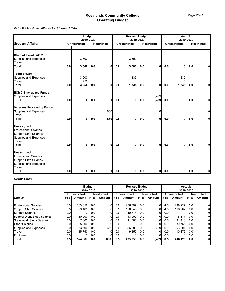### *Exhibit 12a - Expenditures for Student Affairs*

|                                                                                                                                |     |                     | <b>Budget</b><br>2019-2020 |                   | <b>Revised Budget</b><br>2019-2020 |                     |     |                   | <b>Actuals</b><br>2019-2020 |                     |     |                   |
|--------------------------------------------------------------------------------------------------------------------------------|-----|---------------------|----------------------------|-------------------|------------------------------------|---------------------|-----|-------------------|-----------------------------|---------------------|-----|-------------------|
| <b>Student Affairs</b>                                                                                                         |     | <b>Unrestricted</b> |                            | <b>Restricted</b> |                                    | <b>Unrestricted</b> |     | <b>Restricted</b> |                             | <b>Unrestricted</b> |     | <b>Restricted</b> |
| <b>Student Events 5262</b><br>Supplies and Expenses<br>Travel                                                                  |     | 3,500               |                            |                   |                                    | 3,500               |     |                   |                             | $\Omega$            |     |                   |
| Total                                                                                                                          | 0.0 | 3,500               | 0.0                        | 0                 | 0.0                                | 3,500               | 0.0 | 0                 | 0.0                         | 0                   | 0.0 | 0                 |
| Testing 5265<br>Supplies and Expenses<br>Travel                                                                                |     | 3,000<br>250        |                            |                   |                                    | 1,335               |     |                   |                             | 1,335<br>0          |     |                   |
| Total                                                                                                                          | 0.0 | 3,250               | 0.0                        | 0                 | 0.0                                | 1,335               | 0.0 | 0                 | 0.0                         | 1,335               | 0.0 | 0                 |
| <b>ECMC Emergency Funds</b><br>Supplies and Expenses<br>Total                                                                  | 0.0 | 0                   | 0.0                        | 0                 | 0.0                                | 0                   | 0.0 | 6,499<br>6,499    | 0.0                         | 0                   | 0.0 | 0                 |
| <b>Veterans Processing Funds</b><br>Supplies and Expenses<br>Travel                                                            |     |                     |                            | 650               |                                    |                     |     | O                 |                             |                     |     | $\overline{0}$    |
| Total                                                                                                                          | 0.0 | 0                   | 0.0                        | 650               | 0.0                                | 0                   | 0.0 | 0                 | 0.0                         | 0                   | 0.0 | ΟI                |
| <b>Unassigned</b><br><b>Professional Salaries</b><br><b>Support Staff Salaries</b><br>Supplies and Expenses<br>Travel<br>Total | 0.0 | 0                   | 0.0                        | 0                 | 0.0                                | 0                   | 0.0 | 0                 | 0.0                         | $\mathbf{0}$        | 0.0 | 0                 |
| <b>Unassigned</b><br><b>Professional Salaries</b><br><b>Support Staff Salaries</b><br>Supplies and Expenses<br>Travel          |     |                     |                            |                   |                                    |                     |     |                   |                             |                     |     |                   |
| Total                                                                                                                          | 0.0 | $\mathbf{0}$        | 0.0                        | 0                 | 0.0                                | $\mathbf{0}$        | 0.0 | 0                 | 0.0                         | $\mathbf{0}$        | 0.0 | 0                 |

### *Grand Totals*

|                                    |                  |                                              | <b>Budget</b><br>2019-2020 |                   |     | <b>Revised Budget</b> | 2019-2020  |                   | <b>Actuals</b><br>2019-2020 |              |                   |                |  |
|------------------------------------|------------------|----------------------------------------------|----------------------------|-------------------|-----|-----------------------|------------|-------------------|-----------------------------|--------------|-------------------|----------------|--|
|                                    |                  | Unrestricted                                 |                            | <b>Restricted</b> |     | <b>Unrestricted</b>   |            | <b>Restricted</b> |                             | Unrestricted | <b>Restricted</b> |                |  |
| <b>Details</b>                     | <b>FTE</b>       | <b>FTE</b><br><b>FTE</b><br>Amount<br>Amount |                            |                   |     | Amount                | <b>FTE</b> | Amount            | <b>FTE</b>                  | Amount       | <b>FTE</b>        | Amount         |  |
|                                    |                  |                                              |                            |                   |     |                       |            |                   |                             |              |                   |                |  |
| <b>Professional Salaries</b>       | 6.0              | 333.656                                      | 0.0                        | 01                | 5.0 | 236.899               | 0.0        | 0                 | 4.0                         | 238.927      | 0.0               | $\overline{0}$ |  |
| <b>Support Staff Salaries</b>      | 3.5              | 99,161                                       | 0.0                        |                   | 3.5 | 128.045               | 0.0        | 0                 | 4.5                         | 116.202      | 0.0 <sub>l</sub>  | $\overline{0}$ |  |
| <b>Student Salaries</b>            | 0.0              |                                              | 0.0                        |                   | 0.0 | 40,774                | 0.0        | 0                 | 0.0                         |              | 0.0               | $\overline{0}$ |  |
| <b>Federal Work Study Salaries</b> | 0.0              | 10,000                                       | 0.0                        |                   | 0.0 | 13,000                | 0.0        | 01                | 0.0                         | 15,147       | 0.0 <sub>l</sub>  | $\overline{0}$ |  |
| <b>State Work Study Salaries</b>   | 0.0              | 7,600                                        | 0.0                        | ٥I                | 0.0 | 11,500                | 0.01       | 01                | 0.0                         | 31,416       | 0.0               | $\overline{0}$ |  |
| <b>Other Salaries</b>              | 0.01             | 5,000                                        | 0.0                        |                   | 0.0 |                       | 0.0        | 01                | 0.0                         | 30,755       | 0.0               | $\overline{0}$ |  |
| Supplies and Expenses              | 0.0 <sub>l</sub> | 53,500                                       | 0.0                        | 650               | 0.0 | 56,285                | 0.0        | 6,499             | 0.01                        | 53,801       | 0.0 <sub>l</sub>  | $\overline{0}$ |  |
| Travel                             | 0.0              | 15,750                                       | 0.0                        |                   | 0.0 | 9,250                 | 0.0        | 0                 | 0.0                         | 10,176       | 0.0               | $\overline{0}$ |  |
| Equipment                          | 0.0              |                                              | 0.0                        | 0                 | 0.0 |                       | 0.0        | 01                | 0.0                         |              | 0.0               | $\overline{0}$ |  |
| <b>ITotal</b>                      | 9.5              | 524,667                                      | 0.0                        | 650               | 8.5 | 495,753               | 0.0        | 6,499             | 8.5                         | 496,425      | 0.0               | 0              |  |
|                                    |                  |                                              |                            |                   |     |                       |            |                   |                             |              |                   |                |  |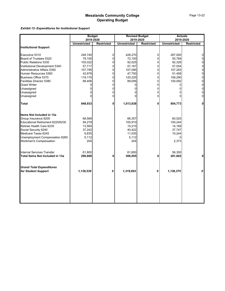*Exhibit 13- Expenditures for Institutional Support*

|                                                        | <b>Budget</b><br>2019-2020 |                   |                     | <b>Revised Budget</b><br>2019-2020 |                     | <b>Actuals</b><br>2019-2020 |
|--------------------------------------------------------|----------------------------|-------------------|---------------------|------------------------------------|---------------------|-----------------------------|
|                                                        | <b>Unrestricted</b>        | <b>Restricted</b> | <b>Unrestricted</b> | <b>Restricted</b>                  | <b>Unrestricted</b> | <b>Restricted</b>           |
| <b>Institutional Support</b>                           |                            |                   |                     |                                    |                     |                             |
| Executive 5310                                         | 248,740                    | 0                 | 428,270             | $\Omega$                           | 287,000             | 0                           |
| Board of Trustees 5320                                 | 79,100                     | $\Omega$          | 72,100              | $\Omega$                           | 50,769              | 0                           |
| Public Relations 5330                                  | 105,022                    | $\Omega$          | 92,025              | $\Omega$                           | 92,329              | 0                           |
| Institutional Development 5340                         | 57,717                     | $\Omega$          | 57,167              | $\Omega$                           | 57,554              | 0                           |
| Administrative Affairs 5350                            | 107,795                    | $\Omega$          | 107,095             | $\Omega$                           | 107,283             | 0                           |
| Human Resources 5360                                   | 42,978                     | 0                 | 47,750              | $\overline{0}$                     | 51,458              | $\mathsf{O}\xspace$         |
| Business Office 5370                                   | 119,175                    | $\mathbf 0$       | 120,225             | $\Omega$                           | 108,290             | $\mathsf{O}\xspace$         |
| Facilities Director 5380                               | 88,406                     | $\Omega$          | 89,006              | $\Omega$                           | 100,092             | $\mathbf 0$                 |
| <b>Grant Writer</b>                                    | 0                          | $\Omega$          | 0                   | $\Omega$                           | 0                   | 0                           |
| Unassigned                                             | $\Omega$                   | $\Omega$          | 0                   | $\Omega$                           | <sup>0</sup>        | 0                           |
| Unassigned                                             | $\Omega$                   | $\Omega$          | 0                   | $\Omega$                           | U                   | 0                           |
| Unassigned                                             | $\Omega$                   | $\Omega$          | 0                   | $\Omega$                           | $\Omega$            | $\mathbf 0$                 |
| <b>Total</b>                                           | 848,933                    | 0                 | 1,013,638           | $\mathbf{0}$                       | 854,773             | $\Omega$                    |
| Items Not Included in 13a                              |                            |                   |                     |                                    |                     |                             |
| Group Insurance 6205                                   | 68,569                     |                   | 66,357              |                                    | 60,525              |                             |
| Educational Retirement 6225/6230                       | 94,279                     |                   | 105,910             |                                    | 100,244             |                             |
| Retiree Health Care 6235                               | 13,565                     |                   | 15,215              |                                    | 14,169              |                             |
| Social Security 6240                                   | 37,242                     |                   | 40,422              |                                    | 37,747              |                             |
| Medicare Taxes 6245                                    | 9,835                      |                   | 11,035              |                                    | 10,244              |                             |
| Unemployment Compensation 6260                         | 5,112                      |                   | 5,112               |                                    | <sup>0</sup>        |                             |
| Workmen's Compensation                                 | 204                        |                   | 204                 |                                    | 2,373               |                             |
| <b>Internal Services Transfer</b>                      | 61,800                     |                   | 61,800              |                                    | 56,300              |                             |
| Total Items Not Included in 13a                        | 290,606                    | 0                 | 306,055             | $\bf{0}$                           | 281,602             | 0                           |
|                                                        |                            |                   |                     |                                    |                     |                             |
| <b>Grand Total Expenditures</b><br>for Student Support | 1,139,539                  | 0                 | 1,319,693           | 0                                  | 1,136,375           | 0                           |
|                                                        |                            |                   |                     |                                    |                     |                             |
|                                                        |                            |                   |                     |                                    |                     |                             |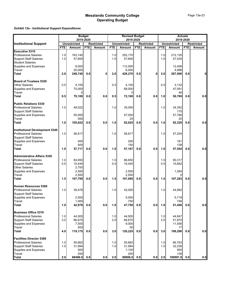### *Exhibit 13a - Institutional Support Expenditures*

|                                       | <b>Budget</b><br>2019-2020 |                     |            |                   | <b>Revised Budget</b> |                     |            | <b>Actuals</b><br>2019-2020 |            |                     |            |                   |
|---------------------------------------|----------------------------|---------------------|------------|-------------------|-----------------------|---------------------|------------|-----------------------------|------------|---------------------|------------|-------------------|
|                                       |                            |                     |            |                   |                       | 2019-2020           |            |                             |            |                     |            |                   |
| <b>Institutional Support</b>          |                            | <b>Unrestricted</b> |            | <b>Restricted</b> |                       | <b>Unrestricted</b> |            | <b>Restricted</b>           |            | <b>Unrestricted</b> |            | <b>Restricted</b> |
| <b>Executive 5310</b>                 | FTE                        | <b>Amount</b>       | <b>FTE</b> | Amount            | <b>FTE</b>            | <b>Amount</b>       | <b>FTE</b> | <b>Amount</b>               | <b>FTE</b> | <b>Amount</b>       | <b>FTE</b> | Amount            |
| <b>Professional Salaries</b>          | 1.0                        | 163.140             |            |                   | 1.0                   | 252,170             |            |                             | 1.0        | 212,125             |            |                   |
| <b>Support Staff Salaries</b>         | 1.0                        | 57,600              |            |                   | 1.0                   | 57,600              |            |                             | 1.0        | 57,430              |            |                   |
| <b>Student Salaries</b>               |                            |                     |            |                   |                       |                     |            |                             |            |                     |            |                   |
| Supplies and Expenses                 |                            | 8,000               |            |                   |                       | 112,500             |            |                             |            | 12,456              |            |                   |
| Travel                                |                            | 20,000              |            |                   |                       | 6,000               |            |                             |            | 4,988               |            |                   |
| <b>Total</b>                          | 2.0                        | 248,740             | 0.0        | 0                 | 2.0                   | 428,270             | 0.0        | 0                           | 2.0        | 287,000             | 0.0        | 0                 |
| <b>Board of Trustees 5320</b>         |                            |                     |            |                   |                       |                     |            |                             |            |                     |            |                   |
| <b>Other Salaries</b>                 | 0.5                        | 4,100               |            |                   | 0.5                   | 4,100               |            |                             | 0.5        | 3,132               |            |                   |
|                                       |                            | 75,000              |            |                   |                       | 68,000              |            |                             |            | 47,591              |            |                   |
| Supplies and Expenses<br>Travel       |                            | 0                   |            |                   |                       | 0                   |            |                             |            | 46                  |            |                   |
| Total                                 | 0.5                        | 79,100              | 0.0        | 0.0               | 0.5                   | 72,100              | 0.0        | 0.0                         | 1.0        | 50,769              | 0.0        | 0.0               |
| <b>Public Relations 5330</b>          |                            |                     |            |                   |                       |                     |            |                             |            |                     |            |                   |
| <b>Professional Salaries</b>          | 1.0                        | 49,522              |            |                   | 1.0                   | 35,000              |            |                             | 1.0        | 34,352              |            |                   |
| <b>Support Staff Salaries</b>         |                            |                     |            |                   |                       |                     |            |                             |            | 170                 |            |                   |
| Supplies and Expenses<br>Travel       |                            | 55,000              |            |                   |                       | 57,000              |            |                             |            | 57,786              |            |                   |
|                                       |                            | 500                 |            |                   |                       | 25                  |            |                             |            | 20                  |            |                   |
| <b>Total</b>                          | 1.0                        | 105,022             | 0.0        | 0.0               | 1.0                   | 92,025              | 0.0        | 0.0                         | 1.0        | 92,329              | 0.0        | 0.0               |
| <b>Institutional Development 5340</b> |                            |                     |            |                   |                       |                     |            |                             |            |                     |            |                   |
| <b>Professional Salaries</b>          | 1.0                        | 56,817              |            |                   | 1.0                   | 56,817              |            |                             | 1.0        | 57,254              |            |                   |
| <b>Support Staff Salaries</b>         |                            |                     |            |                   |                       |                     |            |                             |            |                     |            |                   |
|                                       |                            | 400                 |            |                   |                       | 200                 |            |                             |            | 161                 |            |                   |
| Supplies and Expenses<br>Travel       |                            | 500                 |            |                   |                       | 150                 |            |                             |            | 138                 |            |                   |
| <b>Total</b>                          | 1.0                        | 57,717              | 0.0        | 0.0               | 1.0                   | 57,167              | 0.0        | 0.0                         | 1.0        | 57,554              | 0.0        | 0.0               |
| <b>Administrative Affairs 5350</b>    |                            |                     |            |                   |                       |                     |            |                             |            |                     |            |                   |
| <b>Professional Salaries</b>          | 1.0                        | 84,650              |            |                   | 1.0                   | 86,650              |            |                             | 1.0        | 90,317              |            |                   |
| <b>Support Staff Salaries</b>         | 0.5                        | 15,445              |            |                   | 0.5                   | 15,445              |            |                             | 0.5        | 15,682              |            |                   |
| Other Salaries                        |                            | 2,700               |            |                   |                       |                     |            |                             |            |                     |            |                   |
| Supplies and Expenses                 |                            | 2,500               |            |                   |                       | 2,500               |            |                             |            | 1,284               |            |                   |
| Travel                                |                            | 2,500               |            |                   |                       | 2,500               |            |                             |            |                     |            |                   |
| <b>Total</b>                          | 1.5                        | 107,795             | 0.0        | 0.0               | 1.5                   | 107,095             | 0.0        | 0.0                         | 1.5        | 107,283             | 0.0        | 0.0               |
| Human Resources 5360                  |                            |                     |            |                   |                       |                     |            |                             |            |                     |            |                   |
| <b>Professional Salaries</b>          | 1.0                        | 39,478              |            |                   | 1.0                   | 42,000              |            |                             | 1.0        | 44,992              |            |                   |
| <b>Support Staff Salaries</b>         |                            |                     |            |                   |                       |                     |            |                             |            |                     |            |                   |
| Supplies and Expenses                 |                            | 2,500               |            |                   |                       | 5,000               |            |                             |            | 5,719               |            |                   |
| Travel<br>Total                       |                            | 1,000               |            |                   |                       | 750                 |            |                             |            | 746                 |            |                   |
|                                       | 1.0                        | 42,978              | 0.0        | 0.0               | 1.0                   | 47,750              | 0.0        | 0.0                         | 1.0        | 51,458              | 0.0        | 0.0               |
| <b>Business Office 5370</b>           |                            |                     |            |                   |                       |                     |            |                             |            |                     |            |                   |
| <b>Professional Salaries</b>          | 1.0                        | 44,505              |            |                   | 1.0                   | 44,505              |            |                             | 1.0        | 44,847              |            |                   |
| <b>Support Staff Salaries</b>         | 3.0                        | 66,670              |            |                   | 2.0                   | 66,670              |            |                             | 2.0        | 51,870              |            |                   |
| Supplies and Expenses                 |                            | 7,500               |            |                   |                       | 9,000               |            |                             |            | 11,556              |            |                   |
| <b>Travel</b>                         |                            | 500                 |            |                   |                       | 50                  |            |                             |            | 17                  |            |                   |
| <b>Total</b>                          | 4.0                        | 119,175             | 0.0        | $0.0\,$           | 3.0                   | 120,225             | 0.0        | 0.0                         | 3.0        | 108,290             | 0.0        | 0.0               |
| <b>Facilities Director 5380</b>       |                            |                     |            |                   |                       |                     |            |                             |            |                     |            |                   |
| <b>Professional Salaries</b>          | 1.0                        | 55,662              |            |                   | 1.0                   | 55,662              |            |                             | 1.0        | 66,763              |            |                   |
| <b>Support Staff Salaries</b>         | 1.0                        | 31,994              |            |                   | 1.0                   | 31,994              |            |                             | 1.0        | 32,236              |            |                   |
| Supplies and Expenses                 |                            | 500                 |            |                   |                       | 1,100               |            |                             |            | 955                 |            |                   |
| Travel                                |                            | 250                 |            |                   |                       | 250                 |            |                             |            | 138                 |            |                   |
| <b>Total</b>                          | 2.0                        | 88406.0             | 0.0        | 0.0               | 2.0                   | 89006.0             | 0.0        | 0.0                         | 2.0        | 100091.8            | 0.0        | 0.0               |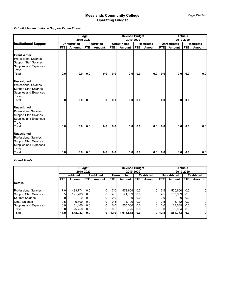### *Exhibit 13a - Institutional Support Expenditures*

|                               | <b>Budget</b><br>2019-2020 |                     |            |                   |            | <b>Revised Budget</b><br>2019-2020 |            |                   | <b>Actuals</b><br>2019-2020 |                     |            |                   |
|-------------------------------|----------------------------|---------------------|------------|-------------------|------------|------------------------------------|------------|-------------------|-----------------------------|---------------------|------------|-------------------|
| <b>Institutional Support</b>  |                            | <b>Unrestricted</b> |            | <b>Restricted</b> |            | <b>Unrestricted</b>                |            | <b>Restricted</b> |                             | <b>Unrestricted</b> |            | <b>Restricted</b> |
|                               | <b>FTE</b>                 | <b>Amount</b>       | <b>FTE</b> | <b>Amount</b>     | <b>FTE</b> | Amount                             | <b>FTE</b> | Amount            | <b>FTE</b>                  | <b>Amount</b>       | <b>FTE</b> | Amount            |
| <b>Grant Writer</b>           |                            |                     |            |                   |            |                                    |            |                   |                             |                     |            |                   |
| <b>Professional Salaries</b>  |                            |                     |            |                   |            |                                    |            |                   |                             |                     |            |                   |
| <b>Support Staff Salaries</b> |                            |                     |            |                   |            |                                    |            |                   |                             |                     |            |                   |
| Supplies and Expenses         |                            |                     |            |                   |            |                                    |            |                   |                             |                     |            |                   |
| Travel                        |                            |                     |            |                   |            |                                    |            |                   |                             |                     |            |                   |
| Total                         | 0.0                        | 0.0                 | 0.0        | 0.0               | 0.0        | 0.0                                | 0.0        | 0.0               | 0.0                         | 0.0                 | 0.0        | 0.0               |
| <b>Unassigned</b>             |                            |                     |            |                   |            |                                    |            |                   |                             |                     |            |                   |
| <b>Professional Salaries</b>  |                            |                     |            |                   |            |                                    |            |                   |                             |                     |            |                   |
| <b>Support Staff Salaries</b> |                            |                     |            |                   |            |                                    |            |                   |                             |                     |            |                   |
| Supplies and Expenses         |                            |                     |            |                   |            |                                    |            |                   |                             |                     |            |                   |
| Travel                        |                            |                     |            |                   |            |                                    |            |                   |                             |                     |            |                   |
| Total                         | 0.0                        | 0.0 <sub>l</sub>    | 0.0        | <sup>0</sup>      | 0.0        | 0.0                                | 0.0        | $\mathbf{0}$      | 0.0                         | 0.0                 | 0.0        |                   |
| <b>Unassigned</b>             |                            |                     |            |                   |            |                                    |            |                   |                             |                     |            |                   |
| <b>Professional Salaries</b>  |                            |                     |            |                   |            |                                    |            |                   |                             |                     |            |                   |
| <b>Support Staff Salaries</b> |                            |                     |            |                   |            |                                    |            |                   |                             |                     |            |                   |
| Supplies and Expenses         |                            |                     |            |                   |            |                                    |            |                   |                             |                     |            |                   |
| <b>Travel</b>                 |                            |                     |            |                   |            |                                    |            |                   |                             |                     |            |                   |
| <b>Total</b>                  | 0.0                        | 0.0 <sub>l</sub>    | 0.0        | 0.0               | 0.0        | 0.0                                | 0.0        | 0.0               | 0.0                         | 0.0                 | 0.0        | 0.0               |
| <b>Unassigned</b>             |                            |                     |            |                   |            |                                    |            |                   |                             |                     |            |                   |
| <b>Professional Salaries</b>  |                            |                     |            |                   |            |                                    |            |                   |                             |                     |            |                   |
| <b>Support Staff Salaries</b> |                            |                     |            |                   |            |                                    |            |                   |                             |                     |            |                   |
| Supplies and Expenses         |                            |                     |            |                   |            |                                    |            |                   |                             |                     |            |                   |
| Travel                        |                            |                     |            |                   |            |                                    |            |                   |                             |                     |            |                   |
| <b>Total</b>                  | 0.0                        | 0.0                 | 0.0        | 0.0               | 0.0        | 0.0                                | 0.0        |                   | $0.0$ 0.0                   | 0.0                 | 0.0        | 0.0               |

#### *Grand Totals*

|                               |      |                                   | <b>Budget</b> |                |      | <b>Revised Budget</b> |                  | <b>Actuals</b>    |            |                     |                   |        |
|-------------------------------|------|-----------------------------------|---------------|----------------|------|-----------------------|------------------|-------------------|------------|---------------------|-------------------|--------|
|                               |      |                                   | 2019-2020     |                |      | 2019-2020             |                  |                   |            |                     | 2019-2020         |        |
|                               |      | <b>Restricted</b><br>Unrestricted |               |                |      | <b>Unrestricted</b>   |                  | <b>Restricted</b> |            | <b>Unrestricted</b> | <b>Restricted</b> |        |
|                               | FTE. | <b>FTE</b><br>Amount<br>Amount    |               |                | FTE. | Amount                | <b>FTE</b>       | Amount            | <b>FTE</b> | Amount              | <b>FTE</b>        | Amount |
| <b>Details</b>                |      |                                   |               |                |      |                       |                  |                   |            |                     |                   |        |
| <b>Professional Salaries</b>  | 7.0  | 493.774                           | 0.0           | $\overline{0}$ | 7.0  | 572,804               | 0.0 <sub>l</sub> |                   | 7.5        | 550.650             | 0.0               | 01     |
| <b>Support Staff Salaries</b> | 5.5  | 171.709                           | 0.0           | 01             | 4.5  | 171.709               | 0.0 <sub>l</sub> |                   | 4.5        | 157,389             | 0.0               | 01     |
| <b>Student Salaries</b>       | 0.0  |                                   | 0.0           | $\overline{0}$ | 0.0  |                       | 0.0              | 0                 | 0.0        | 01                  | 0.0               | 01     |
| <b>Other Salaries</b>         | 0.5  | 6,800                             | 0.0           | $\overline{0}$ | 0.5  | 4,100                 | 0.01             |                   | 0.5        | 3,132               | 0.0               | 01     |
| Supplies and Expenses         | 0.0  | 151.400                           | 0.0           | $\overline{0}$ | 0.0  | 255,300               | 0.01             | $\Omega$          | 0.0        | 137.509             | 0.0               | 01     |
| Travel                        | 0.0  | 25.250                            | 0.0           | $\overline{0}$ | 0.0  | 9.725                 | 0.0 <sub>l</sub> | 0                 | 0.01       | 6.094               | 0.0               | 01     |
| Total                         | 13.0 | 848.933                           | 0.0           | 0              | 12.0 | 1,013,638             | 0.0 <sub>l</sub> | 01                | 12.5       | 854,773             | 0.0               | 01     |
|                               |      |                                   |               |                |      |                       |                  |                   |            |                     |                   |        |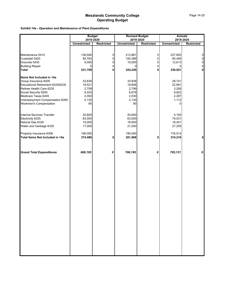### *Exhibit 14a - Operation and Maintenance of Plant Expenditures*

|                                                          | <b>Budget</b>       |                   | <b>Revised Budget</b> |                     | <b>Actuals</b>      |                            |
|----------------------------------------------------------|---------------------|-------------------|-----------------------|---------------------|---------------------|----------------------------|
|                                                          | 2019-2020           |                   |                       | 2019-2020           | 2019-2020           |                            |
|                                                          | <b>Unrestricted</b> | <b>Restricted</b> | <b>Unrestricted</b>   | <b>Restricted</b>   | <b>Unrestricted</b> | <b>Restricted</b>          |
|                                                          |                     |                   |                       |                     |                     |                            |
|                                                          |                     |                   |                       |                     |                     |                            |
| Maintenance 5410<br>Custodial 5420                       | 136,926             | 0<br>0            | 213,861               | 0                   | 227,852             | $\overline{0}$             |
| Grounds 5430                                             | 85,783              | $\Omega$          | 100,368               | 0<br>$\overline{0}$ | 90,456              | $\mathbf 0$                |
|                                                          | 9,000<br>$\Omega$   | 0                 | 10,000<br>$\Omega$    | $\overline{0}$      | 12,613              | $\mathbf 0$<br>$\mathbf 0$ |
| <b>Building Repair</b><br>Total                          |                     | 0                 |                       | 0                   | $\Omega$<br>330,921 | $\mathbf{0}$               |
|                                                          | 231,709             |                   | 324,229               |                     |                     |                            |
| Items Not Included in 14a                                |                     |                   |                       |                     |                     |                            |
|                                                          | 33,838              |                   | 33,838                |                     | 28,741              |                            |
| Group Insurance 6205<br>Educational Retirement 6225/6230 | 19,521              |                   | 19,806                |                     | 22,681              |                            |
| Retiree Health Care 6235                                 | 2,759               |                   | 2,799                 |                     | 3,206               |                            |
|                                                          | 8,553               |                   | 8,678                 |                     | 9,822               |                            |
| Social Security 6240<br>Medicare Taxes 6245              | 2,000               |                   | 2,030                 |                     | 2,297               |                            |
| Unemployment Compensation 6260                           | 2,130               |                   | 2,130                 |                     | 1,112               |                            |
| <b>Workmen's Compensation</b>                            | 85                  |                   | 85                    |                     | $\Omega$            |                            |
|                                                          |                     |                   |                       |                     |                     |                            |
|                                                          |                     |                   |                       |                     |                     |                            |
| Internal Services Transfer                               | 20,600              |                   | 20,600                |                     | 5,100               |                            |
| Electricity 6325<br>Natural Gas 6330                     | 63,000              |                   | 63,000                |                     | 79,031              |                            |
|                                                          | 15,000              |                   | 18,000                |                     | 18,451              |                            |
| Water and Garbage 6335                                   | 17,000              |                   | 21,000                |                     | 27,255              |                            |
|                                                          |                     |                   |                       |                     |                     |                            |
| Property Insurance 6306                                  | 190,000             |                   | 190,000               |                     | 176,514             |                            |
| Total Items Not Included in 14a                          | 374,486             | 0                 | 381,966               | 0                   | 374,210             | $\mathbf{0}$               |
|                                                          |                     |                   |                       |                     |                     |                            |
| <b>Grand Total Expenditures</b>                          | 606,195             | 0                 | 706,195               | 0                   | 705,131             | 0                          |
|                                                          |                     |                   |                       |                     |                     |                            |
|                                                          |                     |                   |                       |                     |                     |                            |
|                                                          |                     |                   |                       |                     |                     |                            |
|                                                          |                     |                   |                       |                     |                     |                            |
|                                                          |                     |                   |                       |                     |                     |                            |
|                                                          |                     |                   |                       |                     |                     |                            |
|                                                          |                     |                   |                       |                     |                     |                            |
|                                                          |                     |                   |                       |                     |                     |                            |
|                                                          |                     |                   |                       |                     |                     |                            |
|                                                          |                     |                   |                       |                     |                     |                            |
|                                                          |                     |                   |                       |                     |                     |                            |
|                                                          |                     |                   |                       |                     |                     |                            |
|                                                          |                     |                   |                       |                     |                     |                            |
|                                                          |                     |                   |                       |                     |                     |                            |
|                                                          |                     |                   |                       |                     |                     |                            |
|                                                          |                     |                   |                       |                     |                     |                            |
|                                                          |                     |                   |                       |                     |                     |                            |
|                                                          |                     |                   |                       |                     |                     |                            |
|                                                          |                     |                   |                       |                     |                     |                            |
|                                                          |                     |                   |                       |                     |                     |                            |
|                                                          |                     |                   |                       |                     |                     |                            |
|                                                          |                     |                   |                       |                     |                     |                            |
|                                                          |                     |                   |                       |                     |                     |                            |
|                                                          |                     |                   |                       |                     |                     |                            |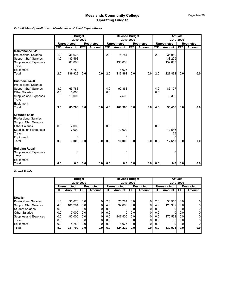### *Exhibit 14a - Operation and Maintenance of Plant Expenditures*

|                               |            | <b>Budget</b>       |            |                   | <b>Revised Budget</b> |                     |            | <b>Actuals</b>    |            |                     |            |                   |
|-------------------------------|------------|---------------------|------------|-------------------|-----------------------|---------------------|------------|-------------------|------------|---------------------|------------|-------------------|
|                               |            |                     | 2019-2020  |                   |                       |                     | 2019-2020  |                   |            |                     | 2019-2020  |                   |
|                               |            | <b>Unrestricted</b> |            | <b>Restricted</b> |                       | <b>Unrestricted</b> |            | <b>Restricted</b> |            | <b>Unrestricted</b> |            | <b>Restricted</b> |
|                               | <b>FTE</b> | Amount              | <b>FTE</b> | <b>Amount</b>     | <b>FTE</b>            | Amount              | <b>FTE</b> | Amount            | <b>FTE</b> | Amount              | <b>FTE</b> | <b>Amount</b>     |
| <b>Maintenance 5410</b>       |            |                     |            |                   |                       |                     |            |                   |            |                     |            |                   |
| <b>Professional Salaries</b>  | 1.0        | 36,678              |            |                   | 2.0                   | 75,784              |            |                   | 2.0        | 36,960              |            |                   |
| <b>Support Staff Salaries</b> | 1.0        | 35,498              |            |                   |                       |                     |            |                   |            | 38,225              |            |                   |
| Supplies and Expenses         |            | 60,000              |            |                   |                       | 130,000             |            |                   |            | 152,667             |            |                   |
| <b>Travel</b>                 |            |                     |            |                   |                       |                     |            |                   |            |                     |            |                   |
| Equipment                     |            | 4,750               |            |                   |                       | 8,077               |            |                   |            |                     |            |                   |
| Total                         | 2.0        | 136,926             | 0.0        | 0.0               | 2.0                   | 213,861             | 0.0        | 0.0               | 2.0        | 227,852             | 0.0        | 0.0               |
| <b>Custodial 5420</b>         |            |                     |            |                   |                       |                     |            |                   |            |                     |            |                   |
| <b>Professional Salaries</b>  |            |                     |            |                   |                       |                     |            |                   |            |                     |            |                   |
| <b>Support Staff Salaries</b> | 3.0        | 65,783              |            |                   | 4.0                   | 92,868              |            |                   | 4.0        | 85,107              |            |                   |
| <b>Other Salaries</b>         | 0.0        | 5,000               |            |                   | 0.0                   |                     |            |                   | 0.0        |                     |            |                   |
| <b>Supplies and Expenses</b>  |            | 15,000              |            |                   |                       | 7,500               |            |                   |            | 5,350               |            |                   |
| Travel                        |            |                     |            |                   |                       |                     |            |                   |            |                     |            |                   |
| Equipment                     |            |                     |            |                   |                       |                     |            |                   |            |                     |            |                   |
| Total                         | 3.0        | 85,783              | 0.0        | 0.0               | 4.0                   | 100.368             | 0.0        | 0.0               | 4.0        | 90,456              | 0.0        | 0.0               |
| Grounds 5430                  |            |                     |            |                   |                       |                     |            |                   |            |                     |            |                   |
| <b>Professional Salaries</b>  |            |                     |            |                   |                       |                     |            |                   |            |                     |            |                   |
| <b>Support Staff Salaries</b> |            |                     |            |                   |                       |                     |            |                   |            |                     |            |                   |
| <b>Other Salaries</b>         | 0.0        | 2,000               |            |                   | 0.0                   |                     |            |                   | 0.0        |                     |            |                   |
| Supplies and Expenses         |            | 7,000               |            |                   |                       | 10,000              |            |                   |            | 12,546              |            |                   |
| <b>Travel</b>                 |            |                     |            |                   |                       |                     |            |                   |            | 68                  |            |                   |
| Equipment                     |            | 0                   |            |                   |                       | 0                   |            |                   |            | $\Omega$            |            |                   |
| <b>Total</b>                  | 0.0        | 9,000               | 0.0        | 0.0               | 0.0                   | 10,000              | 0.0        | 0.0               | 0.0        | 12,613              | 0.0        | 0.0               |
| <b>Building Repair</b>        |            |                     |            |                   |                       |                     |            |                   |            |                     |            |                   |
| Supplies and Expenses         |            | U                   |            |                   |                       |                     |            |                   |            | $\Omega$            |            |                   |
| Travel                        |            |                     |            |                   |                       |                     |            |                   |            |                     |            |                   |
| Equipment                     |            |                     |            |                   |                       |                     |            |                   |            |                     |            |                   |
| <b>Total</b>                  | 0.0        | 0.0                 | 0.0        | 0.0               | 0.0                   | 0.0                 | 0.0        | 0.0               | 0.0        | 0.0 <sub>l</sub>    | 0.0        | 0.0               |

#### *Grand Totals*

|                               |            | <b>Budget</b>                                    |                  |          | <b>Revised Budget</b> |                     |                      | <b>Actuals</b>    |                  |                     |                   |               |
|-------------------------------|------------|--------------------------------------------------|------------------|----------|-----------------------|---------------------|----------------------|-------------------|------------------|---------------------|-------------------|---------------|
|                               |            |                                                  | 2019-2020        |          |                       |                     | 2019-2020            |                   |                  | 2019-2020           |                   |               |
|                               |            | <b>Restricted</b><br><b>Unrestricted</b><br>FTE. |                  |          |                       | <b>Unrestricted</b> |                      | <b>Restricted</b> |                  | <b>Unrestricted</b> | <b>Restricted</b> |               |
|                               | <b>FTE</b> | Amount                                           |                  | Amount   | <b>FTE</b>            | Amount              | <b>FTE</b><br>Amount |                   | <b>FTE</b>       | Amount              | <b>FTE</b>        | <b>Amount</b> |
|                               |            |                                                  |                  |          |                       |                     |                      |                   |                  |                     |                   |               |
| <b>Details</b>                |            |                                                  |                  |          |                       |                     |                      |                   |                  |                     |                   |               |
| <b>Professional Salaries</b>  | 1.0        | 36.678                                           | 0.0 <sub>l</sub> |          | 2.0                   | 75.784              | 0.01                 | 0                 | 2.0              | 36.960              | 0.0               | 01            |
| <b>Support Staff Salaries</b> | 4.0        | 101,281                                          | 0.0              |          | 4.0                   | 92,868              | 0.0 <sub>l</sub>     | 01                | 4.0              | 123,332             | 0.0               | 01            |
| <b>Student Salaries</b>       | 0.0        |                                                  | 0.01             | 0        | 0.01                  |                     | 0.0 <sub>l</sub>     | 0                 | 0.0 <sub>l</sub> |                     | 0.0               | 01            |
| <b>Other Salaries</b>         | 0.0        | 7,000                                            | 0.0              | 0        | 0.0                   |                     | 0.0 <sub>l</sub>     | 0                 | 0.0              |                     | 0.0               | 01            |
| Supplies and Expenses         | 0.0        | 82.000                                           | 0.01             | $\Omega$ | 0.01                  | 147,500             | 0.0 <sub>l</sub>     | 0                 | 0.0              | 170,562             | 0.0               | 01            |
| Travel                        | 0.0        |                                                  | 0.0              | 0        | 0.0                   |                     | 0.01                 | 0                 | 0.0 <sub>l</sub> | 68                  | 0.0               | 01            |
| Equipment                     | 0.0        | 4.750                                            | 0.01             | 0        | 0.01                  | 8.077               | 0.0 <sub>l</sub>     | $\overline{0}$    | 0.0              |                     | 0.0               | 01            |
| <b>ITotal</b>                 | 5.0        | 231,709                                          | 0.01             | 0.0      | 6.0                   | 324.229             | 0.01                 | 0.0               | 6.0              | 330,921             | 0.0               | 0.0           |
|                               |            |                                                  |                  |          |                       |                     |                      |                   |                  |                     |                   |               |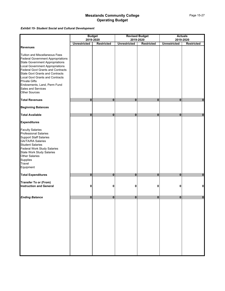*Exhibit 15- Student Social and Cultural Development*

|                                          |                     | <b>Budget</b>     |                     | <b>Revised Budget</b> |                     | <b>Actuals</b>    |
|------------------------------------------|---------------------|-------------------|---------------------|-----------------------|---------------------|-------------------|
|                                          |                     | 2019-2020         |                     | 2019-2020             |                     | 2019-2020         |
| <b>Revenues</b>                          | <b>Unrestricted</b> | <b>Restricted</b> | <b>Unrestricted</b> | <b>Restricted</b>     | <b>Unrestricted</b> | <b>Restricted</b> |
|                                          |                     |                   |                     |                       |                     |                   |
| <b>Tuition and Miscellaneous Fees</b>    |                     |                   |                     |                       |                     |                   |
| <b>Federal Government Appropriations</b> |                     |                   |                     |                       |                     |                   |
| <b>State Government Appropriations</b>   |                     |                   |                     |                       |                     |                   |
| <b>Local Government Appropriations</b>   |                     |                   |                     |                       |                     |                   |
| <b>Federal Govt Grants and Contracts</b> |                     |                   |                     |                       |                     |                   |
| <b>State Govt Grants and Contracts</b>   |                     |                   |                     |                       |                     |                   |
| <b>Local Govt Grants and Contracts</b>   |                     |                   |                     |                       |                     |                   |
| <b>Private Gifts</b>                     |                     |                   |                     |                       |                     |                   |
| Endowments, Land, Perm Fund              |                     |                   |                     |                       |                     |                   |
| Sales and Services                       |                     |                   |                     |                       |                     |                   |
| <b>Other Sources</b>                     |                     |                   |                     |                       |                     |                   |
|                                          |                     |                   |                     |                       |                     |                   |
| <b>Total Revenues</b>                    | $\bf{0}$            | $\mathbf{0}$      | $\bf{0}$            | $\bf{0}$              | 0                   | $\mathbf{0}$      |
| <b>Beginning Balances</b>                |                     |                   |                     |                       |                     |                   |
| <b>Total Available</b>                   | $\mathbf{0}$        | $\mathbf{0}$      | $\bf{0}$            | $\mathbf{0}$          | $\bf{0}$            | $\pmb{0}$         |
| <b>Expenditures</b>                      |                     |                   |                     |                       |                     |                   |
| <b>Faculty Salaries</b>                  |                     |                   |                     |                       |                     |                   |
| <b>Professional Salaries</b>             |                     |                   |                     |                       |                     |                   |
| <b>Support Staff Salaries</b>            |                     |                   |                     |                       |                     |                   |
| <b>GA/TA/RA Salaries</b>                 |                     |                   |                     |                       |                     |                   |
| <b>Student Salaries</b>                  |                     |                   |                     |                       |                     |                   |
| Federal Work Study Salaries              |                     |                   |                     |                       |                     |                   |
| <b>State Work Study Salaries</b>         |                     |                   |                     |                       |                     |                   |
| <b>Other Salaries</b>                    |                     |                   |                     |                       |                     |                   |
| Supplies                                 |                     |                   |                     |                       |                     |                   |
| Travel                                   |                     |                   |                     |                       |                     |                   |
| Equipment                                |                     |                   |                     |                       |                     |                   |
| <b>Total Expenditures</b>                | $\bf{0}$            | $\bf{0}$          | $\bf{0}$            | $\bf{0}$              | 0                   | $\mathbf 0$       |
| <b>Transfer To or (From)</b>             |                     |                   |                     |                       |                     |                   |
| <b>Instruction and General</b>           | 0                   | 0                 | 0                   | 0                     | Ω                   | $\pmb{0}$         |
|                                          |                     |                   |                     |                       |                     |                   |
| <b>Ending Balance</b>                    | $\bf{0}$            | $\mathbf{0}$      | $\mathbf{0}$        | $\mathbf{0}$          | $\bf{0}$            | $\bf{0}$          |
|                                          |                     |                   |                     |                       |                     |                   |
|                                          |                     |                   |                     |                       |                     |                   |
|                                          |                     |                   |                     |                       |                     |                   |
|                                          |                     |                   |                     |                       |                     |                   |
|                                          |                     |                   |                     |                       |                     |                   |
|                                          |                     |                   |                     |                       |                     |                   |
|                                          |                     |                   |                     |                       |                     |                   |
|                                          |                     |                   |                     |                       |                     |                   |
|                                          |                     |                   |                     |                       |                     |                   |
|                                          |                     |                   |                     |                       |                     |                   |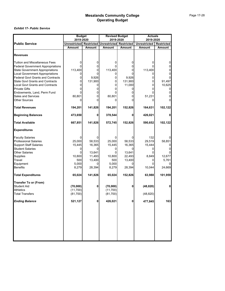|                                          | <b>Budget</b> |                   | <b>Revised Budget</b>          |               | <b>Actuals</b>      |                   |
|------------------------------------------|---------------|-------------------|--------------------------------|---------------|---------------------|-------------------|
|                                          | 2019-2020     |                   | 2019-2020                      |               | 2019-2020           |                   |
| <b>Public Service</b>                    | Unrestricted  | <b>Restricted</b> | <b>Unrestricted Restricted</b> |               | <b>Unrestricted</b> | <b>Restricted</b> |
|                                          | Amount        | <b>Amount</b>     | Amount                         | <b>Amount</b> | <b>Amount</b>       | <b>Amount</b>     |
|                                          |               |                   |                                |               |                     |                   |
| <b>Revenues</b>                          |               |                   |                                |               |                     |                   |
| <b>Tuition and Miscellaneous Fees</b>    |               | 0                 | 0                              | 0             | 0                   |                   |
| <b>Federal Government Appropriations</b> |               | 0                 |                                | 0             |                     |                   |
| <b>State Government Appropriations</b>   | 113,400       | 0                 | 113,400                        | 0             | 113,400             |                   |
| <b>Local Government Appropriations</b>   | 0             | 0                 | 0                              |               | 0                   |                   |
| <b>Federal Govt Grants and Contracts</b> | 0             | 9,926             | 0                              | 9,926         |                     |                   |
| <b>State Govt Grants and Contracts</b>   | 0             | 131,900           | 0                              | 131,900       | 0                   | 91,497            |
| <b>Local Govt Grants and Contracts</b>   |               | 0                 | U                              | 11,000        | 0                   | 10,625            |
| <b>Private Gifts</b>                     | 0             | 0                 | 0                              | 0             | 0                   | 0                 |
| Endowments, Land, Perm Fund              |               | 0                 |                                |               |                     |                   |
| <b>Sales and Services</b>                | 80,801        | 0                 | 80,801                         | 0             | 51,231              |                   |
| <b>Other Sources</b>                     | 0             | O                 | 0                              | U             | 0                   |                   |
| Total Revenues                           | 194,201       | 141,826           | 194,201                        | 152,826       | 164,631             | 102,122           |
| <b>Beginning Balances</b>                | 473,650       | 0                 | 378,544                        | 0             | 426,021             |                   |
| <b>Total Available</b>                   | 667,851       | 141,826           | 572,745                        | 152,826       | 590,652             | 102,122           |
| <b>Expenditures</b>                      |               |                   |                                |               |                     |                   |
| <b>Faculty Salaries</b>                  |               | 0                 | 0                              |               | 132                 |                   |
| Professional Salaries                    | 25,000        | 58,533            | 25,000                         | 58,533        | 29,519              | 58,851            |
| <b>Support Staff Salaries</b>            | 15,445        | 16,365            | 15,445                         | 16,365        | 15,444              |                   |
| <b>Student Salaries</b>                  | 0             | 0                 | 0                              | 0             | 0                   |                   |
| <b>Other Salaries</b>                    | U             | 13,641            | 0                              | 13,641        |                     |                   |
| Supplies                                 | 10,800        | 11,493            | 10,800                         | 22,493        | 8,849               | 12,677            |
| Travel                                   | 500           | 13,400            | 500                            | 13,400        |                     | 5,761             |
| Equipment                                | 5,000         | 0                 | 5,000                          |               | U                   |                   |
| <b>Benefits</b>                          | 8,279         | 28,394            | 8,279                          | 28,394        | 10,044              | 24,669            |
| <b>Total Expenditures</b>                | 65,024        | 141,826           | 65,024                         | 152,826       | 63,988              | 101,959           |
| Transfer To or (From)                    |               |                   |                                |               |                     |                   |
| <b>Student Aid</b>                       | (70,000)      | 0                 | (70,000)                       | 0             | (48, 820)           |                   |
| <b>Athletics</b>                         | (11,700)      |                   | (11,700)                       |               |                     |                   |
| <b>Total Transfers</b>                   | (81,700)      |                   | (81,700)                       |               | (48, 820)           |                   |
| <b>Ending Balance</b>                    | 521,127       | $\mathbf{0}$      | 426,021                        | 0             | 477,845             | 163               |
|                                          |               |                   |                                |               |                     |                   |
|                                          |               |                   |                                |               |                     |                   |
|                                          |               |                   |                                |               |                     |                   |
|                                          |               |                   |                                |               |                     |                   |
|                                          |               |                   |                                |               |                     |                   |
|                                          |               |                   |                                |               |                     |                   |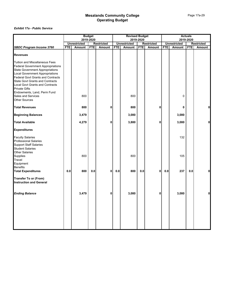|                                                                                                                                                                                                                                                                                                                                                                         |            |                     | <b>Budget</b><br>2019-2020 |                   |            | <b>Revised Budget</b> | 2019-2020  |                   | <b>Actuals</b><br>2019-2020 |                     |            |                   |
|-------------------------------------------------------------------------------------------------------------------------------------------------------------------------------------------------------------------------------------------------------------------------------------------------------------------------------------------------------------------------|------------|---------------------|----------------------------|-------------------|------------|-----------------------|------------|-------------------|-----------------------------|---------------------|------------|-------------------|
|                                                                                                                                                                                                                                                                                                                                                                         |            | <b>Unrestricted</b> |                            | <b>Restricted</b> |            | <b>Unrestricted</b>   |            | <b>Restricted</b> |                             | <b>Unrestricted</b> |            | <b>Restricted</b> |
| <b>SBDC Program Income 3760</b>                                                                                                                                                                                                                                                                                                                                         | <b>FTE</b> | Amount              | <b>FTE</b>                 | Amount            | <b>FTE</b> | Amount                | <b>FTE</b> | <b>Amount</b>     | <b>FTE</b>                  | Amount              | <b>FTE</b> | Amount            |
| <b>Revenues</b>                                                                                                                                                                                                                                                                                                                                                         |            |                     |                            |                   |            |                       |            |                   |                             |                     |            |                   |
| Tuition and Miscellaneous Fees<br><b>Federal Government Appropriations</b><br>State Government Appropriations<br>Local Government Appropriations<br><b>Federal Govt Grants and Contracts</b><br>State Govt Grants and Contracts<br>Local Govt Grants and Contracts<br><b>Private Gifts</b><br>Endowments, Land, Perm Fund<br>Sales and Services<br><b>Other Sources</b> |            | 800                 |                            |                   |            | 800                   |            |                   |                             | 0                   |            |                   |
| <b>Total Revenues</b>                                                                                                                                                                                                                                                                                                                                                   |            | 800                 |                            | 0                 |            | 800                   |            | 0                 |                             | 0                   |            | Οl                |
| <b>Beginning Balances</b>                                                                                                                                                                                                                                                                                                                                               |            | 3,479               |                            |                   |            | 3,080                 |            |                   |                             | 3,080               |            |                   |
| <b>Total Available</b>                                                                                                                                                                                                                                                                                                                                                  |            | 4,279               |                            | 0                 |            | 3,880                 |            | 0                 |                             | 3,080               |            | 0                 |
| <b>Expenditures</b>                                                                                                                                                                                                                                                                                                                                                     |            |                     |                            |                   |            |                       |            |                   |                             |                     |            |                   |
| <b>Faculty Salaries</b><br><b>Professional Salaries</b><br>Support Staff Salaries<br>Student Salaries                                                                                                                                                                                                                                                                   |            |                     |                            |                   |            |                       |            |                   |                             | 132                 |            |                   |
| <b>Other Salaries</b><br>Supplies<br>Travel                                                                                                                                                                                                                                                                                                                             |            | 800                 |                            |                   |            | 800                   |            |                   |                             | 105                 |            |                   |
| Equipment                                                                                                                                                                                                                                                                                                                                                               |            |                     |                            |                   |            |                       |            |                   |                             |                     |            |                   |
| Benefits<br>Total Expenditures                                                                                                                                                                                                                                                                                                                                          | 0.0        | 800                 | 0.0                        | $\mathbf{0}$      | $0.0\,$    | 800                   | 0.0        | $\mathbf{0}$      | 0.0                         | 237                 | 0.0        | 0                 |
| <b>Transfer To or (From)</b><br><b>Instruction and General</b>                                                                                                                                                                                                                                                                                                          |            |                     |                            |                   |            |                       |            |                   |                             |                     |            |                   |
| <b>Ending Balance</b>                                                                                                                                                                                                                                                                                                                                                   |            | 3,479               |                            | 0                 |            | 3,080                 |            | 0                 |                             | 3,080               |            | 0                 |
|                                                                                                                                                                                                                                                                                                                                                                         |            |                     |                            |                   |            |                       |            |                   |                             |                     |            |                   |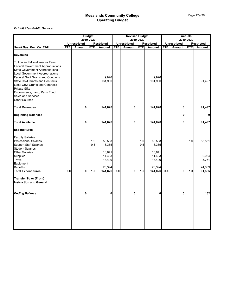|                                                                                                                                                                                                                                                                                                                                                                                                     | <b>Budget</b><br>2019-2020 |                     |            |                            |            | <b>Revised Budget</b> | 2019-2020  |                            |            |                     | <b>Actuals</b><br>2019-2020 |                   |
|-----------------------------------------------------------------------------------------------------------------------------------------------------------------------------------------------------------------------------------------------------------------------------------------------------------------------------------------------------------------------------------------------------|----------------------------|---------------------|------------|----------------------------|------------|-----------------------|------------|----------------------------|------------|---------------------|-----------------------------|-------------------|
|                                                                                                                                                                                                                                                                                                                                                                                                     |                            | <b>Unrestricted</b> |            | <b>Restricted</b>          |            | <b>Unrestricted</b>   |            | <b>Restricted</b>          |            | <b>Unrestricted</b> |                             | <b>Restricted</b> |
| Small Bus. Dev. Ctr. 2701                                                                                                                                                                                                                                                                                                                                                                           | <b>FTE</b>                 | <b>Amount</b>       | <b>FTE</b> | Amount                     | <b>FTE</b> | <b>Amount</b>         | <b>FTE</b> | <b>Amount</b>              | <b>FTE</b> | Amount              | <b>FTE</b>                  | Amount            |
| <b>Revenues</b>                                                                                                                                                                                                                                                                                                                                                                                     |                            |                     |            |                            |            |                       |            |                            |            |                     |                             |                   |
| <b>Tuition and Miscellaneous Fees</b><br><b>Federal Government Appropriations</b><br><b>State Government Appropriations</b><br><b>Local Government Appropriations</b><br><b>Federal Govt Grants and Contracts</b><br><b>State Govt Grants and Contracts</b><br>Local Govt Grants and Contracts<br><b>Private Gifts</b><br>Endowments, Land, Perm Fund<br>Sales and Services<br><b>Other Sources</b> |                            |                     |            | 9,926<br>131,900           |            |                       |            | 9,926<br>131,900           |            |                     |                             | 91,497            |
| <b>Total Revenues</b>                                                                                                                                                                                                                                                                                                                                                                               |                            | 0                   |            | 141,826                    |            | 0                     |            | 141,826                    |            | 0                   |                             | 91,497            |
| <b>Beginning Balances</b>                                                                                                                                                                                                                                                                                                                                                                           |                            |                     |            |                            |            |                       |            |                            |            | 0                   |                             |                   |
| <b>Total Available</b>                                                                                                                                                                                                                                                                                                                                                                              |                            | 0                   |            | 141,826                    |            | 0                     |            | 141,826                    |            | 0                   |                             | 91,497            |
| <b>Expenditures</b>                                                                                                                                                                                                                                                                                                                                                                                 |                            |                     |            |                            |            |                       |            |                            |            |                     |                             |                   |
| <b>Faculty Salaries</b><br><b>Professional Salaries</b><br><b>Support Staff Salaries</b><br><b>Student Salaries</b>                                                                                                                                                                                                                                                                                 |                            |                     | 1.0<br>0.5 | 58,533<br>16,365           |            |                       | 1.0<br>0.5 | 58,533<br>16,365           |            |                     | 1.0                         | 58,851            |
| <b>Other Salaries</b><br>Supplies<br>Travel<br>Equipment                                                                                                                                                                                                                                                                                                                                            |                            |                     |            | 13,641<br>11,493<br>13,400 |            |                       |            | 13,641<br>11,493<br>13,400 |            |                     |                             | 2,084<br>5,761    |
| <b>Benefits</b><br><b>Total Expenditures</b>                                                                                                                                                                                                                                                                                                                                                        | 0.0                        | 0                   | 1.5        | 28,394<br>141,826          | 0.0        | 0                     | 1.5        | 28,394<br>141,826          | 0.0        | 0                   | 1.0                         | 24,669<br>91,365  |
| <b>Transfer To or (From)</b><br><b>Instruction and General</b>                                                                                                                                                                                                                                                                                                                                      |                            |                     |            |                            |            |                       |            |                            |            |                     |                             |                   |
| <b>Ending Balance</b>                                                                                                                                                                                                                                                                                                                                                                               |                            | 0                   |            | 0                          |            | 0                     |            | 0                          |            | 0                   |                             | $132$             |
|                                                                                                                                                                                                                                                                                                                                                                                                     |                            |                     |            |                            |            |                       |            |                            |            |                     |                             |                   |
|                                                                                                                                                                                                                                                                                                                                                                                                     |                            |                     |            |                            |            |                       |            |                            |            |                     |                             |                   |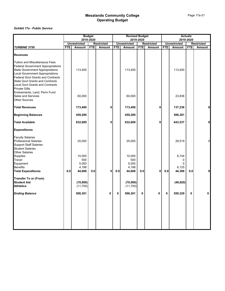|                                                                                                                                                                                                                                                                                                                               |            |                                 | <b>Budget</b> |                   |            | <b>Revised Budget</b>           |            |                   |            |                          | <b>Actuals</b> |                   |
|-------------------------------------------------------------------------------------------------------------------------------------------------------------------------------------------------------------------------------------------------------------------------------------------------------------------------------|------------|---------------------------------|---------------|-------------------|------------|---------------------------------|------------|-------------------|------------|--------------------------|----------------|-------------------|
|                                                                                                                                                                                                                                                                                                                               |            | 2019-2020                       |               |                   |            |                                 | 2019-2020  |                   |            |                          | 2019-2020      |                   |
|                                                                                                                                                                                                                                                                                                                               |            | <b>Unrestricted</b>             |               | <b>Restricted</b> |            | <b>Unrestricted</b>             |            | <b>Restricted</b> |            | <b>Unrestricted</b>      |                | <b>Restricted</b> |
| <b>TURBINE 3750</b>                                                                                                                                                                                                                                                                                                           | <b>FTE</b> | Amount                          | <b>FTE</b>    | Amount            | <b>FTE</b> | <b>Amount</b>                   | <b>FTE</b> | Amount            | <b>FTE</b> | Amount                   | <b>FTE</b>     | <b>Amount</b>     |
| <b>Revenues</b>                                                                                                                                                                                                                                                                                                               |            |                                 |               |                   |            |                                 |            |                   |            |                          |                |                   |
| <b>Tuition and Miscellaneous Fees</b><br><b>Federal Government Appropriations</b><br><b>State Government Appropriations</b><br><b>Local Government Appropriations</b><br><b>Federal Govt Grants and Contracts</b><br><b>State Govt Grants and Contracts</b><br><b>Local Govt Grants and Contracts</b><br><b>Private Gifts</b> |            | 113,400                         |               |                   |            | 113,400                         |            |                   |            | 113,400                  |                |                   |
| Endowments, Land, Perm Fund<br>Sales and Services<br>Other Sources                                                                                                                                                                                                                                                            |            | 60,000                          |               |                   |            | 60,000                          |            |                   |            | 23,836                   |                |                   |
| <b>Total Revenues</b>                                                                                                                                                                                                                                                                                                         |            | 173,400                         |               | $\mathbf 0$       |            | 173,400                         |            | 0                 |            | 137,236                  |                | $\mathbf 0$       |
| <b>Beginning Balances</b>                                                                                                                                                                                                                                                                                                     |            | 459,289                         |               |                   |            | 459,289                         |            |                   |            | 506,301                  |                |                   |
| <b>Total Available</b>                                                                                                                                                                                                                                                                                                        |            | 632,689                         |               | $\mathbf{0}$      |            | 632,689                         |            | 0                 |            | 643,537                  |                | $\mathbf{0}$      |
| <b>Expenditures</b>                                                                                                                                                                                                                                                                                                           |            |                                 |               |                   |            |                                 |            |                   |            |                          |                |                   |
| <b>Faculty Salaries</b><br><b>Professional Salaries</b><br><b>Support Staff Salaries</b><br><b>Student Salaries</b>                                                                                                                                                                                                           |            | 25,000                          |               |                   |            | 25,000                          |            |                   |            | 29,519                   |                | $\Omega$          |
| <b>Other Salaries</b><br>Supplies<br>Travel<br>Equipment<br><b>Benefits</b>                                                                                                                                                                                                                                                   |            | 10,000<br>500<br>5,000<br>4,188 |               |                   |            | 10,000<br>500<br>5,000<br>4,188 |            |                   |            | 8,744<br>0<br>0<br>6,125 |                |                   |
| <b>Total Expenditures</b>                                                                                                                                                                                                                                                                                                     | 0.0        | 44,688                          | $0.0\,$       | 0                 | 0.0        | 44,688                          | 0.0        | 0                 | $0.0\,$    | 44,388                   | 0.0            | 0                 |
| <b>Transfer To or (From)</b><br><b>Student Aid</b><br><b>Athletics</b>                                                                                                                                                                                                                                                        |            | (70,000)<br>(11,700)            |               |                   |            | (70,000)<br>(11,700)            |            |                   |            | (48, 820)                |                |                   |
| <b>Ending Balance</b>                                                                                                                                                                                                                                                                                                         |            | 506,301                         |               | 0                 | 0          | 506,301                         | 0          | 0                 | 0          | 550,329                  | 0              | 0                 |
|                                                                                                                                                                                                                                                                                                                               |            |                                 |               |                   |            |                                 |            |                   |            |                          |                |                   |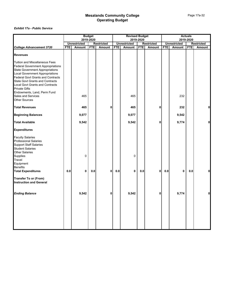|                                                                                                                                                                                                                                                                                                                                                                         | <b>Budget</b><br>2019-2020 |                     |            |                   |            | <b>Revised Budget</b> | 2019-2020  |                   |            |                     | <b>Actuals</b><br>2019-2020 |                   |
|-------------------------------------------------------------------------------------------------------------------------------------------------------------------------------------------------------------------------------------------------------------------------------------------------------------------------------------------------------------------------|----------------------------|---------------------|------------|-------------------|------------|-----------------------|------------|-------------------|------------|---------------------|-----------------------------|-------------------|
|                                                                                                                                                                                                                                                                                                                                                                         |                            | <b>Unrestricted</b> |            | <b>Restricted</b> |            | <b>Unrestricted</b>   |            | <b>Restricted</b> |            | <b>Unrestricted</b> |                             | <b>Restricted</b> |
| <b>College Advancement 3720</b>                                                                                                                                                                                                                                                                                                                                         | <b>FTE</b>                 | Amount              | <b>FTE</b> | Amount            | <b>FTE</b> | Amount                | <b>FTE</b> | Amount            | <b>FTE</b> | Amount              | <b>FTE</b>                  | Amount            |
| <b>Revenues</b>                                                                                                                                                                                                                                                                                                                                                         |                            |                     |            |                   |            |                       |            |                   |            |                     |                             |                   |
| Tuition and Miscellaneous Fees<br><b>Federal Government Appropriations</b><br>State Government Appropriations<br>Local Government Appropriations<br><b>Federal Govt Grants and Contracts</b><br>State Govt Grants and Contracts<br>Local Govt Grants and Contracts<br><b>Private Gifts</b><br>Endowments, Land, Perm Fund<br>Sales and Services<br><b>Other Sources</b> |                            | 465                 |            |                   |            | 465                   |            |                   |            | 232                 |                             |                   |
| <b>Total Revenues</b>                                                                                                                                                                                                                                                                                                                                                   |                            | 465                 |            | 0                 |            | 465                   |            | 0                 |            | 232                 |                             | 0                 |
| <b>Beginning Balances</b>                                                                                                                                                                                                                                                                                                                                               |                            | 9,077               |            |                   |            | 9,077                 |            |                   |            | 9,542               |                             |                   |
| <b>Total Available</b>                                                                                                                                                                                                                                                                                                                                                  |                            | 9,542               |            |                   |            | 9,542                 |            | 0                 |            | 9,774               |                             | O                 |
| <b>Expenditures</b>                                                                                                                                                                                                                                                                                                                                                     |                            |                     |            |                   |            |                       |            |                   |            |                     |                             |                   |
| <b>Faculty Salaries</b><br><b>Professional Salaries</b><br>Support Staff Salaries<br>Student Salaries<br><b>Other Salaries</b><br>Supplies<br>Travel<br>Equipment                                                                                                                                                                                                       |                            | 0                   |            |                   |            | 0                     |            |                   |            |                     |                             |                   |
| Benefits<br>Total Expenditures                                                                                                                                                                                                                                                                                                                                          | 0.0                        | $\mathbf 0$         | 0.0        | $\mathbf{0}$      | 0.0        | 0                     | 0.0        | $\mathbf{0}$      | 0.0        | 0                   | 0.0                         | 0                 |
| <b>Transfer To or (From)</b><br><b>Instruction and General</b>                                                                                                                                                                                                                                                                                                          |                            |                     |            |                   |            |                       |            |                   |            |                     |                             |                   |
| <b>Ending Balance</b>                                                                                                                                                                                                                                                                                                                                                   |                            | 9,542               |            | 0                 |            | 9,542                 |            | 0                 |            | 9,774               |                             | 0                 |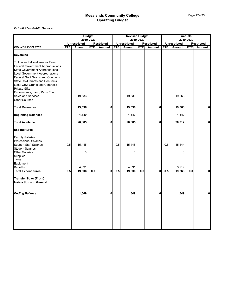|                                                                                                                                                                                                                                                                                                                                                                                                            |            |                       | <b>Budget</b><br>2019-2020 |                   |            | <b>Revised Budget</b> | 2019-2020  |                   |            |                     | <b>Actuals</b><br>2019-2020 |                   |
|------------------------------------------------------------------------------------------------------------------------------------------------------------------------------------------------------------------------------------------------------------------------------------------------------------------------------------------------------------------------------------------------------------|------------|-----------------------|----------------------------|-------------------|------------|-----------------------|------------|-------------------|------------|---------------------|-----------------------------|-------------------|
|                                                                                                                                                                                                                                                                                                                                                                                                            |            | <b>Unrestricted</b>   |                            | <b>Restricted</b> |            | <b>Unrestricted</b>   |            | <b>Restricted</b> |            | <b>Unrestricted</b> |                             | <b>Restricted</b> |
| <b>FOUNDATION 3755</b>                                                                                                                                                                                                                                                                                                                                                                                     | <b>FTE</b> | Amount                | <b>FTE</b>                 | Amount            | <b>FTE</b> | Amount                | <b>FTE</b> | Amount            | <b>FTE</b> | Amount              | <b>FTE</b>                  | Amount            |
| <b>Revenues</b>                                                                                                                                                                                                                                                                                                                                                                                            |            |                       |                            |                   |            |                       |            |                   |            |                     |                             |                   |
| <b>Tuition and Miscellaneous Fees</b><br><b>Federal Government Appropriations</b><br><b>State Government Appropriations</b><br><b>Local Government Appropriations</b><br><b>Federal Govt Grants and Contracts</b><br><b>State Govt Grants and Contracts</b><br><b>Local Govt Grants and Contracts</b><br><b>Private Gifts</b><br>Endowments, Land, Perm Fund<br>Sales and Services<br><b>Other Sources</b> |            | 19,536                |                            |                   |            | 19,536                |            |                   |            | 19,363              |                             |                   |
| <b>Total Revenues</b>                                                                                                                                                                                                                                                                                                                                                                                      |            | 19,536                |                            | 0                 |            | 19,536                |            | 0                 |            | 19,363              |                             | ٥l                |
| <b>Beginning Balances</b>                                                                                                                                                                                                                                                                                                                                                                                  |            | 1,349                 |                            |                   |            | 1,349                 |            |                   |            | 1,349               |                             |                   |
| <b>Total Available</b>                                                                                                                                                                                                                                                                                                                                                                                     |            | 20,885                |                            | 0                 |            | 20,885                |            | 0                 |            | 20,712              |                             | O                 |
| <b>Expenditures</b>                                                                                                                                                                                                                                                                                                                                                                                        |            |                       |                            |                   |            |                       |            |                   |            |                     |                             |                   |
| <b>Faculty Salaries</b><br><b>Professional Salaries</b><br><b>Support Staff Salaries</b><br><b>Student Salaries</b><br><b>Other Salaries</b><br>Supplies<br>Travel                                                                                                                                                                                                                                         | 0.5        | 15,445<br>$\mathbf 0$ |                            |                   | 0.5        | 15,445<br>$\Omega$    |            |                   | 0.5        | 15,444<br>0         |                             |                   |
| Equipment<br><b>Benefits</b><br><b>Total Expenditures</b>                                                                                                                                                                                                                                                                                                                                                  | 0.5        | 4,091<br>19,536       | 0.0                        | 0                 | 0.5        | 4,091<br>19,536       | 0.0        | 0                 | 0.5        | 3,919<br>19,363     | 0.0                         | O                 |
| <b>Transfer To or (From)</b><br><b>Instruction and General</b>                                                                                                                                                                                                                                                                                                                                             |            |                       |                            |                   |            |                       |            |                   |            |                     |                             |                   |
| <b>Ending Balance</b>                                                                                                                                                                                                                                                                                                                                                                                      |            | 1,349                 |                            | 0                 |            | 1,349                 |            | 0                 |            | 1,349               |                             | $\mathbf{0}$      |
|                                                                                                                                                                                                                                                                                                                                                                                                            |            |                       |                            |                   |            |                       |            |                   |            |                     |                             |                   |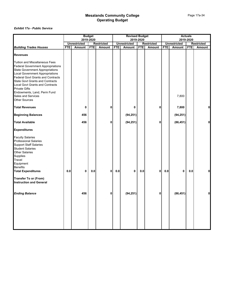|            |               |                               |                            |                        |               |                          |           |                                                      |           |                              | <b>Restricted</b>           |
|------------|---------------|-------------------------------|----------------------------|------------------------|---------------|--------------------------|-----------|------------------------------------------------------|-----------|------------------------------|-----------------------------|
| <b>FTE</b> | <b>Amount</b> | <b>FTE</b>                    | Amount                     | <b>FTE</b>             | <b>Amount</b> | <b>FTE</b>               | Amount    | <b>FTE</b>                                           | Amount    | <b>FTE</b>                   | Amount                      |
|            |               |                               |                            |                        |               |                          |           |                                                      |           |                              |                             |
|            |               |                               |                            |                        |               |                          |           |                                                      | 7,800     |                              |                             |
|            |               |                               |                            |                        |               |                          |           |                                                      |           |                              |                             |
|            |               |                               |                            |                        |               |                          |           |                                                      |           |                              | 0                           |
|            | 456           |                               |                            |                        | (94, 251)     |                          |           |                                                      | (94, 251) |                              |                             |
|            | 456           |                               | n                          |                        | (94, 251)     |                          | 0         |                                                      | (86, 451) |                              | 0                           |
|            |               |                               |                            |                        |               |                          |           |                                                      |           |                              |                             |
|            |               |                               |                            |                        |               |                          |           |                                                      |           |                              |                             |
|            |               | 0.0                           |                            |                        | 0             | 0.0                      |           | 0.0                                                  | 0         | 0.0                          | $\mathbf{0}$                |
|            |               |                               |                            |                        |               |                          |           |                                                      |           |                              |                             |
|            | 456           |                               | n                          |                        | (94, 251)     |                          | 0         |                                                      | (86, 451) |                              |                             |
|            | 0.0           | <b>Unrestricted</b><br>0<br>0 | <b>Budget</b><br>2019-2020 | <b>Restricted</b><br>n | 0.0<br>0      | <b>Unrestricted</b><br>0 | 2019-2020 | <b>Revised Budget</b><br><b>Restricted</b><br>0<br>0 |           | <b>Unrestricted</b><br>7,800 | <b>Actuals</b><br>2019-2020 |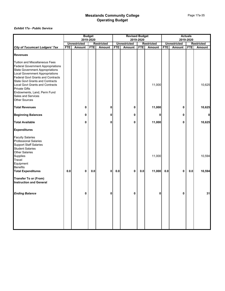|                                                                                                                                                                                                                                                                                         |            | 2019-2020           | <b>Budget</b> |                   |            | <b>Revised Budget</b> | 2019-2020  |                   |            |                     | <b>Actuals</b><br>2019-2020 |                   |
|-----------------------------------------------------------------------------------------------------------------------------------------------------------------------------------------------------------------------------------------------------------------------------------------|------------|---------------------|---------------|-------------------|------------|-----------------------|------------|-------------------|------------|---------------------|-----------------------------|-------------------|
|                                                                                                                                                                                                                                                                                         |            | <b>Unrestricted</b> |               | <b>Restricted</b> |            | <b>Unrestricted</b>   |            | <b>Restricted</b> |            | <b>Unrestricted</b> |                             | <b>Restricted</b> |
| <b>City of Tucumcari Lodgers' Tax</b>                                                                                                                                                                                                                                                   | <b>FTE</b> | Amount              | <b>FTE</b>    | Amount            | <b>FTE</b> | <b>Amount</b>         | <b>FTE</b> | Amount            | <b>FTE</b> | Amount              | <b>FTE</b>                  | Amount            |
| <b>Revenues</b>                                                                                                                                                                                                                                                                         |            |                     |               |                   |            |                       |            |                   |            |                     |                             |                   |
| <b>Tuition and Miscellaneous Fees</b><br><b>Federal Government Appropriations</b><br>State Government Appropriations<br>Local Government Appropriations<br><b>Federal Govt Grants and Contracts</b><br><b>State Govt Grants and Contracts</b><br><b>Local Govt Grants and Contracts</b> |            |                     |               |                   |            |                       |            | 11,000            |            |                     |                             | 10,625            |
| <b>Private Gifts</b><br>Endowments, Land, Perm Fund<br>Sales and Services<br><b>Other Sources</b>                                                                                                                                                                                       |            |                     |               |                   |            |                       |            |                   |            |                     |                             |                   |
| <b>Total Revenues</b>                                                                                                                                                                                                                                                                   |            | 0                   |               | 0                 |            | 0                     |            | 11,000            |            | 0                   |                             | 10,625            |
| <b>Beginning Balances</b>                                                                                                                                                                                                                                                               |            | 0                   |               | 0                 |            | 0                     |            | 0                 |            | 0                   |                             |                   |
| <b>Total Available</b>                                                                                                                                                                                                                                                                  |            | 0                   |               | 0                 |            | 0                     |            | 11,000            |            | 0                   |                             | 10,625            |
| <b>Expenditures</b>                                                                                                                                                                                                                                                                     |            |                     |               |                   |            |                       |            |                   |            |                     |                             |                   |
| <b>Faculty Salaries</b><br><b>Professional Salaries</b><br><b>Support Staff Salaries</b><br>Student Salaries                                                                                                                                                                            |            |                     |               |                   |            |                       |            |                   |            |                     |                             |                   |
| <b>Other Salaries</b><br>Supplies<br>Travel<br>Equipment                                                                                                                                                                                                                                |            |                     |               |                   |            |                       |            | 11,000            |            |                     |                             | 10,594            |
| <b>Benefits</b><br><b>Total Expenditures</b>                                                                                                                                                                                                                                            | 0.0        | $\mathbf 0$         | 0.0           | $\mathbf{0}$      | 0.0        | 0                     | 0.0        | 11,000            | 0.0        | 0                   | 0.0                         | 10,594            |
| <b>Transfer To or (From)</b><br><b>Instruction and General</b>                                                                                                                                                                                                                          |            |                     |               |                   |            |                       |            |                   |            |                     |                             |                   |
| <b>Ending Balance</b>                                                                                                                                                                                                                                                                   |            | 0                   |               | 0                 |            | 0                     |            | 0                 |            | 0                   |                             | 31                |
|                                                                                                                                                                                                                                                                                         |            |                     |               |                   |            |                       |            |                   |            |                     |                             |                   |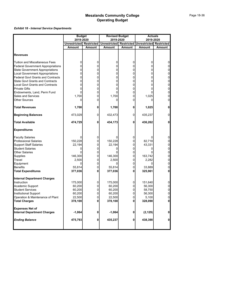|                                          | <b>Budget</b>       |                   | <b>Revised Budget</b>                           |               | <b>Actuals</b> |                |
|------------------------------------------|---------------------|-------------------|-------------------------------------------------|---------------|----------------|----------------|
|                                          | 2019-2020           |                   | 2019-2020                                       |               | 2019-2020      |                |
|                                          | <b>Unrestricted</b> | <b>Restricted</b> | Unrestricted Restricted Unrestricted Restricted |               |                |                |
|                                          | <b>Amount</b>       | Amount            | Amount                                          | <b>Amount</b> | <b>Amount</b>  | <b>Amount</b>  |
|                                          |                     |                   |                                                 |               |                |                |
| <b>Revenues</b>                          |                     |                   |                                                 |               |                |                |
| Tuition and Miscellaneous Fees           | 0                   | 0                 | 0                                               | 0             | 0              | 0              |
| <b>Federal Government Appropriations</b> | 0                   | 0                 | 0                                               | 0             | 0              | $\overline{0}$ |
| <b>State Government Appropriations</b>   | 0                   | 0                 | 0                                               | 0             | 0              | $\overline{0}$ |
| <b>Local Government Appropriations</b>   | 0                   | 0                 | 0                                               | 0             | 0              | $\overline{0}$ |
| <b>Federal Govt Grants and Contracts</b> | 0                   | 0                 | 0                                               | 0             | 0              | $\overline{0}$ |
| <b>State Govt Grants and Contracts</b>   | 0                   | 0                 | 0                                               | 0             | 0              | $\overline{0}$ |
| <b>Local Govt Grants and Contracts</b>   | 0                   | 0                 | 0                                               | 0             | 0              | 0              |
| <b>Private Gifts</b>                     | 0                   | 0                 | 0                                               | 0             | 0              | $\overline{0}$ |
| Endowments, Land, Perm Fund              | 0                   | 0                 |                                                 | 0             |                | $\overline{0}$ |
| <b>Sales and Services</b>                | 1,700               | 0                 | 1,700                                           | 0             | 1,025          | $\overline{0}$ |
| Other Sources                            | 0                   | 0                 | 0                                               | 0             | 0              | $\overline{0}$ |
| <b>Total Revenues</b>                    | 1,700               | 0                 | 1,700                                           | 0             | 1,025          | $\mathbf{0}$   |
| <b>Beginning Balances</b>                | 473,029             | 0                 | 432,473                                         | 0             | 435,237        | $\overline{0}$ |
| <b>Total Available</b>                   | 474,729             | 0                 | 434,173                                         | 0             | 436,262        | 0              |
| <b>Expenditures</b>                      |                     |                   |                                                 |               |                |                |
| <b>Faculty Salaries</b>                  | 0                   | 0                 |                                                 | 0             |                | 0              |
| <b>Professional Salaries</b>             | 150,228             | 0                 | 150,228                                         | 0             | 82,718         | $\overline{0}$ |
| <b>Support Staff Salaries</b>            | 22,194              | 0                 | 22,194                                          | 0             | 43,331         | $\overline{0}$ |
| <b>Student Salaries</b>                  | 0                   | 0                 | 0                                               | 0             | 0              | $\overline{0}$ |
| <b>Other Salaries</b>                    | U                   | 0                 | n                                               | 0             |                | $\overline{0}$ |
| Supplies                                 | 146,300             | 0                 | 146,300                                         | 0             | 163,742        | $\overline{0}$ |
| Travel                                   | 2,500               | 0                 | 2,500                                           | 0             | 2,282          | 0              |
| Equipment                                | 0                   | 0                 | 0                                               | 0             | 0              | $\overline{0}$ |
| <b>Benefits</b>                          | 55,814              | 0                 | 55,814                                          | 0             | 33,889         | $\overline{0}$ |
| <b>Total Expenditures</b>                | 377,036             | 0                 | 377,036                                         | 0             | 325,961        | 0              |
| <b>Internal Department Charges</b>       |                     |                   |                                                 |               |                |                |
| Instruction                              | 175,000             | 0                 | 175,000                                         | 0             | 151,640        | 0              |
| Academic Support                         | 60,200              | 0                 | 60,200                                          | 0             | 56,300         | 0              |
| Student Services                         | 60,200              | 0                 | 60,200                                          | 0             | 58,750         | $\overline{0}$ |
| Institutional Support                    | 60,200              | 0                 | 60,200                                          | 0             | 56,300         | $\overline{0}$ |
| Operation & Maintenance of Plant         | 22,500              | 0                 | 22,500                                          | 0             | 5.100          | $\Omega$       |
| <b>Total Charges</b>                     | 378,100             | $\mathbf 0$       | 378,100                                         | 0             | 328,090        | $\mathbf{0}$   |
| <b>Expenses Net of</b>                   |                     |                   |                                                 |               |                |                |
| <b>Internal Department Charges</b>       | $-1,064$            | 0                 | $-1,064$                                        | 0             | (2, 129)       | $\mathbf{0}$   |
| <b>Ending Balance</b>                    | 475,793             | 0                 | 435,237                                         | $\mathbf 0$   | 438,390        | $\mathbf{0}$   |
|                                          |                     |                   |                                                 |               |                |                |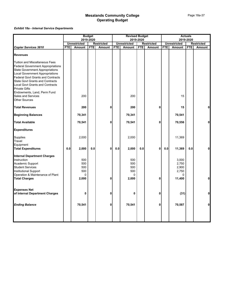|                                                                                                                                                                                                                                                                                                                                                                                                            | <b>Budget</b> |                                               |            |                   |            | <b>Revised Budget</b>                             |            |                   |            |                                                        | <b>Actuals</b> |                   |
|------------------------------------------------------------------------------------------------------------------------------------------------------------------------------------------------------------------------------------------------------------------------------------------------------------------------------------------------------------------------------------------------------------|---------------|-----------------------------------------------|------------|-------------------|------------|---------------------------------------------------|------------|-------------------|------------|--------------------------------------------------------|----------------|-------------------|
|                                                                                                                                                                                                                                                                                                                                                                                                            |               |                                               | 2019-2020  |                   |            |                                                   | 2019-2020  |                   |            | 2019-2020                                              |                |                   |
|                                                                                                                                                                                                                                                                                                                                                                                                            |               | <b>Unrestricted</b>                           |            | <b>Restricted</b> |            | <b>Unrestricted</b>                               |            | <b>Restricted</b> |            | <b>Unrestricted</b>                                    |                | <b>Restricted</b> |
| <b>Copier Services 3810</b>                                                                                                                                                                                                                                                                                                                                                                                | <b>FTE</b>    | Amount                                        | <b>FTE</b> | Amount            | <b>FTE</b> | Amount                                            | <b>FTE</b> | Amount            | <b>FTE</b> | Amount                                                 | <b>FTE</b>     | Amount            |
| <b>Revenues</b>                                                                                                                                                                                                                                                                                                                                                                                            |               |                                               |            |                   |            |                                                   |            |                   |            |                                                        |                |                   |
| <b>Tuition and Miscellaneous Fees</b><br><b>Federal Government Appropriations</b><br><b>State Government Appropriations</b><br><b>Local Government Appropriations</b><br><b>Federal Govt Grants and Contracts</b><br><b>State Govt Grants and Contracts</b><br><b>Local Govt Grants and Contracts</b><br><b>Private Gifts</b><br>Endowments, Land, Perm Fund<br>Sales and Services<br><b>Other Sources</b> |               | 200                                           |            |                   |            | 200                                               |            |                   |            | 15                                                     |                |                   |
| <b>Total Revenues</b>                                                                                                                                                                                                                                                                                                                                                                                      |               | 200                                           |            | 0                 |            | 200                                               |            | $\mathbf 0$       |            | 15                                                     |                | 0                 |
| <b>Beginning Balances</b>                                                                                                                                                                                                                                                                                                                                                                                  |               | 70,341                                        |            |                   |            | 70,341                                            |            |                   |            | 70,541                                                 |                |                   |
| <b>Total Available</b>                                                                                                                                                                                                                                                                                                                                                                                     |               | 70,541                                        |            | 0                 |            | 70,541                                            |            | 0                 |            | 70,556                                                 |                | $\mathbf 0$       |
| <b>Expenditures</b>                                                                                                                                                                                                                                                                                                                                                                                        |               |                                               |            |                   |            |                                                   |            |                   |            |                                                        |                |                   |
| <b>Supplies</b><br>Travel<br>Equipment                                                                                                                                                                                                                                                                                                                                                                     |               | 2,000                                         |            |                   |            | 2,000                                             |            |                   |            | 11,369                                                 |                |                   |
| <b>Total Expenditures</b>                                                                                                                                                                                                                                                                                                                                                                                  | 0.0           | 2,000                                         | 0.0        | 0                 | 0.0        | 2,000                                             | 0.0        | $\mathbf 0$       | 0.0        | 11,369                                                 | 0.0            | $\mathbf 0$       |
| <b>Internal Department Charges</b><br>Instruction<br>Academic Support<br><b>Student Services</b><br>Institutional Support<br>Operation & Maintenance of Plant<br><b>Total Charges</b>                                                                                                                                                                                                                      |               | 500<br>500<br>500<br>500<br>$\Omega$<br>2,000 |            | 0                 |            | 500<br>500<br>500<br>500<br><sup>0</sup><br>2,000 |            | 0                 |            | 3,000<br>2,750<br>2,900<br>2,750<br>$\Omega$<br>11,400 |                | $\mathbf 0$       |
|                                                                                                                                                                                                                                                                                                                                                                                                            |               |                                               |            |                   |            |                                                   |            |                   |            |                                                        |                |                   |
| <b>Expenses Net</b><br>of Internal Department Charges                                                                                                                                                                                                                                                                                                                                                      |               | 0                                             |            | 0                 |            | 0                                                 |            | 0                 |            | (31)                                                   |                | $\pmb{0}$         |
| <b>Ending Balance</b>                                                                                                                                                                                                                                                                                                                                                                                      |               | 70,541                                        |            | 0                 |            | 70,541                                            |            | 0                 |            | 70,587                                                 |                | 0                 |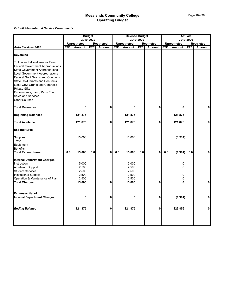|                                                                                                                                                                                                                                                                                                                                                                                                            |            |                                                     | <b>Budget</b> |                   |            | <b>Revised Budget</b>                               |            |                   |            | <b>Actuals</b>                   |            |                   |
|------------------------------------------------------------------------------------------------------------------------------------------------------------------------------------------------------------------------------------------------------------------------------------------------------------------------------------------------------------------------------------------------------------|------------|-----------------------------------------------------|---------------|-------------------|------------|-----------------------------------------------------|------------|-------------------|------------|----------------------------------|------------|-------------------|
|                                                                                                                                                                                                                                                                                                                                                                                                            |            | <b>Unrestricted</b>                                 | 2019-2020     | <b>Restricted</b> |            | <b>Unrestricted</b>                                 | 2019-2020  | <b>Restricted</b> |            | 2019-2020<br><b>Unrestricted</b> |            | <b>Restricted</b> |
| <b>Auto Services 3820</b>                                                                                                                                                                                                                                                                                                                                                                                  | <b>FTE</b> | <b>Amount</b>                                       | <b>FTE</b>    | Amount            | <b>FTE</b> | Amount                                              | <b>FTE</b> | <b>Amount</b>     | <b>FTE</b> | <b>Amount</b>                    | <b>FTE</b> | Amount            |
| <b>Revenues</b>                                                                                                                                                                                                                                                                                                                                                                                            |            |                                                     |               |                   |            |                                                     |            |                   |            |                                  |            |                   |
| <b>Tuition and Miscellaneous Fees</b><br><b>Federal Government Appropriations</b><br><b>State Government Appropriations</b><br><b>Local Government Appropriations</b><br><b>Federal Govt Grants and Contracts</b><br><b>State Govt Grants and Contracts</b><br><b>Local Govt Grants and Contracts</b><br><b>Private Gifts</b><br>Endowments, Land, Perm Fund<br>Sales and Services<br><b>Other Sources</b> |            |                                                     |               |                   |            |                                                     |            |                   |            |                                  |            |                   |
| <b>Total Revenues</b>                                                                                                                                                                                                                                                                                                                                                                                      |            | 0                                                   |               | 0                 |            | 0                                                   |            | 0                 |            | 0                                |            | 0                 |
| <b>Beginning Balances</b>                                                                                                                                                                                                                                                                                                                                                                                  |            | 121,875                                             |               |                   |            | 121,875                                             |            |                   |            | 121,875                          |            |                   |
| <b>Total Available</b>                                                                                                                                                                                                                                                                                                                                                                                     |            | 121,875                                             |               | 0                 |            | 121,875                                             |            | 0                 |            | 121,875                          |            | $\mathbf 0$       |
| <b>Expenditures</b>                                                                                                                                                                                                                                                                                                                                                                                        |            |                                                     |               |                   |            |                                                     |            |                   |            |                                  |            |                   |
| Supplies<br>Travel<br>Equipment<br><b>Benefits</b>                                                                                                                                                                                                                                                                                                                                                         |            | 15,000                                              |               |                   |            | 15,000                                              |            |                   |            | (1,981)                          |            |                   |
| <b>Total Expenditures</b>                                                                                                                                                                                                                                                                                                                                                                                  | 0.0        | 15,000                                              | 0.0           | 0                 | 0.0        | 15,000                                              | 0.0        | $\mathbf 0$       | 0.0        | (1,981)                          | 0.0        | 0                 |
| <b>Internal Department Charges</b><br>Instruction<br>Academic Support<br><b>Student Services</b><br>Institutional Support<br>Operation & Maintenance of Plant<br><b>Total Charges</b>                                                                                                                                                                                                                      |            | 5,000<br>2,500<br>2,500<br>2,500<br>2,500<br>15,000 |               | 0                 |            | 5,000<br>2,500<br>2,500<br>2,500<br>2,500<br>15,000 |            | 0                 |            | 0<br>0<br>0<br>0<br>0<br>0       |            | 0                 |
| <b>Expenses Net of</b><br><b>Internal Department Charges</b>                                                                                                                                                                                                                                                                                                                                               |            | 0                                                   |               | 0                 |            | 0                                                   |            | 0                 |            | (1,981)                          |            | $\mathbf 0$       |
| <b>Ending Balance</b>                                                                                                                                                                                                                                                                                                                                                                                      |            | 121,875                                             |               | 0                 |            | 121,875                                             |            | 0                 |            | 123,856                          |            | $\mathbf 0$       |
|                                                                                                                                                                                                                                                                                                                                                                                                            |            |                                                     |               |                   |            |                                                     |            |                   |            |                                  |            |                   |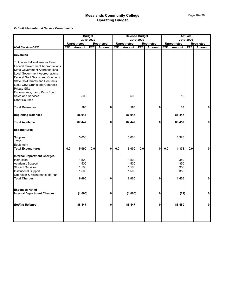|                                                                                                                                                                                                                                                                                                                                                                                           |            | <b>Budget</b>                             |            |                   | <b>Revised Budget</b> |                                           |            |                   |            | <b>Actuals</b>                    |            |                   |
|-------------------------------------------------------------------------------------------------------------------------------------------------------------------------------------------------------------------------------------------------------------------------------------------------------------------------------------------------------------------------------------------|------------|-------------------------------------------|------------|-------------------|-----------------------|-------------------------------------------|------------|-------------------|------------|-----------------------------------|------------|-------------------|
|                                                                                                                                                                                                                                                                                                                                                                                           |            | 2019-2020                                 |            |                   |                       |                                           | 2019-2020  |                   |            | 2019-2020                         |            |                   |
|                                                                                                                                                                                                                                                                                                                                                                                           |            | <b>Unrestricted</b>                       |            | <b>Restricted</b> |                       | <b>Unrestricted</b>                       |            | <b>Restricted</b> |            | <b>Unrestricted</b>               |            | <b>Restricted</b> |
| <b>Mail Services3830</b>                                                                                                                                                                                                                                                                                                                                                                  | <b>FTE</b> | Amount                                    | <b>FTE</b> | Amount            | <b>FTE</b>            | Amount                                    | <b>FTE</b> | Amount            | <b>FTE</b> | Amount                            | <b>FTE</b> | Amount            |
| <b>Revenues</b>                                                                                                                                                                                                                                                                                                                                                                           |            |                                           |            |                   |                       |                                           |            |                   |            |                                   |            |                   |
| <b>Tuition and Miscellaneous Fees</b><br><b>Federal Government Appropriations</b><br><b>State Government Appropriations</b><br><b>Local Government Appropriations</b><br><b>Federal Govt Grants and Contracts</b><br><b>State Govt Grants and Contracts</b><br><b>Local Govt Grants and Contracts</b><br><b>Private Gifts</b><br>Endowments, Land, Perm Fund<br><b>Sales and Services</b> |            | 500                                       |            |                   |                       | 500                                       |            |                   |            | 10                                |            |                   |
| <b>Other Sources</b><br><b>Total Revenues</b>                                                                                                                                                                                                                                                                                                                                             |            | 500                                       |            | 0                 |                       | 500                                       |            | $\mathbf 0$       |            | 10                                |            | $\mathbf 0$       |
| <b>Beginning Balances</b>                                                                                                                                                                                                                                                                                                                                                                 |            | 86,947                                    |            |                   |                       | 86,947                                    |            |                   |            | 88,447                            |            |                   |
| <b>Total Available</b>                                                                                                                                                                                                                                                                                                                                                                    |            | 87,447                                    |            | 0                 |                       | 87,447                                    |            | 0                 |            | 88,457                            |            | $\mathbf 0$       |
| <b>Expenditures</b>                                                                                                                                                                                                                                                                                                                                                                       |            |                                           |            |                   |                       |                                           |            |                   |            |                                   |            |                   |
| Supplies<br>Travel<br>Equipment                                                                                                                                                                                                                                                                                                                                                           |            | 5,000                                     |            |                   |                       | 5,000                                     |            |                   |            | 1,378                             |            |                   |
| <b>Total Expenditures</b>                                                                                                                                                                                                                                                                                                                                                                 | 0.0        | 5,000                                     | 0.0        | $\mathbf 0$       | 0.0                   | 5,000                                     | 0.0        | $\pmb{0}$         | 0.0        | 1,378                             | 0.0        | 0                 |
| <b>Internal Department Charges</b><br>Instruction<br>Academic Support<br><b>Student Services</b><br>Institutional Support<br>Operation & Maintenance of Plant<br><b>Total Charges</b>                                                                                                                                                                                                     |            | 1,500<br>1,500<br>1,500<br>1,500<br>6,000 |            | 0                 |                       | 1,500<br>1,500<br>1,500<br>1,500<br>6,000 |            | 0                 |            | 350<br>350<br>350<br>350<br>1,400 |            | $\mathbf 0$       |
|                                                                                                                                                                                                                                                                                                                                                                                           |            |                                           |            |                   |                       |                                           |            |                   |            |                                   |            |                   |
| <b>Expenses Net of</b><br><b>Internal Department Charges</b>                                                                                                                                                                                                                                                                                                                              |            | (1,000)                                   |            | 0                 |                       | (1,000)                                   |            | 0                 |            | (22)                              |            | $\mathbf 0$       |
| <b>Ending Balance</b>                                                                                                                                                                                                                                                                                                                                                                     |            | 88,447                                    |            | 0                 |                       | 88,447                                    |            | 0                 |            | 88,480                            |            | $\mathbf 0$       |
|                                                                                                                                                                                                                                                                                                                                                                                           |            |                                           |            |                   |                       |                                           |            |                   |            |                                   |            |                   |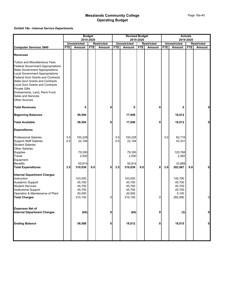|                                                                                                                                                                                                                                                                                                                                                                                                            |            | <b>Budget</b><br>2019-2020                      |            |                   | <b>Revised Budget</b> | 2019-2020                                       |            |                   | 2019-2020  | <b>Actuals</b>                                            |            |                   |
|------------------------------------------------------------------------------------------------------------------------------------------------------------------------------------------------------------------------------------------------------------------------------------------------------------------------------------------------------------------------------------------------------------|------------|-------------------------------------------------|------------|-------------------|-----------------------|-------------------------------------------------|------------|-------------------|------------|-----------------------------------------------------------|------------|-------------------|
|                                                                                                                                                                                                                                                                                                                                                                                                            |            | <b>Unrestricted</b>                             |            | <b>Restricted</b> |                       | <b>Unrestricted</b>                             |            | <b>Restricted</b> |            | <b>Unrestricted</b>                                       |            | <b>Restricted</b> |
| <b>Computer Services 3840</b>                                                                                                                                                                                                                                                                                                                                                                              | <b>FTE</b> | Amount                                          | <b>FTE</b> | Amount            | <b>FTE</b>            | Amount                                          | <b>FTE</b> | <b>Amount</b>     | <b>FTE</b> | Amount                                                    | <b>FTE</b> | Amount            |
| <b>Revenues</b>                                                                                                                                                                                                                                                                                                                                                                                            |            |                                                 |            |                   |                       |                                                 |            |                   |            |                                                           |            |                   |
| <b>Tuition and Miscellaneous Fees</b><br><b>Federal Government Appropriations</b><br><b>State Government Appropriations</b><br><b>Local Government Appropriations</b><br><b>Federal Govt Grants and Contracts</b><br><b>State Govt Grants and Contracts</b><br><b>Local Govt Grants and Contracts</b><br><b>Private Gifts</b><br>Endowments, Land, Perm Fund<br>Sales and Services<br><b>Other Sources</b> |            |                                                 |            |                   |                       |                                                 |            |                   |            |                                                           |            |                   |
| <b>Total Revenues</b>                                                                                                                                                                                                                                                                                                                                                                                      |            | 0                                               |            | 0                 |                       | 0                                               |            | 0                 |            | 0                                                         |            | $\mathbf 0$       |
| <b>Beginning Balances</b>                                                                                                                                                                                                                                                                                                                                                                                  |            | 58,504                                          |            |                   |                       | 17,948                                          |            |                   |            | 18,012                                                    |            |                   |
| <b>Total Available</b>                                                                                                                                                                                                                                                                                                                                                                                     |            | 58,504                                          |            | 0                 |                       | 17,948                                          |            | 0                 |            | 18,012                                                    |            | $\mathbf 0$       |
| <b>Expenditures</b>                                                                                                                                                                                                                                                                                                                                                                                        |            |                                                 |            |                   |                       |                                                 |            |                   |            |                                                           |            |                   |
| <b>Professional Salaries</b><br><b>Support Staff Salaries</b><br><b>Student Salaries</b><br><b>Other Salaries</b><br>Supplies<br>Travel                                                                                                                                                                                                                                                                    | 3.0<br>0.5 | 150,228<br>22,194<br>79,300<br>2,500            |            |                   | 3.0<br>0.5            | 150,228<br>22,194<br>79,300<br>2,500            |            |                   | 3.0        | 82,718<br>43,331<br>120,768<br>2,282                      |            |                   |
| Equipment<br><b>Benefits</b>                                                                                                                                                                                                                                                                                                                                                                               |            | 55,814                                          |            |                   |                       | 55,814                                          |            |                   |            | 33,889                                                    |            |                   |
| <b>Total Expenditures</b>                                                                                                                                                                                                                                                                                                                                                                                  | 3.5        | 310,036                                         | 0.0        | 0                 | 3.5                   | 310,036                                         | 0.0        | 0                 | 3.0        | 282,987                                                   | 0.0        | 0                 |
| <b>Internal Department Charges</b><br>Instruction<br>Academic Support<br><b>Student Services</b><br>Institutional Support<br>Operation & Maintenance of Plant<br><b>Total Charges</b>                                                                                                                                                                                                                      |            | 153,000<br>45,700<br>45,700<br>45,700<br>20,000 |            | $\overline{0}$    |                       | 153,000<br>45,700<br>45,700<br>45,700<br>20,000 |            | $\overline{0}$    |            | 140,790<br>45,700<br>45,700<br>45,700<br>5,100<br>282,990 |            | $\overline{0}$    |
|                                                                                                                                                                                                                                                                                                                                                                                                            |            | 310,100                                         |            |                   |                       | 310,100                                         |            |                   |            |                                                           |            |                   |
| <b>Expenses Net of</b><br><b>Internal Department Charges</b>                                                                                                                                                                                                                                                                                                                                               |            | (64)                                            |            | 0                 |                       | (64)                                            |            | 0                 |            | (3)                                                       |            | $\mathbf 0$       |
| <b>Ending Balance</b>                                                                                                                                                                                                                                                                                                                                                                                      |            | 58,568                                          |            | 0                 |                       | 18,012                                          |            | 0                 |            | 18,015                                                    |            | $\mathbf{0}$      |
|                                                                                                                                                                                                                                                                                                                                                                                                            |            |                                                 |            |                   |                       |                                                 |            |                   |            |                                                           |            |                   |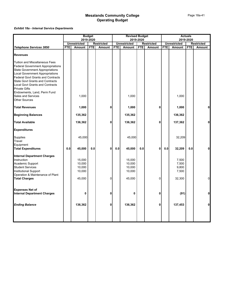|                                                                                                                                                                                                                                                                                                                                                                                                                   | <b>Budget</b> |                                                |            |                   |            | <b>Revised Budget</b>                          |            |                   |            |                                            | <b>Actuals</b> |                   |
|-------------------------------------------------------------------------------------------------------------------------------------------------------------------------------------------------------------------------------------------------------------------------------------------------------------------------------------------------------------------------------------------------------------------|---------------|------------------------------------------------|------------|-------------------|------------|------------------------------------------------|------------|-------------------|------------|--------------------------------------------|----------------|-------------------|
|                                                                                                                                                                                                                                                                                                                                                                                                                   |               |                                                | 2019-2020  |                   |            |                                                | 2019-2020  |                   |            |                                            | 2019-2020      |                   |
|                                                                                                                                                                                                                                                                                                                                                                                                                   |               | <b>Unrestricted</b>                            |            | <b>Restricted</b> |            | <b>Unrestricted</b>                            |            | <b>Restricted</b> |            | <b>Unrestricted</b>                        |                | <b>Restricted</b> |
| <b>Telephone Services 3850</b>                                                                                                                                                                                                                                                                                                                                                                                    | <b>FTE</b>    | <b>Amount</b>                                  | <b>FTE</b> | Amount            | <b>FTE</b> | Amount                                         | <b>FTE</b> | Amount            | <b>FTE</b> | Amount                                     | <b>FTE</b>     | Amount            |
| <b>Revenues</b>                                                                                                                                                                                                                                                                                                                                                                                                   |               |                                                |            |                   |            |                                                |            |                   |            |                                            |                |                   |
| <b>Tuition and Miscellaneous Fees</b><br><b>Federal Government Appropriations</b><br><b>State Government Appropriations</b><br><b>Local Government Appropriations</b><br><b>Federal Govt Grants and Contracts</b><br><b>State Govt Grants and Contracts</b><br><b>Local Govt Grants and Contracts</b><br><b>Private Gifts</b><br>Endowments, Land, Perm Fund<br><b>Sales and Services</b><br><b>Other Sources</b> |               | 1,000                                          |            |                   |            | 1,000                                          |            |                   |            | 1,000                                      |                |                   |
| <b>Total Revenues</b>                                                                                                                                                                                                                                                                                                                                                                                             |               | 1,000                                          |            | $\mathbf 0$       |            | 1,000                                          |            | 0                 |            | 1,000                                      |                | $\mathbf 0$       |
| <b>Beginning Balances</b>                                                                                                                                                                                                                                                                                                                                                                                         |               | 135,362                                        |            |                   |            | 135,362                                        |            |                   |            | 136,362                                    |                |                   |
| <b>Total Available</b>                                                                                                                                                                                                                                                                                                                                                                                            |               | 136,362                                        |            | $\mathbf 0$       |            | 136,362                                        |            | 0                 |            | 137,362                                    |                | $\mathbf 0$       |
| <b>Expenditures</b>                                                                                                                                                                                                                                                                                                                                                                                               |               |                                                |            |                   |            |                                                |            |                   |            |                                            |                |                   |
| Supplies<br>Travel<br>Equipment                                                                                                                                                                                                                                                                                                                                                                                   | 0.0           | 45,000<br>45,000                               | 0.0        | 0                 | 0.0        | 45,000<br>45,000                               | 0.0        | 0                 | 0.0        | 32,209<br>32,209                           | 0.0            | $\mathbf 0$       |
| <b>Total Expenditures</b>                                                                                                                                                                                                                                                                                                                                                                                         |               |                                                |            |                   |            |                                                |            |                   |            |                                            |                |                   |
| <b>Internal Department Charges</b><br>Instruction<br>Academic Support<br><b>Student Services</b><br>Institutional Support<br>Operation & Maintenance of Plant<br><b>Total Charges</b>                                                                                                                                                                                                                             |               | 15,000<br>10,000<br>10,000<br>10,000<br>45,000 |            | $\mathbf 0$       |            | 15,000<br>10,000<br>10,000<br>10,000<br>45,000 |            | 0                 |            | 7,500<br>7,500<br>9,800<br>7,500<br>32,300 |                | $\mathbf 0$       |
| <b>Expenses Net of</b><br><b>Internal Department Charges</b>                                                                                                                                                                                                                                                                                                                                                      |               | 0                                              |            | 0                 |            | 0                                              |            | 0                 |            | (91)                                       |                | $\pmb{0}$         |
| <b>Ending Balance</b>                                                                                                                                                                                                                                                                                                                                                                                             |               | 136,362                                        |            | 0                 |            | 136,362                                        |            | 0                 |            | 137,453                                    |                | $\mathbf{0}$      |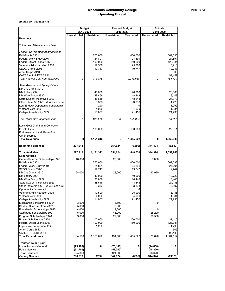#### *Exhibit 19 - Student Aid*

|                                                                        |                      | <b>Budget</b><br>2019-2020 | <b>Revised Budget</b><br>2019-2020 |                     |                     | <b>Actuals</b><br>2019-2020 |
|------------------------------------------------------------------------|----------------------|----------------------------|------------------------------------|---------------------|---------------------|-----------------------------|
|                                                                        | <b>Unrestricted</b>  | Restricted                 | <b>Unrestricted</b>                | <b>Restricted</b>   | <b>Unrestricted</b> | <b>Restricted</b>           |
| <b>Revenues</b>                                                        |                      |                            |                                    |                     |                     |                             |
| <b>Tuition and Miscellaneous Fees</b>                                  |                      |                            |                                    |                     |                     |                             |
|                                                                        |                      |                            |                                    |                     |                     |                             |
| <b>Federal Government Appropriations</b>                               |                      |                            |                                    |                     |                     |                             |
| Pell Grants 2901<br>Federal Work Study 2904                            |                      | 750,000<br>24,891          |                                    | 1,000,000<br>24,891 |                     | 667,535<br>24,891           |
| Federal Direct Loans 2907                                              |                      | 100,000                    |                                    | 150,000             |                     | 128,381                     |
| <b>Veterans Administration 2906</b>                                    |                      | 19,500                     |                                    | 25,000              |                     | 15,218                      |
| SEOG Grants 2903                                                       |                      | 19,747                     |                                    | 19,747              |                     | 19,747                      |
| AmreiCorps 2910                                                        |                      |                            |                                    |                     |                     | 509                         |
| CARES Act - HEERF 2911                                                 |                      |                            |                                    |                     |                     | 99,489                      |
| <b>Total Federal Govt Appropriations</b>                               | 0                    | 914,138                    |                                    | 1,219,638           | 0                   | 955,770                     |
| <b>State Government Appropriations</b>                                 |                      |                            |                                    |                     |                     |                             |
| <b>NM 3% Grants 3910</b>                                               |                      |                            |                                    |                     |                     |                             |
| NM Lottery 2921                                                        |                      | 40,000                     |                                    | 40,000              |                     | 20,300                      |
| NM Work Study 2922                                                     |                      | 28,866                     |                                    | 18,448              |                     | 18,448                      |
| State Student Incentives 2923<br>Other State Aid (DVR, WIA, Scholars)  |                      | 48,648<br>3,333            |                                    | 48,648<br>3,333     |                     | 24,373<br>1,423             |
| Leg. Endow/ Opportunity Scholarship                                    |                      | 1,290                      |                                    | 0                   |                     | 1,299                       |
| Vietnam Vets 2926                                                      |                      | 4,000                      |                                    | 4,000               |                     | 1,684                       |
| College Affordability 2927                                             |                      | 11,037                     |                                    | 21,455              |                     | 21,230                      |
| <b>Total State Govt Appropriations</b>                                 | 0                    | 137, 174                   | 0                                  | 135,884             | 0                   | 88,757                      |
|                                                                        |                      |                            |                                    |                     |                     |                             |
| <b>Local Govt Grants and Contracts</b>                                 |                      |                            |                                    |                     |                     |                             |
| <b>Private Gifts</b>                                                   |                      | 100,000                    |                                    | 100,000             |                     | 22,311                      |
| Endowments, Land, Perm Fund<br><b>Other Sources</b>                    |                      |                            |                                    |                     |                     |                             |
| <b>Total Revenues</b>                                                  | 0                    | 1,151,312                  | 0                                  | 1,455,522           | 0                   | 1,066,838                   |
|                                                                        |                      |                            |                                    |                     |                     |                             |
| <b>Beginning Balances</b>                                              | 297,913              |                            | 354,024                            | (6,892)             | 344,324             | (6, 892)                    |
| <b>Total Available</b>                                                 | 297,913              | 1,151,312                  | 354,024                            | 1,448,630           | 344,324             | 1,059,946                   |
| <b>Expenditures</b><br>General Internal Scholarships 3921              | 40,000               |                            | 20,000                             |                     | 3,000               |                             |
| Pell Grants 2901                                                       |                      | 750,000                    |                                    | 1,000,000           |                     | 667,533                     |
| Federal Work Study 2904                                                |                      | 24,891                     |                                    | 24,891              |                     | 27,291                      |
| SEOG Grants 2903                                                       |                      | 19,747                     |                                    | 19,747              |                     | 19,747                      |
| <b>NM 3% Grants 3910</b>                                               | 28,000               |                            | 28,000                             |                     | 13,920              |                             |
| NM Lottery 2921                                                        |                      | 40,000                     |                                    | 40,000              |                     | 19,720                      |
| NM Work Study 2922                                                     |                      | 28,866                     |                                    | 18,448              |                     | 18,448                      |
| State Student Incentives 2923                                          |                      | 48,648                     |                                    | 48,648              |                     | 24,136                      |
| Other State Aid (DVR, WIA, Scholars)<br><b>Opportunity Scholarship</b> |                      | 3,333                      |                                    | 3,333<br>0          |                     | 2,097<br>$\mathbf 0$        |
| Veterans Administration 2906                                           |                      | 19,500                     |                                    | 25,000              |                     | 15,138                      |
| Vietnam Vets 2926                                                      |                      | 4,000                      |                                    | 4,000               |                     | 1,684                       |
| College Affordability 2927                                             |                      | 11,037                     |                                    | 21,455              |                     | 21,230                      |
| Mesalands Scholarships 3924                                            | 3,500                |                            | 3,500                              |                     | 0                   |                             |
| <b>Student Success Grants 3926</b>                                     | 5,000                |                            | 5,000                              |                     |                     |                             |
| Presidential Scholarships 3925<br>Stampede Scholarships 3927           | 4,000<br>45,000      |                            | 4,000<br>45,000                    |                     | 0<br>28,200         |                             |
| Program Scholarships 3928                                              | 9,000                |                            | 29,000                             |                     | 28,500              |                             |
| Private Scholarships 2930                                              |                      | 100,000                    |                                    | 100,000             |                     | 37,415                      |
| Federal Direct Loans 2907                                              |                      | 100,000                    |                                    | 150,000             |                     | 128,381                     |
| Legislative Endowment 2925                                             |                      | 1,290                      |                                    |                     |                     | 1,299                       |
| Ameri Corps 2910                                                       |                      |                            |                                    |                     |                     | 509                         |
| CARES - HEERF 2911                                                     |                      |                            |                                    |                     |                     | 99,489                      |
| <b>Total Expenditures</b>                                              | 134,500              | 1,150,022                  | 134,500                            | 1,455,522           | 73,620              | 1,084,117                   |
| <b>Transfer To or (From)</b>                                           |                      |                            |                                    |                     |                     |                             |
| Instruction and General<br><b>Public Service</b>                       | (73, 100)            | 0                          | (73, 100)                          | 0                   | (24, 800)           | 0                           |
| <b>Total Transfers</b>                                                 | (51, 700)<br>124,800 |                            | (51, 700)<br>124,800               |                     | (48, 820)<br>73,620 |                             |
| <b>Ending Balance</b>                                                  | 288,213              | 1290                       | 344,324                            | (6892)              | 344,324             | (24171)                     |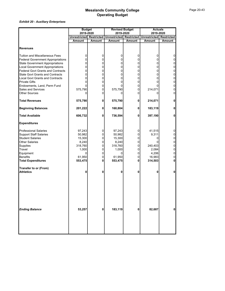|                                                  | <b>Budget</b>       |                     | <b>Revised Budget</b>   |              | <b>Actuals</b><br>2019-2020 |                |  |
|--------------------------------------------------|---------------------|---------------------|-------------------------|--------------|-----------------------------|----------------|--|
|                                                  | 2019-2020           |                     | 2019-2020               |              |                             |                |  |
|                                                  | <b>Unrestricted</b> | <b>Restricted</b>   | Unrestricted Restricted |              | <b>Unrestricted</b>         | Restricted     |  |
|                                                  | Amount              | <b>Amount</b>       | <b>Amount</b>           | Amount       | Amount                      | <b>Amount</b>  |  |
| <b>Revenues</b>                                  |                     |                     |                         |              |                             |                |  |
| <b>Tuition and Miscellaneous Fees</b>            | 0                   | 0                   | 0                       | 0            | 0                           | 0              |  |
| <b>Federal Government Appropriations</b>         | $\Omega$            | 0                   | 0                       | 0            | $\Omega$                    | $\overline{0}$ |  |
| <b>State Government Appropriations</b>           | 0                   | 0                   | $\mathbf 0$             | $\mathbf 0$  | 0                           | $\overline{0}$ |  |
| <b>Local Government Appropriations</b>           | 0                   | 0                   | 0                       | 0            | 0                           | $\overline{0}$ |  |
| <b>Federal Govt Grants and Contracts</b>         | 0                   | 0                   | 0                       | 0            | $\Omega$                    | $\overline{0}$ |  |
| <b>State Govt Grants and Contracts</b>           | 0                   | 0                   | 0                       | 0            | $\Omega$                    | $\mathbf 0$    |  |
| <b>Local Govt Grants and Contracts</b>           | 0                   | 0                   | 0                       | 0            | 0                           | $\overline{0}$ |  |
| <b>Private Gifts</b>                             | $\Omega$            | 0                   | 0                       | 0            | $\Omega$                    | $\overline{0}$ |  |
| Endowments, Land, Perm Fund                      | $\Omega$            | $\pmb{0}$           | 0                       | 0            |                             | $\overline{0}$ |  |
| <b>Sales and Services</b>                        | 575,790             | $\mathsf{O}\xspace$ | 575,790                 | $\mathbf 0$  | 214,071                     | $\overline{0}$ |  |
| <b>Other Sources</b>                             | 0                   | 0                   | 0                       | 0            |                             | $\overline{0}$ |  |
| <b>Total Revenues</b>                            | 575,790             | 0                   | 575,790                 | 0            | 214,071                     | $\mathbf{0}$   |  |
| <b>Beginning Balances</b>                        | 201,222             | 0                   | 160,804                 | 0            | 183,119                     | $\mathbf{0}$   |  |
| <b>Total Available</b>                           | 606,732             | 0                   | 736,594                 | $\mathbf{0}$ | 397,190                     | $\mathbf{0}$   |  |
| <b>Expenditures</b>                              |                     |                     |                         |              |                             |                |  |
| <b>Professional Salaries</b>                     | 97,243              | 0                   | 97,243                  | 0            | 41,515                      | 0              |  |
| <b>Support Staff Salaries</b>                    | 50,982              | 0                   | 50,982                  | 0            | 9,311                       | $\overline{0}$ |  |
| <b>Student Salaries</b>                          | 15,300              | $\pmb{0}$           | 15,300                  | $\mathbf 0$  | 0                           | $\overline{0}$ |  |
| <b>Other Salaries</b>                            | 8,240               | 0                   | 8,240                   | 0            |                             | $\overline{0}$ |  |
| <b>Supplies</b>                                  | 318,760             | 0                   | 318,760                 | 0            | 240,403                     | $\overline{0}$ |  |
| Travel                                           | 1,000               | $\pmb{0}$           | 1,000                   | 0            | 2,084                       | $\overline{0}$ |  |
| Equipment                                        | 0                   | 0                   | 0                       | 0            | 4,206                       | $\overline{0}$ |  |
| <b>Benefits</b>                                  | 61,950              | $\mathsf 0$         | 61,950                  | $\mathbf 0$  | 16,983                      | $\overline{0}$ |  |
| <b>Total Expenditures</b>                        | 553,475             | 0                   | 553,475                 | 0            | 314,503                     | $\mathbf{0}$   |  |
| <b>Transfer to or (From)</b><br><b>Athletics</b> | 0                   | 0                   |                         | 0            |                             | $\mathbf{0}$   |  |
|                                                  |                     |                     |                         |              |                             |                |  |
| <b>Ending Balance</b>                            | 53,257              | 0                   | 183,119                 | 0            | 82,687                      | 0              |  |
|                                                  |                     |                     |                         |              |                             |                |  |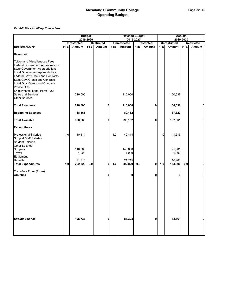|                                                                                                                                                                                                                                                                                                                                                                                                                   | <b>Budget</b><br>2019-2020 |                            |            |                   | <b>Revised Budget</b><br>2019-2020 |                            |            |                   | <b>Actuals</b><br>2019-2020 |                           |            |            |
|-------------------------------------------------------------------------------------------------------------------------------------------------------------------------------------------------------------------------------------------------------------------------------------------------------------------------------------------------------------------------------------------------------------------|----------------------------|----------------------------|------------|-------------------|------------------------------------|----------------------------|------------|-------------------|-----------------------------|---------------------------|------------|------------|
|                                                                                                                                                                                                                                                                                                                                                                                                                   |                            | <b>Unrestricted</b>        |            | <b>Restricted</b> |                                    | <b>Unrestricted</b>        |            | <b>Restricted</b> |                             | <b>Unrestricted</b>       |            | Restricted |
| Bookstore3010                                                                                                                                                                                                                                                                                                                                                                                                     | <b>FTE</b>                 | <b>Amount</b>              | <b>FTE</b> | Amount            | <b>FTE</b>                         | <b>Amount</b>              | <b>FTE</b> | Amount            | <b>FTE</b>                  | Amount                    | <b>FTE</b> | Amount     |
| <b>Revenues</b>                                                                                                                                                                                                                                                                                                                                                                                                   |                            |                            |            |                   |                                    |                            |            |                   |                             |                           |            |            |
| <b>Tuition and Miscellaneous Fees</b><br><b>Federal Government Appropriations</b><br><b>State Government Appropriations</b><br><b>Local Government Appropriations</b><br><b>Federal Govt Grants and Contracts</b><br><b>State Govt Grants and Contracts</b><br><b>Local Govt Grants and Contracts</b><br><b>Private Gifts</b><br>Endowments, Land, Perm Fund<br><b>Sales and Services</b><br><b>Other Sources</b> |                            | 210,000                    |            |                   |                                    | 210,000                    |            |                   |                             | 100,638                   |            |            |
| <b>Total Revenues</b>                                                                                                                                                                                                                                                                                                                                                                                             |                            | 210,000                    |            | 0                 |                                    | 210,000                    |            | 0                 |                             | 100,638                   |            | 0          |
| <b>Beginning Balances</b>                                                                                                                                                                                                                                                                                                                                                                                         |                            | 118,565                    |            |                   |                                    | 80,152                     |            |                   |                             | 87,323                    |            |            |
| <b>Total Available</b>                                                                                                                                                                                                                                                                                                                                                                                            |                            | 328,565                    |            | 0                 |                                    | 290,152                    |            | 0                 |                             | 187,961                   |            | 0          |
| <b>Expenditures</b>                                                                                                                                                                                                                                                                                                                                                                                               |                            |                            |            |                   |                                    |                            |            |                   |                             |                           |            |            |
| <b>Professional Salaries</b><br><b>Support Staff Salaries</b><br><b>Student Salaries</b><br><b>Other Salaries</b><br><b>Supplies</b><br>Travel<br>Equipment                                                                                                                                                                                                                                                       | 1.0                        | 40,114<br>140,000<br>1,000 |            |                   | 1.0                                | 40,114<br>140,000<br>1,000 |            |                   | 1.0                         | 41,515<br>95,301<br>1,000 |            |            |
| <b>Benefits</b><br><b>Total Expenditures</b>                                                                                                                                                                                                                                                                                                                                                                      | 1.0                        | 21,715<br>202,829          | $0.0\,$    | $\mathbf 0$       | 1.0                                | 21,715<br>202,829          | 0.0        | $\mathbf{0}$      | 1.0                         | 16,983<br>154,800         | $0.0\,$    | 0          |
| <b>Transfers To or (From)</b><br><b>Athletics</b>                                                                                                                                                                                                                                                                                                                                                                 |                            |                            |            | 0                 |                                    | 0                          |            | 0                 |                             | 0                         |            | 0          |
| <b>Ending Balance</b>                                                                                                                                                                                                                                                                                                                                                                                             |                            | 125,736                    |            | 0                 |                                    | 87,323                     |            | 0                 |                             | 33,161                    |            | 0          |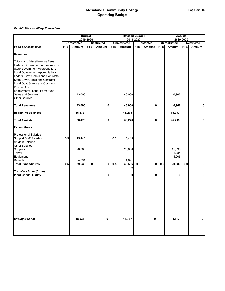|                                                                                                                                                                                                                                                                                                                                                                                                                   | <b>Budget</b><br>2019-2020 |                           |            |                   | <b>Revised Budget</b><br>2019-2020 |                           |            |                   | <b>Actuals</b><br>2019-2020 |                          |            |            |
|-------------------------------------------------------------------------------------------------------------------------------------------------------------------------------------------------------------------------------------------------------------------------------------------------------------------------------------------------------------------------------------------------------------------|----------------------------|---------------------------|------------|-------------------|------------------------------------|---------------------------|------------|-------------------|-----------------------------|--------------------------|------------|------------|
|                                                                                                                                                                                                                                                                                                                                                                                                                   |                            | <b>Unrestricted</b>       |            | <b>Restricted</b> |                                    | <b>Unrestricted</b>       |            | <b>Restricted</b> |                             | <b>Unrestricted</b>      |            | Restricted |
| <b>Food Services 3020</b>                                                                                                                                                                                                                                                                                                                                                                                         | FTE                        | Amount                    | <b>FTE</b> | Amount            | <b>FTE</b>                         | Amount                    | <b>FTE</b> | Amount            | <b>FTE</b>                  | Amount                   | <b>FTE</b> | Amount     |
| <b>Revenues</b>                                                                                                                                                                                                                                                                                                                                                                                                   |                            |                           |            |                   |                                    |                           |            |                   |                             |                          |            |            |
| <b>Tuition and Miscellaneous Fees</b><br><b>Federal Government Appropriations</b><br><b>State Government Appropriations</b><br><b>Local Government Appropriations</b><br><b>Federal Govt Grants and Contracts</b><br><b>State Govt Grants and Contracts</b><br><b>Local Govt Grants and Contracts</b><br><b>Private Gifts</b><br>Endowments, Land, Perm Fund<br><b>Sales and Services</b><br><b>Other Sources</b> |                            | 43,000                    |            |                   |                                    | 43,000                    |            |                   |                             | 6,968                    |            |            |
| <b>Total Revenues</b>                                                                                                                                                                                                                                                                                                                                                                                             |                            | 43,000                    |            | 0                 |                                    | 43,000                    |            | 0                 |                             | 6,968                    |            | 0          |
| <b>Beginning Balances</b>                                                                                                                                                                                                                                                                                                                                                                                         |                            | 15,473                    |            |                   |                                    | 15,273                    |            |                   |                             | 18,737                   |            |            |
| <b>Total Available</b>                                                                                                                                                                                                                                                                                                                                                                                            |                            | 58,473                    |            | 0                 |                                    | 58,273                    |            | 0                 |                             | 25,705                   |            | 0          |
| <b>Expenditures</b>                                                                                                                                                                                                                                                                                                                                                                                               |                            |                           |            |                   |                                    |                           |            |                   |                             |                          |            |            |
| <b>Professional Salaries</b><br><b>Support Staff Salaries</b><br><b>Student Salaries</b><br><b>Other Salaries</b><br><b>Supplies</b><br><b>Travel</b><br>Equipment<br><b>Benefits</b>                                                                                                                                                                                                                             | 0.5                        | 15,445<br>20,000<br>4,091 |            |                   | 0.5                                | 15,445<br>20,000<br>4,091 |            |                   |                             | 15,598<br>1,084<br>4,206 |            |            |
| <b>Total Expenditures</b>                                                                                                                                                                                                                                                                                                                                                                                         | 0.5                        | 39,536                    | $0.0\,$    | 0                 | 0.5                                | 39,536                    | $0.0\,$    | $\mathbf 0$       | 0.0                         | 20,889                   | $0.0\,$    | 0          |
| <b>Transfers To or (From)</b><br><b>Plant Capital Outlay</b>                                                                                                                                                                                                                                                                                                                                                      |                            | 0                         |            | 0                 |                                    | 0                         |            | 0                 |                             | 0                        |            | 0          |
| <b>Ending Balance</b>                                                                                                                                                                                                                                                                                                                                                                                             |                            | 18,937                    |            | 0                 |                                    | 18,737                    |            | 0                 |                             | 4,817                    |            | 0          |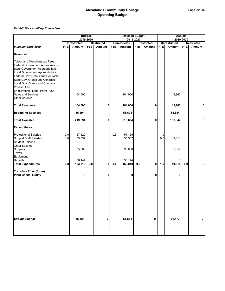|                                                                                                                                                                                                                                                                                                                                                                                                                   | <b>Budget</b> |                            |            | <b>Revised Budget</b> |            |                            |            | <b>Actuals</b>    |            |                     |            |                   |
|-------------------------------------------------------------------------------------------------------------------------------------------------------------------------------------------------------------------------------------------------------------------------------------------------------------------------------------------------------------------------------------------------------------------|---------------|----------------------------|------------|-----------------------|------------|----------------------------|------------|-------------------|------------|---------------------|------------|-------------------|
|                                                                                                                                                                                                                                                                                                                                                                                                                   |               | 2019-2020                  |            |                       | 2019-2020  |                            |            |                   |            |                     | 2019-2020  |                   |
|                                                                                                                                                                                                                                                                                                                                                                                                                   |               | <b>Unrestricted</b>        |            | <b>Restricted</b>     |            | <b>Unrestricted</b>        |            | <b>Restricted</b> |            | <b>Unrestricted</b> |            | <b>Restricted</b> |
| Museum Shop 3030                                                                                                                                                                                                                                                                                                                                                                                                  | <b>FTE</b>    | Amount                     | <b>FTE</b> | Amount                | <b>FTE</b> | Amount                     | <b>FTE</b> | Amount            | <b>FTE</b> | Amount              | <b>FTE</b> | Amount            |
| <b>Revenues</b>                                                                                                                                                                                                                                                                                                                                                                                                   |               |                            |            |                       |            |                            |            |                   |            |                     |            |                   |
| <b>Tuition and Miscellaneous Fees</b><br><b>Federal Government Appropriations</b><br><b>State Government Appropriations</b><br><b>Local Government Appropriations</b><br><b>Federal Govt Grants and Contracts</b><br><b>State Govt Grants and Contracts</b><br><b>Local Govt Grants and Contracts</b><br><b>Private Gifts</b><br>Endowments, Land, Perm Fund<br><b>Sales and Services</b><br><b>Other Sources</b> |               | 164,000                    |            |                       |            | 164,000                    |            |                   |            | 45,963              |            |                   |
| <b>Total Revenues</b>                                                                                                                                                                                                                                                                                                                                                                                             |               | 164,000                    |            | 0                     |            | 164,000                    |            | 0                 |            | 45,963              |            | 0                 |
| <b>Beginning Balances</b>                                                                                                                                                                                                                                                                                                                                                                                         |               | 55,694                     |            |                       |            | 55,694                     |            |                   |            | 55,884              |            |                   |
| <b>Total Available</b>                                                                                                                                                                                                                                                                                                                                                                                            |               | 219,694                    |            | 0                     |            | 219,694                    |            | 0                 |            | 101,847             |            | 0                 |
| <b>Expenditures</b>                                                                                                                                                                                                                                                                                                                                                                                               |               |                            |            |                       |            |                            |            |                   |            |                     |            |                   |
| <b>Professional Salaries</b><br><b>Support Staff Salaries</b><br><b>Student Salaries</b><br><b>Other Salaries</b><br>Supplies                                                                                                                                                                                                                                                                                     | 2.0<br>1.0    | 57,129<br>35,537<br>35,000 |            |                       | 0.5        | 57,129<br>35,537<br>35,000 |            |                   | 1.0<br>0.5 | 9,311<br>31,059     |            |                   |
| Travel<br>Equipment                                                                                                                                                                                                                                                                                                                                                                                               |               |                            |            |                       |            |                            |            |                   |            |                     |            |                   |
| <b>Benefits</b><br><b>Total Expenditures</b>                                                                                                                                                                                                                                                                                                                                                                      | 3.0           | 36,144<br>163,810          | $0.0\,$    | 0                     | 0.5        | 36,144<br>163,810          | 0.0        | $\mathbf 0$       | 1.5        | 0<br>40,370         | $0.0\,$    | 0                 |
| <b>Transfers To or (From)</b><br><b>Plant Capital Outlay</b>                                                                                                                                                                                                                                                                                                                                                      |               |                            |            | 0                     |            | 0                          |            | 0                 |            | 0                   |            | 0                 |
| <b>Ending Balance</b>                                                                                                                                                                                                                                                                                                                                                                                             |               | 55,884                     |            | 0                     |            | 55,884                     |            | 0                 |            | 61,477              |            | 0                 |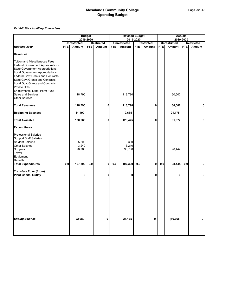|                                                                                                                                                                                                                                                                                                                                                                                                                   | <b>Budget</b><br>2019-2020 |                                     |            | <b>Revised Budget</b><br>2019-2020 |            |                                     |            | <b>Actuals</b><br>2019-2020 |            |                     |            |            |
|-------------------------------------------------------------------------------------------------------------------------------------------------------------------------------------------------------------------------------------------------------------------------------------------------------------------------------------------------------------------------------------------------------------------|----------------------------|-------------------------------------|------------|------------------------------------|------------|-------------------------------------|------------|-----------------------------|------------|---------------------|------------|------------|
|                                                                                                                                                                                                                                                                                                                                                                                                                   |                            | <b>Unrestricted</b>                 |            | <b>Restricted</b>                  |            | <b>Unrestricted</b>                 |            | <b>Restricted</b>           |            | <b>Unrestricted</b> |            | Restricted |
| Housing 3040                                                                                                                                                                                                                                                                                                                                                                                                      | <b>FTE</b>                 | Amount                              | <b>FTE</b> | Amount                             | <b>FTE</b> | <b>Amount</b>                       | <b>FTE</b> | Amount                      | <b>FTE</b> | Amount              | <b>FTE</b> | Amount     |
| <b>Revenues</b>                                                                                                                                                                                                                                                                                                                                                                                                   |                            |                                     |            |                                    |            |                                     |            |                             |            |                     |            |            |
| <b>Tuition and Miscellaneous Fees</b><br><b>Federal Government Appropriations</b><br><b>State Government Appropriations</b><br><b>Local Government Appropriations</b><br><b>Federal Govt Grants and Contracts</b><br><b>State Govt Grants and Contracts</b><br><b>Local Govt Grants and Contracts</b><br><b>Private Gifts</b><br>Endowments, Land, Perm Fund<br><b>Sales and Services</b><br><b>Other Sources</b> |                            | 118,790                             |            |                                    |            | 118,790                             |            |                             |            | 60,502              |            |            |
| <b>Total Revenues</b>                                                                                                                                                                                                                                                                                                                                                                                             |                            | 118,790                             |            | 0                                  |            | 118,790                             |            | 0                           |            | 60,502              |            | 0          |
| <b>Beginning Balances</b>                                                                                                                                                                                                                                                                                                                                                                                         |                            | 11,490                              |            |                                    |            | 9,685                               |            |                             |            | 21,175              |            |            |
| <b>Total Available</b>                                                                                                                                                                                                                                                                                                                                                                                            |                            | 130,280                             |            | 0                                  |            | 128,475                             |            | 0                           |            | 81,677              |            | 0          |
| <b>Expenditures</b>                                                                                                                                                                                                                                                                                                                                                                                               |                            |                                     |            |                                    |            |                                     |            |                             |            |                     |            |            |
| <b>Professional Salaries</b><br><b>Support Staff Salaries</b><br><b>Student Salaries</b><br><b>Other Salaries</b><br><b>Supplies</b><br>Travel<br>Equipment<br><b>Benefits</b><br><b>Total Expenditures</b>                                                                                                                                                                                                       | $0.0\,$                    | 5,300<br>3,240<br>98,760<br>107,300 | $0.0\,$    | $\mathbf 0$                        | $0.0\,$    | 5,300<br>3,240<br>98,760<br>107,300 | $0.0\,$    | $\mathbf{0}$                | 0.0        | 98,444<br>98,444    | 0.0        | 0          |
|                                                                                                                                                                                                                                                                                                                                                                                                                   |                            |                                     |            |                                    |            |                                     |            |                             |            |                     |            |            |
| <b>Transfers To or (From)</b><br><b>Plant Capital Outlay</b>                                                                                                                                                                                                                                                                                                                                                      |                            | 0                                   |            | 0                                  |            | 0                                   |            | 0                           |            | 0                   |            | 0          |
| <b>Ending Balance</b>                                                                                                                                                                                                                                                                                                                                                                                             |                            | 22,980                              |            | 0                                  |            | 21,175                              |            | 0                           |            | (16, 768)           |            | 0          |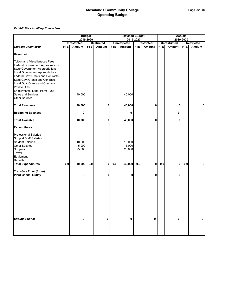|                                                                                                                                                                                                                                                                                                       | <b>Budget</b> |                           |            | <b>Revised Budget</b> |            |                           |            | <b>Actuals</b><br>2019-2020 |            |                     |            |                   |
|-------------------------------------------------------------------------------------------------------------------------------------------------------------------------------------------------------------------------------------------------------------------------------------------------------|---------------|---------------------------|------------|-----------------------|------------|---------------------------|------------|-----------------------------|------------|---------------------|------------|-------------------|
|                                                                                                                                                                                                                                                                                                       |               | 2019-2020                 |            |                       | 2019-2020  |                           |            |                             |            |                     |            |                   |
|                                                                                                                                                                                                                                                                                                       |               | <b>Unrestricted</b>       |            | <b>Restricted</b>     |            | <b>Unrestricted</b>       |            | <b>Restricted</b>           |            | <b>Unrestricted</b> |            | <b>Restricted</b> |
| <b>Student Union 3050</b>                                                                                                                                                                                                                                                                             | <b>FTE</b>    | Amount                    | <b>FTE</b> | Amount                | <b>FTE</b> | Amount                    | <b>FTE</b> | Amount                      | <b>FTE</b> | Amount              | <b>FTE</b> | Amount            |
| <b>Revenues</b>                                                                                                                                                                                                                                                                                       |               |                           |            |                       |            |                           |            |                             |            |                     |            |                   |
| <b>Tuition and Miscellaneous Fees</b><br><b>Federal Government Appropriations</b><br><b>State Government Appropriations</b><br><b>Local Government Appropriations</b><br><b>Federal Govt Grants and Contracts</b><br><b>State Govt Grants and Contracts</b><br><b>Local Govt Grants and Contracts</b> |               |                           |            |                       |            |                           |            |                             |            |                     |            |                   |
| <b>Private Gifts</b><br>Endowments, Land, Perm Fund<br><b>Sales and Services</b><br><b>Other Sources</b>                                                                                                                                                                                              |               | 40,000                    |            |                       |            | 40,000                    |            |                             |            |                     |            |                   |
| <b>Total Revenues</b>                                                                                                                                                                                                                                                                                 |               | 40,000                    |            | 0                     |            | 40,000                    |            | 0                           |            | 0                   |            | 0                 |
| <b>Beginning Balances</b>                                                                                                                                                                                                                                                                             |               | 0                         |            |                       |            | 0                         |            |                             |            | 0                   |            |                   |
| <b>Total Available</b>                                                                                                                                                                                                                                                                                |               | 40,000                    |            | 0                     |            | 40,000                    |            | 0                           |            | Ω                   |            | 0                 |
| <b>Expenditures</b>                                                                                                                                                                                                                                                                                   |               |                           |            |                       |            |                           |            |                             |            |                     |            |                   |
| <b>Professional Salaries</b><br><b>Support Staff Salaries</b><br><b>Student Salaries</b><br>Other Salaries<br>Supplies<br>Travel<br>Equipment<br><b>Benefits</b>                                                                                                                                      |               | 10,000<br>5,000<br>25,000 |            |                       |            | 10,000<br>5,000<br>25,000 |            |                             |            |                     |            |                   |
| <b>Total Expenditures</b>                                                                                                                                                                                                                                                                             | 0.0           | 40,000                    | 0.0        | 0                     | $0.0\,$    | 40,000                    | $0.0\,$    | $\mathbf 0$                 | 0.0        | $\mathbf 0$         | 0.0        | 0                 |
| <b>Transfers To or (From)</b><br><b>Plant Capital Outlay</b>                                                                                                                                                                                                                                          |               | n                         |            | 0                     |            |                           |            | 0                           |            | 0                   |            | $\mathbf{0}$      |
| <b>Ending Balance</b>                                                                                                                                                                                                                                                                                 |               | 0                         |            | 0                     |            | 0                         |            | 0                           |            | 0                   |            | 0                 |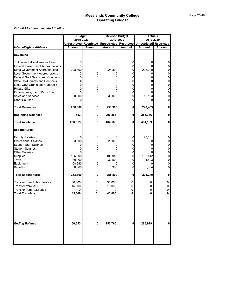### *Exhibit 21 - Intercollegiate Athletics*

|                                          | <b>Budget</b>                  |               | <b>Revised Budget</b>   |               | <b>Actuals</b>      |                     |
|------------------------------------------|--------------------------------|---------------|-------------------------|---------------|---------------------|---------------------|
|                                          | 2019-2020                      |               | 2019-2020               |               | 2019-2020           |                     |
|                                          | <b>Unrestricted Restricted</b> |               | Unrestricted Restricted |               | <b>Unrestricted</b> | <b>Restricted</b>   |
| <b>Intercollegiate Athletics</b>         | Amount                         | <b>Amount</b> | <b>Amount</b>           | <b>Amount</b> | Amount              | <b>Amount</b>       |
| <b>Revenues</b>                          |                                |               |                         |               |                     |                     |
| <b>Tuition and Miscellaneous Fees</b>    | 0                              | 0             | 0                       | 0             | 0                   | 0                   |
| <b>Federal Government Appropriations</b> | U                              | 0             |                         | 0             |                     | 0                   |
| <b>State Government Appropriations</b>   | 228,300                        | 0             | 228,300                 | 0             | 228,300             | 0                   |
| <b>Local Government Appropriations</b>   | 0                              | 0             | 0                       | 0             |                     | $\overline{0}$      |
| <b>Federal Govt Grants and Contracts</b> | 0                              | 0             | 0                       | 0             |                     | 0                   |
| <b>State Govt Grants and Contracts</b>   | 0                              | 0             | 0                       | 0             |                     | 0                   |
| <b>Local Govt Grants and Contracts</b>   | $\Omega$                       | 0             | ი                       | 0             |                     | 0                   |
| <b>Private Gifts</b>                     | 0                              | 0             | 0                       | 0             | 0                   | $\overline{0}$      |
| Endowments, Land, Perm Fund              | U                              | 0             |                         | 0             |                     | 0                   |
| <b>Sales and Services</b>                | 30,000                         | 0             | 30,000                  | 0             | 12,103              | 0                   |
| <b>Other Sources</b>                     | 0                              | 0             | 0                       | 0             | 0                   | $\overline{0}$      |
| <b>Total Revenues</b>                    | 258,300                        | 0             | 258,300                 | 0             | 240,403             | $\mathbf{0}$        |
| <b>Beginning Balances</b>                | 553                            | 0             | 206,266                 | 0             | 253,766             | 0                   |
| <b>Total Available</b>                   | 258,853                        | 0             | 464,566                 | 0             | 494,169             | 0                   |
| <b>Expenditures</b>                      |                                |               |                         |               |                     |                     |
| <b>Faculty Salaries</b>                  |                                | 0             |                         | 0             | 25,361              | 0                   |
| Professional Salaries                    | 23,000                         | 0             | 23,000                  | 0             |                     | 0                   |
| <b>Support Staff Salaries</b>            | 0                              | 0             | Ω                       | 0             |                     | $\overline{0}$      |
| <b>Student Salaries</b>                  | 0                              | 0             | ი                       | 0             |                     | $\overline{0}$      |
| <b>Other Salaries</b>                    |                                | 0             | 0                       | 0             |                     | 0                   |
| Supplies                                 | 125,000                        | 0             | 193,940                 | 0             | 162,412             | $\overline{0}$      |
| Travel                                   | 30,000                         | 0             | 32,500                  | 0             | 14,803              | $\overline{0}$      |
| Equipment<br><b>Benefits</b>             | 68,940                         | 0<br>0        | 0                       | 0<br>0        | 0                   | $\overline{0}$<br>0 |
|                                          | 6,360                          |               | 6,360                   |               | 5,664               |                     |
| <b>Total Expenditures</b>                | 253,300                        | 0             | 255,800                 | 0             | 208,240             | 0                   |
| Transfer from Public Service             | 30,000                         | 0             | 30,000                  | 0             | 0                   | 0                   |
| Transfer from I&G                        | 15,000                         | 0             | 15,000                  | 0             | 0                   | 0                   |
| <b>Transfer from Auxiliaries</b>         | 0                              | 0             | 0                       | 0             | 0                   | 0                   |
| <b>Total Transfers</b>                   | 45,000                         | 0             | 45,000                  | 0             | 0                   | U                   |
| <b>Ending Balance</b>                    | 50,553                         | 0             | 253,766                 | 0             | 285,929             | 0                   |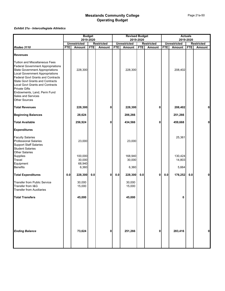### *Exhibit 21a - Intercollegiate Athletics*

|                                                                                                                                                                                                                                                                                                                                                                                                            | <b>Budget</b> |                     |            |                                    | <b>Revised Budget</b><br>2019-2020 |                     |            |                                    | <b>Actuals</b><br>2019-2020 |                     |            |                                    |
|------------------------------------------------------------------------------------------------------------------------------------------------------------------------------------------------------------------------------------------------------------------------------------------------------------------------------------------------------------------------------------------------------------|---------------|---------------------|------------|------------------------------------|------------------------------------|---------------------|------------|------------------------------------|-----------------------------|---------------------|------------|------------------------------------|
|                                                                                                                                                                                                                                                                                                                                                                                                            |               | <b>Unrestricted</b> | 2019-2020  |                                    |                                    | <b>Unrestricted</b> |            |                                    |                             | <b>Unrestricted</b> |            |                                    |
| <b>Rodeo 3110</b>                                                                                                                                                                                                                                                                                                                                                                                          | <b>FTE</b>    | <b>Amount</b>       | <b>FTE</b> | <b>Restricted</b><br><b>Amount</b> | <b>FTE</b>                         | Amount              | <b>FTE</b> | <b>Restricted</b><br><b>Amount</b> | <b>FTE</b>                  | Amount              | <b>FTE</b> | <b>Restricted</b><br><b>Amount</b> |
| <b>Revenues</b>                                                                                                                                                                                                                                                                                                                                                                                            |               |                     |            |                                    |                                    |                     |            |                                    |                             |                     |            |                                    |
| Tuition and Miscellaneous Fees<br><b>Federal Government Appropriations</b><br><b>State Government Appropriations</b><br><b>Local Government Appropriations</b><br><b>Federal Govt Grants and Contracts</b><br><b>State Govt Grants and Contracts</b><br><b>Local Govt Grants and Contracts</b><br><b>Private Gifts</b><br>Endowments, Land, Perm Fund<br><b>Sales and Services</b><br><b>Other Sources</b> |               | 228,300             |            |                                    |                                    | 228,300             |            |                                    |                             | 208,402             |            |                                    |
| <b>Total Revenues</b>                                                                                                                                                                                                                                                                                                                                                                                      |               | 228,300             |            | 0                                  |                                    | 228,300             |            | 0                                  |                             | 208,402             |            | $\mathbf{0}$                       |
| <b>Beginning Balances</b>                                                                                                                                                                                                                                                                                                                                                                                  |               | 28,624              |            |                                    |                                    | 206,266             |            |                                    |                             | 251,266             |            |                                    |
| <b>Total Available</b>                                                                                                                                                                                                                                                                                                                                                                                     |               | 256,924             |            | 0                                  |                                    | 434,566             |            | $\mathbf{0}$                       |                             | 459,668             |            | $\mathbf{0}$                       |
| <b>Expenditures</b>                                                                                                                                                                                                                                                                                                                                                                                        |               |                     |            |                                    |                                    |                     |            |                                    |                             |                     |            |                                    |
| <b>Faculty Salaries</b><br><b>Professional Salaries</b><br><b>Support Staff Salaries</b><br><b>Student Salaries</b>                                                                                                                                                                                                                                                                                        |               | 23,000              |            |                                    |                                    | 23,000              |            |                                    |                             | 25,361              |            |                                    |
| <b>Other Salaries</b><br>Supplies<br>Travel                                                                                                                                                                                                                                                                                                                                                                |               | 100,000<br>30,000   |            |                                    |                                    | 168,940<br>30,000   |            |                                    |                             | 130,424<br>14,803   |            |                                    |
| Equipment<br><b>Benefits</b>                                                                                                                                                                                                                                                                                                                                                                               |               | 68,940<br>6,360     |            |                                    |                                    | 6,360               |            |                                    |                             | 5,664               |            |                                    |
| <b>Total Expenditures</b>                                                                                                                                                                                                                                                                                                                                                                                  | 0.0           | 228,300             | 0.0        | 0                                  | $0.0\,$                            | 228,300             | $0.0\,$    | 0                                  | $0.0\,$                     | 176,252             | 0.0        | $\mathbf{0}$                       |
| <b>Transfer from Public Service</b><br>Transfer from I&G<br><b>Transfer from Auxiliaries</b>                                                                                                                                                                                                                                                                                                               |               | 30,000<br>15,000    |            |                                    |                                    | 30,000<br>15,000    |            |                                    |                             |                     |            |                                    |
| <b>Total Transfers</b>                                                                                                                                                                                                                                                                                                                                                                                     |               | 45,000              |            |                                    |                                    | 45,000              |            |                                    |                             | 0                   |            |                                    |
| <b>Ending Balance</b>                                                                                                                                                                                                                                                                                                                                                                                      |               | 73,624              |            | 0                                  |                                    | 251,266             |            | 0                                  |                             | 283,416             |            | $\mathbf{0}$                       |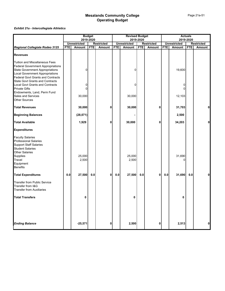### *Exhibit 21a - Intercollegiate Athletics*

|                                                                                                                                                                                                                                                      | <b>Budget</b><br>2019-2020 |                     |            | <b>Revised Budget</b><br>2019-2020 |            |                     |            | <b>Actuals</b><br>2019-2020 |            |                     |            |                   |
|------------------------------------------------------------------------------------------------------------------------------------------------------------------------------------------------------------------------------------------------------|----------------------------|---------------------|------------|------------------------------------|------------|---------------------|------------|-----------------------------|------------|---------------------|------------|-------------------|
|                                                                                                                                                                                                                                                      |                            | <b>Unrestricted</b> |            | <b>Restricted</b>                  |            | <b>Unrestricted</b> |            | <b>Restricted</b>           |            | <b>Unrestricted</b> |            | <b>Restricted</b> |
| Regional Collegiate Rodeo 3125                                                                                                                                                                                                                       | <b>FTE</b>                 | <b>Amount</b>       | <b>FTE</b> | <b>Amount</b>                      | <b>FTE</b> | <b>Amount</b>       | <b>FTE</b> | Amount                      | <b>FTE</b> | Amount              | <b>FTE</b> | <b>Amount</b>     |
| <b>Revenues</b>                                                                                                                                                                                                                                      |                            |                     |            |                                    |            |                     |            |                             |            |                     |            |                   |
| <b>Tuition and Miscellaneous Fees</b><br><b>Federal Government Appropriations</b><br><b>State Government Appropriations</b><br>Local Government Appropriations<br><b>Federal Govt Grants and Contracts</b><br><b>State Govt Grants and Contracts</b> |                            | 0                   |            |                                    |            | 0                   |            |                             |            | 19,600              |            |                   |
| <b>Local Govt Grants and Contracts</b><br><b>Private Gifts</b><br>Endowments, Land, Perm Fund                                                                                                                                                        |                            | 0<br>0              |            |                                    |            | 0                   |            |                             |            | 0<br>0              |            |                   |
| <b>Sales and Services</b><br><b>Other Sources</b>                                                                                                                                                                                                    |                            | 30,000              |            |                                    |            | 30,000              |            |                             |            | 12,103              |            |                   |
| <b>Total Revenues</b>                                                                                                                                                                                                                                |                            | 30,000              |            | 0                                  |            | 30,000              |            | 0                           |            | 31,703              |            | $\mathbf 0$       |
| <b>Beginning Balances</b>                                                                                                                                                                                                                            |                            | (28, 071)           |            |                                    |            |                     |            |                             |            | 2,500               |            |                   |
| <b>Total Available</b>                                                                                                                                                                                                                               |                            | 1,929               |            | 0                                  |            | 30,000              |            | 0                           |            | 34,203              |            | 0                 |
| <b>Expenditures</b>                                                                                                                                                                                                                                  |                            |                     |            |                                    |            |                     |            |                             |            |                     |            |                   |
| <b>Faculty Salaries</b><br><b>Professional Salaries</b><br><b>Support Staff Salaries</b><br><b>Student Salaries</b><br><b>Other Salaries</b><br>Supplies                                                                                             |                            | 25,000              |            |                                    |            | 25,000              |            |                             |            | 31,690              |            |                   |
| Travel<br>Equipment<br><b>Benefits</b>                                                                                                                                                                                                               |                            | 2,500               |            |                                    |            | 2,500               |            |                             |            |                     |            |                   |
| <b>Total Expenditures</b>                                                                                                                                                                                                                            | 0.0                        | 27,500              | 0.0        | 0                                  | 0.0        | 27,500              | 0.0        | $\mathbf{0}$                | $0.0\,$    | 31,690              | 0.0        | 0                 |
| <b>Transfer from Public Service</b><br>Transfer from I&G<br><b>Transfer from Auxiliaries</b>                                                                                                                                                         |                            |                     |            |                                    |            |                     |            |                             |            |                     |            |                   |
| <b>Total Transfers</b>                                                                                                                                                                                                                               |                            | 0                   |            |                                    |            | 0                   |            |                             |            | 0                   |            |                   |
| <b>Ending Balance</b>                                                                                                                                                                                                                                |                            | $-25,571$           |            | 0                                  |            | 2,500               |            | 0                           |            | 2,513               |            | $\mathbf 0$       |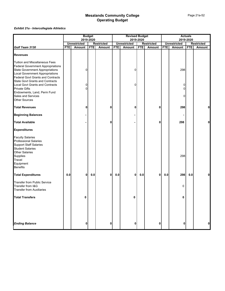### *Exhibit 21a - Intercollegiate Athletics*

|                                                                                                                                                                                                                                                      | <b>Budget</b> |                     |            | <b>Revised Budget</b> |            |                     |            | <b>Actuals</b>    |            |                     |            |                   |
|------------------------------------------------------------------------------------------------------------------------------------------------------------------------------------------------------------------------------------------------------|---------------|---------------------|------------|-----------------------|------------|---------------------|------------|-------------------|------------|---------------------|------------|-------------------|
|                                                                                                                                                                                                                                                      |               |                     | 2019-2020  |                       |            |                     | 2019-2020  |                   |            | 2019-2020           |            |                   |
|                                                                                                                                                                                                                                                      |               | <b>Unrestricted</b> |            | <b>Restricted</b>     |            | <b>Unrestricted</b> |            | <b>Restricted</b> |            | <b>Unrestricted</b> |            | <b>Restricted</b> |
| Golf Team 3130                                                                                                                                                                                                                                       | <b>FTE</b>    | Amount              | <b>FTE</b> | Amount                | <b>FTE</b> | Amount              | <b>FTE</b> | Amount            | <b>FTE</b> | Amount              | <b>FTE</b> | <b>Amount</b>     |
| <b>Revenues</b>                                                                                                                                                                                                                                      |               |                     |            |                       |            |                     |            |                   |            |                     |            |                   |
| Tuition and Miscellaneous Fees<br><b>Federal Government Appropriations</b><br><b>State Government Appropriations</b><br><b>Local Government Appropriations</b><br><b>Federal Govt Grants and Contracts</b><br><b>State Govt Grants and Contracts</b> |               | 0                   |            |                       |            | 0                   |            |                   |            | 298                 |            |                   |
| <b>Local Govt Grants and Contracts</b><br><b>Private Gifts</b>                                                                                                                                                                                       |               | 0<br>0              |            |                       |            | 0                   |            |                   |            | 0<br>0              |            |                   |
| Endowments, Land, Perm Fund<br><b>Sales and Services</b><br><b>Other Sources</b>                                                                                                                                                                     |               |                     |            |                       |            |                     |            |                   |            | U                   |            |                   |
| <b>Total Revenues</b>                                                                                                                                                                                                                                |               | 0                   |            | 0                     |            | 0                   |            | 0                 |            | 298                 |            | $\mathbf{0}$      |
| <b>Beginning Balances</b>                                                                                                                                                                                                                            |               |                     |            |                       |            |                     |            |                   |            |                     |            |                   |
| <b>Total Available</b>                                                                                                                                                                                                                               |               |                     |            | 0                     |            |                     |            | 0                 |            | 298                 |            | 0                 |
| <b>Expenditures</b>                                                                                                                                                                                                                                  |               |                     |            |                       |            |                     |            |                   |            |                     |            |                   |
| <b>Faculty Salaries</b><br><b>Professional Salaries</b><br><b>Support Staff Salaries</b><br><b>Student Salaries</b>                                                                                                                                  |               |                     |            |                       |            |                     |            |                   |            |                     |            |                   |
| <b>Other Salaries</b><br>Supplies<br>Travel<br>Equipment<br><b>Benefits</b>                                                                                                                                                                          |               |                     |            |                       |            |                     |            |                   |            | 298                 |            |                   |
| <b>Total Expenditures</b>                                                                                                                                                                                                                            | 0.0           | 0                   | $0.0\,$    | $\mathbf{0}$          | 0.0        | 0                   | $0.0\,$    | $\mathbf 0$       | 0.0        | 298                 | 0.0        | 0                 |
| <b>Transfer from Public Service</b><br>Transfer from I&G<br><b>Transfer from Auxiliaries</b>                                                                                                                                                         |               |                     |            |                       |            |                     |            |                   |            | 0                   |            |                   |
| <b>Total Transfers</b>                                                                                                                                                                                                                               |               | 0                   |            |                       |            | 0                   |            |                   |            | 0                   |            |                   |
|                                                                                                                                                                                                                                                      |               |                     |            |                       |            |                     |            |                   |            |                     |            |                   |
| <b>Ending Balance</b>                                                                                                                                                                                                                                |               | 0                   |            | 0                     |            | 0                   |            | $\mathbf 0$       |            | 0                   |            | $\mathbf{0}$      |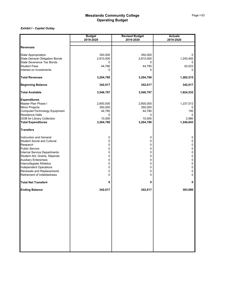|                                                                              | <b>Budget</b> | <b>Revised Budget</b> | <b>Actuals</b> |
|------------------------------------------------------------------------------|---------------|-----------------------|----------------|
|                                                                              | 2019-2020     | 2019-2020             | 2019-2020      |
| <b>Revenues</b>                                                              |               |                       |                |
| <b>State Appropriation</b>                                                   | 350,000       | 350,000               | 0              |
|                                                                              | 2,810,000     | 2,810,000             | 1,240,492      |
| State General Obligation Bonds<br>State Severance Tax Bonds<br>Student Fees  | 0             | 0                     |                |
|                                                                              | 44,780        | 44,780                | 42,023         |
| Interest on Investments                                                      | 0             | O                     | $\Omega$       |
| <b>Total Revenues</b>                                                        | 3,204,780     | 3,204,780             | 1,282,515      |
| <b>Beginning Balance</b>                                                     | 342,017       | 342,017               | 342,017        |
| <b>Total Available</b>                                                       | 3,546,797     | 3,546,797             | 1,624,532      |
|                                                                              |               |                       |                |
| Expenditures<br>Master Plan Phase I                                          | 2,800,000     | 2,800,000             | 1,237,512      |
| Minor Projects                                                               | 350,000       | 350,000               |                |
| Computer/Technology Equipment                                                | 44,780        | 44,780                | 150            |
| Computer/Techn<br>Residence Halls                                            | 0             | 0                     | 0              |
| I<br><b>GOB</b> for Library Collection                                       | 10,000        | 10,000                | 2,980          |
| <b>Total Expenditures</b>                                                    | 3,204,780     | 3,204,780             | 1,240,643      |
| <b>Transfers</b>                                                             |               |                       |                |
| Instruction and General                                                      | 0             | 0                     | 0              |
| <b>Student Social and Cultural</b>                                           | 0             | 0                     | 0              |
| Research                                                                     | 0             | 0                     | 0              |
|                                                                              | 0             | 0                     | 0              |
| <b>Public Service<br/>Internal Service Departments</b>                       | 0             | 0                     | 0              |
| Student Aid, Grants, Stipends                                                | 0             | $\mathbf 0$           | 0              |
|                                                                              | 0             | 0                     | 0              |
|                                                                              | 0             | 0                     | 0              |
| Auxiliary Enterprises<br>Intercollegiate Athletics<br>Independent Operations | 0             | 0                     | 0              |
| Renewals and Replacements                                                    | 0             | 0                     | 0              |
| Retirement of Indebtedness                                                   | 0             | 0                     | 0              |
| <b>Total Net Transfers</b>                                                   | 0             | 0                     | 0              |
| <b>Ending Balance</b>                                                        | 342,017       | 342,017               | 383,890        |
|                                                                              |               |                       |                |
|                                                                              |               |                       |                |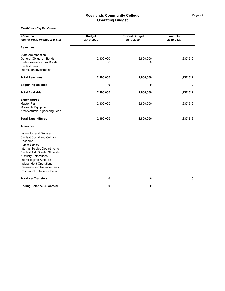| <b>Allocated</b>                                                                                                                                                                                                                                                                                                      | <b>Budget</b>  | <b>Revised Budget</b> | <b>Actuals</b> |  |  |
|-----------------------------------------------------------------------------------------------------------------------------------------------------------------------------------------------------------------------------------------------------------------------------------------------------------------------|----------------|-----------------------|----------------|--|--|
| Master Plan, Phase I & II & III                                                                                                                                                                                                                                                                                       | 2019-2020      | 2019-2020             | 2019-2020      |  |  |
| <b>Revenues</b>                                                                                                                                                                                                                                                                                                       |                |                       |                |  |  |
| State Appropriation<br><b>General Obligation Bonds</b><br>State Severance Tax Bonds<br><b>Student Fees</b>                                                                                                                                                                                                            | 2,800,000<br>0 | 2,800,000<br>0        | 1,237,512<br>0 |  |  |
| Interest on Investments                                                                                                                                                                                                                                                                                               |                |                       |                |  |  |
| <b>Total Revenues</b>                                                                                                                                                                                                                                                                                                 | 2,800,000      | 2,800,000             | 1,237,512      |  |  |
| <b>Beginning Balance</b>                                                                                                                                                                                                                                                                                              | 0              | 0                     | 0              |  |  |
| <b>Total Available</b>                                                                                                                                                                                                                                                                                                | 2,800,000      | 2,800,000             | 1,237,512      |  |  |
| <b>Expenditures</b><br>Master Plan<br>Moveable Equipment<br>Architectural/Engineering Fees                                                                                                                                                                                                                            | 2,800,000      | 2,800,000             | 1,237,512      |  |  |
| <b>Total Expenditures</b>                                                                                                                                                                                                                                                                                             | 2,800,000      | 2,800,000             | 1,237,512      |  |  |
| <b>Transfers</b>                                                                                                                                                                                                                                                                                                      |                |                       |                |  |  |
| Instruction and General<br><b>Student Social and Cultural</b><br>Research<br><b>Public Service</b><br>Internal Service Departments<br>Student Aid, Grants, Stipends<br><b>Auxiliary Enterprises</b><br>Intercollegiate Athletics<br>Independent Operations<br>Renewals and Replacements<br>Retirement of Indebtedness |                |                       |                |  |  |
| <b>Total Net Transfers</b>                                                                                                                                                                                                                                                                                            | 0              | 0                     | 0              |  |  |
| <b>Ending Balance, Allocated</b>                                                                                                                                                                                                                                                                                      | 0              | 0                     | 0              |  |  |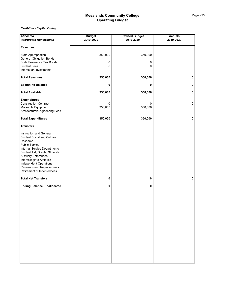| <b>Allocated</b>                                              | <b>Budget</b> | <b>Revised Budget</b> | <b>Actuals</b> |
|---------------------------------------------------------------|---------------|-----------------------|----------------|
| <b>Intergrated Renewables</b>                                 | 2019-2020     | 2019-2020             | 2019-2020      |
| <b>Revenues</b>                                               |               |                       |                |
|                                                               |               |                       |                |
| State Appropriation                                           | 350,000       | 350,000               |                |
| <b>General Obligation Bonds</b>                               |               |                       |                |
| State Severance Tax Bonds                                     | 0             | 0                     |                |
| <b>Student Fees</b><br>Interest on Investments                | 0             | 0                     |                |
|                                                               |               |                       |                |
| <b>Total Revenues</b>                                         | 350,000       | 350,000               | 0              |
| <b>Beginning Balance</b>                                      | 0             | 0                     | 0              |
| <b>Total Available</b>                                        | 350,000       | 350,000               | 0              |
| <b>Expenditures</b>                                           |               |                       |                |
| <b>Construction Contract</b>                                  | 0             | 0                     | 0              |
| Moveable Equipment                                            | 350,000       | 350,000               |                |
| Architectural/Engineering Fees                                |               |                       |                |
| <b>Total Expenditures</b>                                     | 350,000       | 350,000               | 0              |
| <b>Transfers</b>                                              |               |                       |                |
| Instruction and General                                       |               |                       |                |
| <b>Student Social and Cultural</b>                            |               |                       |                |
| Research                                                      |               |                       |                |
| <b>Public Service</b>                                         |               |                       |                |
| Internal Service Departments<br>Student Aid, Grants, Stipends |               |                       |                |
| <b>Auxiliary Enterprises</b>                                  |               |                       |                |
| Intercollegiate Athletics                                     |               |                       |                |
| Independent Operations                                        |               |                       |                |
| Renewals and Replacements                                     |               |                       |                |
| Retirement of Indebtedness                                    |               |                       |                |
| <b>Total Net Transfers</b>                                    | 0             | 0                     | 0              |
| <b>Ending Balance, Unallocated</b>                            | 0             | 0                     | 0              |
|                                                               |               |                       |                |
|                                                               |               |                       |                |
|                                                               |               |                       |                |
|                                                               |               |                       |                |
|                                                               |               |                       |                |
|                                                               |               |                       |                |
|                                                               |               |                       |                |
|                                                               |               |                       |                |
|                                                               |               |                       |                |
|                                                               |               |                       |                |
|                                                               |               |                       |                |
|                                                               |               |                       |                |
|                                                               |               |                       |                |
|                                                               |               |                       |                |
|                                                               |               |                       |                |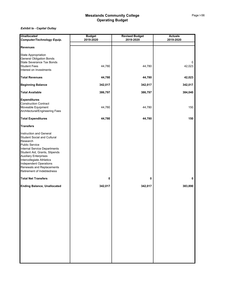| <b>Unallocated</b>                  | <b>Budget</b> | <b>Revised Budget</b> | <b>Actuals</b> |  |  |
|-------------------------------------|---------------|-----------------------|----------------|--|--|
| Computer/Technology Equip.          | 2019-2020     | 2019-2020             | 2019-2020      |  |  |
| <b>Revenues</b>                     |               |                       |                |  |  |
|                                     |               |                       |                |  |  |
| <b>State Appropriation</b>          |               |                       |                |  |  |
| <b>General Obligation Bonds</b>     |               |                       |                |  |  |
| <b>State Severance Tax Bonds</b>    |               |                       | 0              |  |  |
| <b>Student Fees</b>                 | 44,780        | 44,780                | 42,023         |  |  |
| Interest on Investments             |               |                       |                |  |  |
| <b>Total Revenues</b>               | 44,780        | 44,780                | 42,023         |  |  |
| <b>Beginning Balance</b>            | 342,017       | 342,017               | 342,017        |  |  |
| <b>Total Available</b>              | 386,797       | 386,797               | 384,040        |  |  |
| <b>Expenditures</b>                 |               |                       |                |  |  |
| <b>Construction Contract</b>        |               |                       |                |  |  |
| Moveable Equipment                  | 44,780        | 44,780                | 150            |  |  |
| Architectural/Engineering Fees      |               |                       |                |  |  |
| <b>Total Expenditures</b>           | 44,780        | 44,780                | 150            |  |  |
| <b>Transfers</b>                    |               |                       |                |  |  |
|                                     |               |                       |                |  |  |
| Instruction and General             |               |                       |                |  |  |
| <b>Student Social and Cultural</b>  |               |                       |                |  |  |
| Research                            |               |                       |                |  |  |
| <b>Public Service</b>               |               |                       |                |  |  |
| <b>Internal Service Departments</b> |               |                       |                |  |  |
| Student Aid, Grants, Stipends       |               |                       |                |  |  |
| <b>Auxiliary Enterprises</b>        |               |                       |                |  |  |
| Intercollegiate Athletics           |               |                       |                |  |  |
| <b>Independent Operations</b>       |               |                       |                |  |  |
| Renewals and Replacements           |               |                       |                |  |  |
| Retirement of Indebtedness          |               |                       |                |  |  |
| <b>Total Net Transfers</b>          | 0             | 0                     | 0              |  |  |
| <b>Ending Balance, Unallocated</b>  | 342,017       | 342,017               | 383,890        |  |  |
|                                     |               |                       |                |  |  |
|                                     |               |                       |                |  |  |
|                                     |               |                       |                |  |  |
|                                     |               |                       |                |  |  |
|                                     |               |                       |                |  |  |
|                                     |               |                       |                |  |  |
|                                     |               |                       |                |  |  |
|                                     |               |                       |                |  |  |
|                                     |               |                       |                |  |  |
|                                     |               |                       |                |  |  |
|                                     |               |                       |                |  |  |
|                                     |               |                       |                |  |  |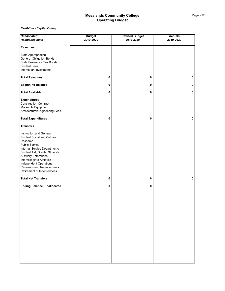| <b>Unallocated<br/>Residence halls</b>                                                 | <b>Budget</b> | <b>Revised Budget</b> | <b>Actuals</b> |
|----------------------------------------------------------------------------------------|---------------|-----------------------|----------------|
|                                                                                        | 2019-2020     | 2019-2020             | 2019-2020      |
|                                                                                        |               |                       |                |
| <b>Revenues</b>                                                                        |               |                       |                |
|                                                                                        |               |                       |                |
| State Appropriation                                                                    |               |                       |                |
| General Obligation Bonds<br>State Severance Tax Bonds<br>Student Fees                  |               |                       |                |
|                                                                                        |               |                       |                |
|                                                                                        |               |                       |                |
| Interest on Investments                                                                |               |                       |                |
| <b>Total Revenues</b>                                                                  |               |                       |                |
|                                                                                        | 0             | 0                     | 0              |
| <b>Beginning Balance</b>                                                               | 0             | 0                     | 0              |
|                                                                                        |               |                       |                |
| <b>Total Available</b>                                                                 | 0             | 0                     | 0              |
|                                                                                        |               |                       |                |
| Expenditures<br>Construction Contract                                                  |               |                       |                |
|                                                                                        |               |                       |                |
| Moveable Equipment<br>Architectural/Engineering Fees                                   |               |                       |                |
|                                                                                        |               |                       |                |
| <b>Total Expenditures</b>                                                              | 0             | 0                     | 0              |
| <b>Transfers</b>                                                                       |               |                       |                |
|                                                                                        |               |                       |                |
| Instruction and General                                                                |               |                       |                |
| Student Social and Cultural<br>Research                                                |               |                       |                |
|                                                                                        |               |                       |                |
| <b>Public Service</b>                                                                  |               |                       |                |
| Internal Service Departments<br>Student Aid, Grants, Stipends<br>Auxiliary Enterprises |               |                       |                |
|                                                                                        |               |                       |                |
|                                                                                        |               |                       |                |
|                                                                                        |               |                       |                |
| Intercollegiate Athletics<br>Intercollegiate Athletics<br>Renewals and Replacements    |               |                       |                |
|                                                                                        |               |                       |                |
| Retirement of Indebtedness                                                             |               |                       |                |
| <b>Total Net Transfers</b>                                                             | 0             | 0                     | 0              |
|                                                                                        |               |                       |                |
| <b>Ending Balance, Unallocated</b>                                                     | 0             | 0                     | 0              |
|                                                                                        |               |                       |                |
|                                                                                        |               |                       |                |
|                                                                                        |               |                       |                |
|                                                                                        |               |                       |                |
|                                                                                        |               |                       |                |
|                                                                                        |               |                       |                |
|                                                                                        |               |                       |                |
|                                                                                        |               |                       |                |
|                                                                                        |               |                       |                |
|                                                                                        |               |                       |                |
|                                                                                        |               |                       |                |
|                                                                                        |               |                       |                |
|                                                                                        |               |                       |                |
|                                                                                        |               |                       |                |
|                                                                                        |               |                       |                |
|                                                                                        |               |                       |                |
|                                                                                        |               |                       |                |
|                                                                                        |               |                       |                |
|                                                                                        |               |                       |                |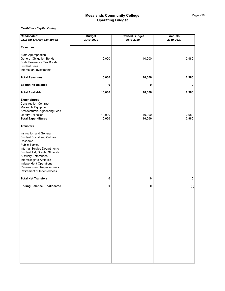| <b>Unallocated</b>                 | <b>Budget</b> | <b>Revised Budget</b> | <b>Actuals</b> |
|------------------------------------|---------------|-----------------------|----------------|
| <b>GOB for Library Collection</b>  | 2019-2020     | 2019-2020             | 2019-2020      |
|                                    |               |                       |                |
| <b>Revenues</b>                    |               |                       |                |
| State Appropriation                |               |                       |                |
| <b>General Obligation Bonds</b>    | 10,000        | 10,000                | 2,980          |
| State Severance Tax Bonds          |               |                       |                |
| <b>Student Fees</b>                |               |                       |                |
|                                    |               |                       |                |
| Interest on Investments            |               |                       |                |
| <b>Total Revenues</b>              | 10,000        | 10,000                | 2,980          |
| <b>Beginning Balance</b>           | 0             | 0                     | 0              |
| <b>Total Available</b>             | 10,000        | 10,000                | 2,980          |
| <b>Expenditures</b>                |               |                       |                |
| <b>Construction Contract</b>       |               |                       |                |
| Moveable Equipment                 |               |                       |                |
| Architectural/Engineering Fees     |               |                       |                |
| <b>Library Collection</b>          | 10,000        | 10,000                | 2,980          |
| <b>Total Expenditures</b>          | 10,000        | 10,000                | 2,980          |
|                                    |               |                       |                |
| <b>Transfers</b>                   |               |                       |                |
| Instruction and General            |               |                       |                |
| <b>Student Social and Cultural</b> |               |                       |                |
| Research                           |               |                       |                |
| <b>Public Service</b>              |               |                       |                |
| Internal Service Departments       |               |                       |                |
| Student Aid, Grants, Stipends      |               |                       |                |
| <b>Auxiliary Enterprises</b>       |               |                       |                |
|                                    |               |                       |                |
| Intercollegiate Athletics          |               |                       |                |
| Independent Operations             |               |                       |                |
| Renewals and Replacements          |               |                       |                |
| Retirement of Indebtedness         |               |                       |                |
| <b>Total Net Transfers</b>         | 0             | 0                     | 0              |
| <b>Ending Balance, Unallocated</b> | 0             | 0                     | (0)            |
|                                    |               |                       |                |
|                                    |               |                       |                |
|                                    |               |                       |                |
|                                    |               |                       |                |
|                                    |               |                       |                |
|                                    |               |                       |                |
|                                    |               |                       |                |
|                                    |               |                       |                |
|                                    |               |                       |                |
|                                    |               |                       |                |
|                                    |               |                       |                |
|                                    |               |                       |                |
|                                    |               |                       |                |
|                                    |               |                       |                |
|                                    |               |                       |                |
|                                    |               |                       |                |
|                                    |               |                       |                |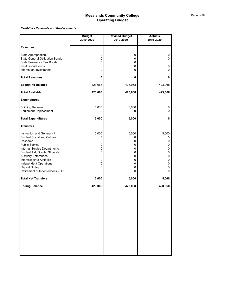### *Exhibit Il - Renewals and Replacements*

|                                                                                                                                                                                                                                                                                                                              | <b>Budget</b><br>2019-2020                              | <b>Revised Budget</b><br>2019-2020                      | <b>Actuals</b><br>2019-2020                                     |
|------------------------------------------------------------------------------------------------------------------------------------------------------------------------------------------------------------------------------------------------------------------------------------------------------------------------------|---------------------------------------------------------|---------------------------------------------------------|-----------------------------------------------------------------|
|                                                                                                                                                                                                                                                                                                                              |                                                         |                                                         |                                                                 |
| <b>Revenues</b>                                                                                                                                                                                                                                                                                                              |                                                         |                                                         |                                                                 |
| State Appropriation<br><b>State General Obligation Bonds</b><br><b>State Severance Tax Bonds</b>                                                                                                                                                                                                                             | 0<br>0<br>0                                             | 0<br>0<br>0                                             | 0<br>0                                                          |
| <b>Institutional Bonds</b><br>Interest on Investments                                                                                                                                                                                                                                                                        | 0<br>0                                                  | 0<br>0                                                  | 0<br>0                                                          |
| <b>Total Revenues</b>                                                                                                                                                                                                                                                                                                        | 0                                                       | 0                                                       | 0                                                               |
| <b>Beginning Balance</b>                                                                                                                                                                                                                                                                                                     | 423,068                                                 | 423,068                                                 | 423,068                                                         |
| <b>Total Available</b>                                                                                                                                                                                                                                                                                                       | 423,068                                                 | 423,068                                                 | 423,068                                                         |
| <b>Expenditures</b>                                                                                                                                                                                                                                                                                                          |                                                         |                                                         |                                                                 |
| <b>Building Renewal</b><br>Equipment Replacement                                                                                                                                                                                                                                                                             | 5,000<br>0                                              | 5,000<br>0                                              | 0<br>0                                                          |
| <b>Total Expenditures</b>                                                                                                                                                                                                                                                                                                    | 5,000                                                   | 5,000                                                   | 0                                                               |
| <b>Transfers</b>                                                                                                                                                                                                                                                                                                             |                                                         |                                                         |                                                                 |
| Instruction and General - In<br><b>Student Social and Cultural</b><br>Research<br><b>Public Service</b><br>Internal Service Departments<br>Student Aid, Grants, Stipends<br><b>Auxiliary Enterprises</b><br>Intercollegiate Athletics<br><b>Independent Operations</b><br>Capital Outlay<br>Retirement of Indebtedness - Out | 5,000<br>0<br>0<br>0<br>0<br>0<br>0<br>0<br>0<br>0<br>0 | 5,000<br>0<br>0<br>0<br>0<br>0<br>0<br>0<br>0<br>0<br>0 | 5,000<br>0<br>0<br>0<br>$\pmb{0}$<br>0<br>0<br>0<br>0<br>0<br>0 |
| <b>Total Net Transfers</b>                                                                                                                                                                                                                                                                                                   | 5,000                                                   | 5,000                                                   | 5,000                                                           |
| <b>Ending Balance</b>                                                                                                                                                                                                                                                                                                        | 423,068                                                 | 423,068                                                 | 428,068                                                         |
|                                                                                                                                                                                                                                                                                                                              |                                                         |                                                         |                                                                 |
|                                                                                                                                                                                                                                                                                                                              |                                                         |                                                         |                                                                 |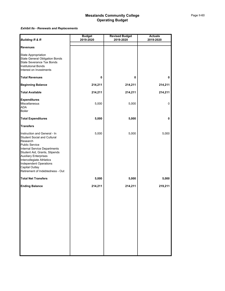### *Exhibit IIa - Renewals and Replacements*

| <b>Building R &amp; R</b>                                                                                                                                                                                                                                                                                                    | <b>Budget</b><br>2019-2020 | <b>Revised Budget</b><br>2019-2020 | <b>Actuals</b><br>2019-2020 |
|------------------------------------------------------------------------------------------------------------------------------------------------------------------------------------------------------------------------------------------------------------------------------------------------------------------------------|----------------------------|------------------------------------|-----------------------------|
|                                                                                                                                                                                                                                                                                                                              |                            |                                    |                             |
| <b>Revenues</b>                                                                                                                                                                                                                                                                                                              |                            |                                    |                             |
| State Appropriation<br>State General Obligation Bonds<br>State Severance Tax Bonds<br><b>Institutional Bonds</b><br>Interest on Investments                                                                                                                                                                                  |                            |                                    |                             |
| <b>Total Revenues</b>                                                                                                                                                                                                                                                                                                        | 0                          | 0                                  | 0                           |
| <b>Beginning Balance</b>                                                                                                                                                                                                                                                                                                     | 214,211                    | 214,211                            | 214,211                     |
| <b>Total Available</b>                                                                                                                                                                                                                                                                                                       | 214,211                    | 214,211                            | 214,211                     |
| <b>Expenditures</b><br>Miscellaneous<br><b>ADA</b><br>Boiler                                                                                                                                                                                                                                                                 | 5,000                      | 5,000                              | 0                           |
| <b>Total Expenditures</b>                                                                                                                                                                                                                                                                                                    | 5,000                      | 5,000                              | 0                           |
| <b>Transfers</b>                                                                                                                                                                                                                                                                                                             |                            |                                    |                             |
| Instruction and General - In<br><b>Student Social and Cultural</b><br>Research<br><b>Public Service</b><br>Internal Service Departments<br>Student Aid, Grants, Stipends<br><b>Auxiliary Enterprises</b><br>Intercollegiate Athletics<br><b>Independent Operations</b><br>Capital Outlay<br>Retirement of Indebtedness - Out | 5,000                      | 5,000                              | 5,000                       |
| <b>Total Net Transfers</b>                                                                                                                                                                                                                                                                                                   | 5,000                      | 5,000                              | 5,000                       |
| <b>Ending Balance</b>                                                                                                                                                                                                                                                                                                        | 214,211                    | 214,211                            | 219,211                     |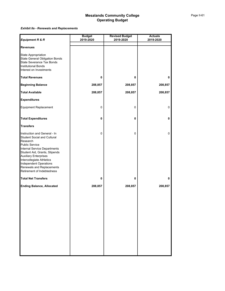### *Exhibit IIa - Renewals and Replacements*

| Equipment R & R                                                                                                                                                                                                                                                                                                                   | <b>Budget</b><br>2019-2020 | <b>Revised Budget</b><br>2019-2020 | <b>Actuals</b><br>2019-2020 |
|-----------------------------------------------------------------------------------------------------------------------------------------------------------------------------------------------------------------------------------------------------------------------------------------------------------------------------------|----------------------------|------------------------------------|-----------------------------|
|                                                                                                                                                                                                                                                                                                                                   |                            |                                    |                             |
| <b>Revenues</b>                                                                                                                                                                                                                                                                                                                   |                            |                                    |                             |
| <b>State Appropriation</b><br><b>State General Obligation Bonds</b><br><b>State Severance Tax Bonds</b><br><b>Institutional Bonds</b><br>Interest on Investments                                                                                                                                                                  |                            |                                    |                             |
| <b>Total Revenues</b>                                                                                                                                                                                                                                                                                                             | 0                          | 0                                  | 0                           |
| <b>Beginning Balance</b>                                                                                                                                                                                                                                                                                                          | 208,857                    | 208,857                            | 208,857                     |
| <b>Total Available</b>                                                                                                                                                                                                                                                                                                            | 208,857                    | 208,857                            | 208,857                     |
| <b>Expenditures</b>                                                                                                                                                                                                                                                                                                               |                            |                                    |                             |
| <b>Equipment Replacement</b>                                                                                                                                                                                                                                                                                                      | 0                          | 0                                  | 0                           |
| <b>Total Expenditures</b>                                                                                                                                                                                                                                                                                                         | 0                          | 0                                  | 0                           |
| <b>Transfers</b>                                                                                                                                                                                                                                                                                                                  |                            |                                    |                             |
| Instruction and General - In<br><b>Student Social and Cultural</b><br>Research<br><b>Public Service</b><br><b>Internal Service Departments</b><br>Student Aid, Grants, Stipends<br><b>Auxiliary Enterprises</b><br>Intercollegiate Athletics<br>Independent Operations<br>Renewals and Replacements<br>Retirement of Indebtedness | 0                          | 0                                  | 0                           |
| <b>Total Net Transfers</b>                                                                                                                                                                                                                                                                                                        | 0                          | 0                                  | 0                           |
| <b>Ending Balance, Allocated</b>                                                                                                                                                                                                                                                                                                  | 208,857                    | 208,857                            | 208,857                     |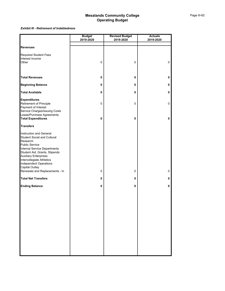#### *Exhibit III - Retirement of Indebtedness*

|                                                                                                                                                                                                                                                                                            | <b>Budget</b><br>2019-2020 | <b>Revised Budget</b><br>2019-2020 | <b>Actuals</b><br>2019-2020 |
|--------------------------------------------------------------------------------------------------------------------------------------------------------------------------------------------------------------------------------------------------------------------------------------------|----------------------------|------------------------------------|-----------------------------|
|                                                                                                                                                                                                                                                                                            |                            |                                    |                             |
| <b>Revenues</b>                                                                                                                                                                                                                                                                            |                            |                                    |                             |
| <b>Required Student Fees</b><br>Interest Income<br>Other                                                                                                                                                                                                                                   | $\pmb{0}$                  | 0                                  | 0                           |
| <b>Total Revenues</b>                                                                                                                                                                                                                                                                      | 0                          | 0                                  | 0                           |
| <b>Beginning Balance</b>                                                                                                                                                                                                                                                                   | 0                          | 0                                  | 0                           |
| <b>Total Available</b>                                                                                                                                                                                                                                                                     | 0                          | 0                                  | 0                           |
| <b>Expenditures</b><br>Retirement of Principle<br>Payment of Interest<br>Service Charges/Issuing Costs<br>Lease/Purchase Agreements<br><b>Total Expenditures</b>                                                                                                                           | 0<br>$\pmb{0}$             | 0<br>0                             | $\mathbf 0$<br>0            |
| <b>Transfers</b>                                                                                                                                                                                                                                                                           |                            |                                    |                             |
| Instruction and General<br><b>Student Social and Cultural</b><br>Research<br><b>Public Service</b><br><b>Internal Service Departments</b><br>Student Aid, Grants, Stipends<br><b>Auxiliary Enterprises</b><br>Intercollegiate Athletics<br>Independent Operations<br><b>Capital Outlay</b> |                            |                                    |                             |
| Renewals and Replacements - In                                                                                                                                                                                                                                                             | $\pmb{0}$                  | 0                                  | 0                           |
| <b>Total Net Transfers</b>                                                                                                                                                                                                                                                                 | 0                          | 0                                  | 0                           |
| <b>Ending Balance</b>                                                                                                                                                                                                                                                                      | 0                          | 0                                  | 0                           |
|                                                                                                                                                                                                                                                                                            |                            |                                    |                             |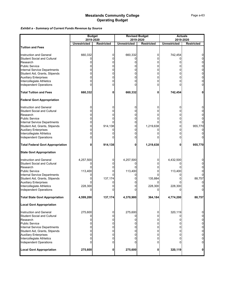*Exhibit a - Summary of Current Funds Revenue by Source*

|                                                     | <b>Budget</b>       |                   | <b>Revised Budget</b> |                   |                     | <b>Actuals</b>    |
|-----------------------------------------------------|---------------------|-------------------|-----------------------|-------------------|---------------------|-------------------|
|                                                     | 2019-2020           |                   | 2019-2020             |                   |                     | 2019-2020         |
|                                                     | <b>Unrestricted</b> | <b>Restricted</b> | <b>Unrestricted</b>   | <b>Restricted</b> | <b>Unrestricted</b> | <b>Restricted</b> |
| <b>Tuition and Fees</b>                             |                     |                   |                       |                   |                     |                   |
| Instruction and General                             | 660,332             | 0                 | 660,332               | 0                 | 742,454             | 0                 |
| Student Social and Cultural                         |                     | 0                 |                       | 0                 |                     | 0                 |
| Research                                            |                     |                   |                       | 0                 |                     | 0                 |
|                                                     | 0                   | 0                 | 0                     |                   | 0                   |                   |
| Public Service                                      |                     | 0                 |                       | 0                 | 0                   | 0                 |
| Internal Service Departments                        | 0                   | 0                 | 0                     | 0                 | 0                   | 0                 |
| Student Aid, Grants, Stipends                       |                     | 0                 | 0                     | 0                 | 0                   | 0                 |
| <b>Auxiliary Enterprises</b>                        |                     | 0                 |                       | 0                 | 0                   | 0                 |
| Intercollegiate Athletics                           |                     | 0                 | 0                     | 0                 |                     | 0                 |
| <b>Independent Operations</b>                       |                     | 0                 |                       | 0                 |                     | 0                 |
| <b>Total Tuition and Fees</b>                       | 660,332             | 0                 | 660,332               | 0                 | 742,454             | 0                 |
| <b>Federal Govt Appropriation</b>                   |                     |                   |                       |                   |                     |                   |
| <b>Instruction and General</b>                      |                     | 0                 | 0                     | 0                 | 0                   | 0                 |
| <b>Student Social and Cultural</b>                  |                     | 0                 | 0                     | 0                 | 0                   | 0                 |
| Research                                            |                     | 0                 |                       | 0                 | 0                   | 0                 |
| <b>Public Service</b>                               |                     | 0                 | 0                     |                   | 0                   | 0                 |
|                                                     | 0                   |                   | 0                     |                   | 0                   | 0                 |
| Internal Service Departments                        |                     |                   |                       |                   |                     |                   |
| Student Aid, Grants, Stipends                       | 0                   | 914,138           | 0                     | 1,219,638         | 0                   | 955,770           |
| <b>Auxiliary Enterprises</b>                        |                     | 0                 | 0                     |                   | 0                   | 0                 |
| Intercollegiate Athletics                           |                     |                   |                       |                   | 0                   |                   |
| Independent Operations                              |                     | 0                 | 0                     |                   | 0                   | U                 |
| <b>Total Federal Govt Appropriation</b>             | 0                   | 914,138           | 0                     | 1,219,638         | 0                   | 955,770           |
| <b>State Govt Appropriation</b>                     |                     |                   |                       |                   |                     |                   |
| Instruction and General                             | 4,257,500           | 0                 | 4,257,500             | 0                 | 4,432,500           | 0                 |
| <b>Student Social and Cultural</b>                  |                     | 0                 |                       | 0                 |                     | 0                 |
| Research                                            |                     | 0                 |                       |                   |                     | 0                 |
| Public Service                                      | 113,400             | 0                 | 113,400               |                   | 113,400             |                   |
| Internal Service Departments                        | 0                   | O                 | 0                     |                   | 0                   | 0                 |
| Student Aid, Grants, Stipends                       | 0                   | 137,174           | 0                     | 135,884           |                     | 88,757            |
|                                                     |                     | 0                 | ი                     |                   |                     | 0                 |
| <b>Auxiliary Enterprises</b>                        |                     |                   | 0                     |                   | 228,300             | 0                 |
| Intercollegiate Athletics<br>Independent Operations | 228,300             | 0                 |                       | 228,300           |                     | 0                 |
| <b>Total State Govt Appropriation</b>               | 4,599,200           | 137,174           | 4,370,900             | 364,184           | 4,774,200           | 88,757            |
| <b>Local Govt Appropriation</b>                     |                     |                   |                       |                   |                     |                   |
|                                                     |                     |                   |                       |                   |                     |                   |
| <b>Instruction and General</b>                      | 275,600             | 0                 | 275,600               | 0                 | 320,119             | 0                 |
| <b>Student Social and Cultural</b>                  | 0                   | 0                 |                       | 0                 | 0                   | $\mathbf 0$       |
| Research                                            | 0                   | 0                 | 0                     | 0                 | 0                   | $\overline{0}$    |
| <b>Public Service</b>                               | 0                   | 0                 | 0                     | 0                 | 0                   | $\overline{0}$    |
| Internal Service Departments                        | 0                   | 0                 | 0                     | 0                 | 0                   | $\mathbf 0$       |
| Student Aid, Grants, Stipends                       | 0                   | 0                 | 0                     | 0                 | 0                   | $\overline{0}$    |
| <b>Auxiliary Enterprises</b>                        | 0                   | 0                 | 0                     | 0                 | 0                   | $\overline{0}$    |
| Intercollegiate Athletics                           | 0                   | 0                 | 0                     | 0                 | 0                   | $\overline{0}$    |
| <b>Independent Operations</b>                       | 0                   | 0                 | 0                     | 0                 | 0                   | $\overline{0}$    |
| <b>Local Govt Appropriation</b>                     | 275,600             | $\mathbf{0}$      | 275,600               | 0                 | 320,119             | $\mathbf{0}$      |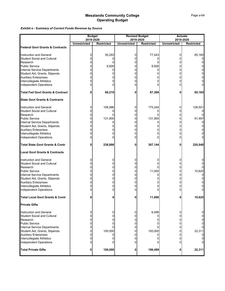*Exhibit a - Summary of Current Funds Revenue by Source*

|                                             |                                  | <b>Budget</b>     |                     | <b>Revised Budget</b>          |                     | <b>Actuals</b>                 |
|---------------------------------------------|----------------------------------|-------------------|---------------------|--------------------------------|---------------------|--------------------------------|
|                                             | 2019-2020<br><b>Unrestricted</b> | <b>Restricted</b> | <b>Unrestricted</b> | 2019-2020<br><b>Restricted</b> | <b>Unrestricted</b> | 2019-2020<br><b>Restricted</b> |
| <b>Federal Govt Grants &amp; Contracts</b>  |                                  |                   |                     |                                |                     |                                |
|                                             |                                  |                   |                     |                                |                     |                                |
| <b>Instruction and General</b>              | 0                                | 50,293            | 0                   | 77,443                         | 0                   | 65,165                         |
| <b>Student Social and Cultural</b>          | 0                                |                   | 0                   |                                | 0                   |                                |
| Research                                    | 0                                | 0                 | 0                   | 0                              | 0                   | 0                              |
| <b>Public Service</b>                       |                                  | 9,926             | 0                   | 9,926                          | 0                   | 0                              |
| Internal Service Departments                | 0                                | 0                 | 0                   |                                | 0                   | 0                              |
| Student Aid, Grants, Stipends               | ი                                | 0                 | 0                   |                                | 0                   | 0                              |
| <b>Auxiliary Enterprises</b>                |                                  |                   | 0                   |                                | 0                   | 0                              |
| Intercollegiate Athletics                   | 0                                |                   | 0                   |                                | 0                   | 0                              |
| Independent Operations                      |                                  |                   | n                   |                                | ი                   | 0                              |
|                                             |                                  |                   |                     |                                |                     |                                |
| <b>Total Fed Govt Grants &amp; Contract</b> | 0                                | 60,219            | 0                   | 87,369                         | 0                   | 65,165                         |
| <b>State Govt Grants &amp; Contracts</b>    |                                  |                   |                     |                                |                     |                                |
| Instruction and General                     | 0                                | 106,986           | 0                   | 175,244                        | 0                   | 128,551                        |
| Student Social and Cultural                 | 0                                |                   | 0                   |                                | 0                   |                                |
| Research                                    | 0                                |                   | 0                   |                                | 0                   | 0                              |
| <b>Public Service</b>                       | 0                                | 131,900           | 0                   | 131,900                        | 0                   | 91,497                         |
| Internal Service Departments                | ი                                |                   | O                   | 0                              | 0                   |                                |
| Student Aid, Grants, Stipends               | 0                                |                   | 0                   |                                | 0                   | 0                              |
| <b>Auxiliary Enterprises</b>                |                                  |                   | O                   |                                | 0                   | 0                              |
| Intercollegiate Athletics                   |                                  |                   |                     |                                | 0                   | 0                              |
| Independent Operations                      | 0                                | 0                 | 0                   |                                | 0                   | $\Omega$                       |
| <b>Total State Govt Grants &amp; Contr</b>  | 0                                | 238,886           | 0                   | 307,144                        | 0                   | 220,048                        |
| <b>Local Govt Grants &amp; Contracts</b>    |                                  |                   |                     |                                |                     |                                |
| Instruction and General                     | 0                                | 0                 | 0                   | 0                              | 0                   | 0                              |
| <b>Student Social and Cultural</b>          | 0                                | 0                 | 0                   | 0                              | 0                   | 0                              |
| Research                                    | 0                                | 0                 | 0                   |                                | 0                   | 0                              |
| <b>Public Service</b>                       | 0                                | 0                 | 0                   | 11,000                         | 0                   | 10,625                         |
| Internal Service Departments                | 0                                | 0                 | 0                   | 0                              | 0                   | 0                              |
| Student Aid, Grants, Stipends               | 0                                | 0                 | 0                   |                                | 0                   | 0                              |
| <b>Auxiliary Enterprises</b>                | 0                                | 0                 | 0                   | 0                              | 0                   | 0                              |
| Intercollegiate Athletics                   | 0                                | 0                 | O                   | 0                              | 0                   | 0                              |
| Independent Operations                      |                                  | 0                 |                     |                                |                     | 0                              |
| <b>Total Local Govt Grants &amp; Contr</b>  |                                  | 0                 | 0                   | 11,000                         | 0                   | 10,625                         |
| <b>Private Gifts</b>                        |                                  |                   |                     |                                |                     |                                |
|                                             |                                  |                   |                     |                                |                     |                                |
| <b>Instruction and General</b>              | 0                                | 0                 | 0                   | 6,499                          | 0                   | 0                              |
| Student Social and Cultural                 | 0                                | 0                 | 0                   |                                | 0                   | 0                              |
| Research                                    | 0                                | 0                 | 0                   |                                | 0                   | 0                              |
| <b>Public Service</b>                       | 0                                | 0                 | 0                   |                                | 0                   | 0                              |
| <b>Internal Service Departments</b>         | 0                                |                   | 0                   |                                | 0                   | $\overline{0}$                 |
| Student Aid, Grants, Stipends               | 0                                | 100,000           | 0                   | 100,000                        | 0                   | 22,311                         |
| <b>Auxiliary Enterprises</b>                | 0                                |                   | 0                   |                                | 0                   | 0                              |
| Intercollegiate Athletics                   | 0                                | 0                 | 0                   |                                | 0                   | $\overline{0}$                 |
| Independent Operations                      | 0                                | O                 | 0                   |                                |                     | $\overline{0}$                 |
| <b>Total Private Gifts</b>                  | 0                                | 100,000           | 0                   | 106,499                        | 0                   | 22,311                         |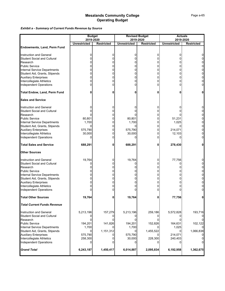*Exhibit a - Summary of Current Funds Revenue by Source*

|                                     |                                  | <b>Budget</b>     |                     | <b>Revised Budget</b>          |                     | <b>Actuals</b>                 |
|-------------------------------------|----------------------------------|-------------------|---------------------|--------------------------------|---------------------|--------------------------------|
|                                     | 2019-2020<br><b>Unrestricted</b> | <b>Restricted</b> | <b>Unrestricted</b> | 2019-2020<br><b>Restricted</b> | <b>Unrestricted</b> | 2019-2020<br><b>Restricted</b> |
| <b>Endowments, Land, Perm Fund</b>  |                                  |                   |                     |                                |                     |                                |
|                                     |                                  |                   |                     |                                |                     |                                |
| Instruction and General             | 0                                | 0                 | 0                   | 0                              | 0                   | 0                              |
| <b>Student Social and Cultural</b>  | 0                                | 0                 | 0                   | 0                              | 0                   | 0                              |
| Research                            | 0                                | 0                 | 0                   | 0                              | 0                   | 0                              |
| Public Service                      |                                  | 0                 | 0                   | 0                              | 0                   | 0                              |
| <b>Internal Service Departments</b> | 0                                | 0                 | 0                   | 0                              | 0                   | 0                              |
| Student Aid, Grants, Stipends       | 0                                | 0                 | 0                   | 0                              | 0                   | 0                              |
| <b>Auxiliary Enterprises</b>        |                                  | 0                 | 0                   | 0                              | 0                   | 0                              |
| Intercollegiate Athletics           | 0                                | 0                 | 0                   | 0                              | 0                   | 0                              |
| <b>Independent Operations</b>       |                                  | 0                 | 0                   | 0                              | 0                   | 0                              |
| Total Endow, Land, Perm Fund        |                                  | 0                 | 0                   | 0                              | 0                   | 0                              |
| <b>Sales and Service</b>            |                                  |                   |                     |                                |                     |                                |
| Instruction and General             |                                  | 0                 | 0                   | 0                              | 0                   | 0                              |
| Student Social and Cultural         | 0                                | 0                 | 0                   | 0                              | 0                   | 0                              |
| Research                            |                                  | 0                 |                     | 0                              |                     | 0                              |
| <b>Public Service</b>               | 80,801                           | 0                 | 80,801              | 0                              | 51,231              | 0                              |
| Internal Service Departments        | 1,700                            | 0                 | 1,700               | 0                              | 1,025               | 0                              |
| Student Aid, Grants, Stipends       | 0                                | 0                 | 0                   | 0                              | 0                   | 0                              |
| <b>Auxiliary Enterprises</b>        | 575,790                          | 0                 | 575,790             | 0                              | 214,071             | 0                              |
| Intercollegiate Athletics           | 30,000                           | 0                 | 30,000              | 0                              | 12,103              | 0                              |
| <b>Independent Operations</b>       | O                                | 0                 |                     | 0                              |                     | 0                              |
|                                     |                                  |                   |                     |                                |                     |                                |
| <b>Total Sales and Service</b>      | 688,291                          | 0                 | 688,291             | 0                              | 278,430             | 0                              |
| <b>Other Sources</b>                |                                  |                   |                     |                                |                     |                                |
| Instruction and General             | 19,764                           | 0                 | 19,764              | 0                              | 77,756              | 0                              |
| <b>Student Social and Cultural</b>  | 0                                | 0                 | 0                   | 0                              | 0                   | 0                              |
| Research                            |                                  | 0                 | 0                   | 0                              | 0                   | 0                              |
| Public Service                      |                                  | 0                 | 0                   | 0                              | 0                   | 0                              |
| Internal Service Departments        | 0                                | 0                 | 0                   | 0                              | 0                   | 0                              |
| Student Aid, Grants, Stipends       | 0                                | 0                 | 0                   | 0                              | 0                   | 0                              |
| <b>Auxiliary Enterprises</b>        |                                  | 0                 | 0                   | 0                              | 0                   | 0                              |
| Intercollegiate Athletics           |                                  | 0                 | 0                   | 0                              | 0                   | 0                              |
| Independent Operations              |                                  | 0                 |                     | 0                              |                     | 0                              |
| <b>Total Other Sources</b>          | 19,764                           | 0                 | 19,764              | 0                              | 77,756              | 0                              |
| <b>Total Current Funds Revenue</b>  |                                  |                   |                     |                                |                     |                                |
| Instruction and General             | 5,213,196                        | 157,279           | 5,213,196           | 259,186                        | 5,572,828           | 193,716                        |
| <b>Student Social and Cultural</b>  |                                  |                   |                     | 0                              |                     |                                |
| Research                            |                                  | n                 | 0                   |                                |                     | 0                              |
| Public Service                      | 194,201                          | 141,826           | 194,201             | 152,826                        | 164,631             | 102,122                        |
| Internal Service Departments        | 1,700                            |                   | 1,700               |                                | 1,025               |                                |
| Student Aid, Grants, Stipends       | 0                                | 1,151,312         | 0                   | 1,455,522                      | 0                   | 1,066,838                      |
| <b>Auxiliary Enterprises</b>        | 575,790                          |                   | 575,790             |                                | 214,071             |                                |
| Intercollegiate Athletics           | 258,300                          | 0                 | 30,000              | 228,300                        | 240,403             |                                |
| <b>Independent Operations</b>       | 0                                |                   |                     |                                |                     | 0l                             |
|                                     |                                  |                   |                     |                                |                     |                                |
| <b>Grand Total</b>                  | 6,243,187                        | 1,450,417         | 6,014,887           | 2,095,834                      | 6,192,958           | 1,362,675                      |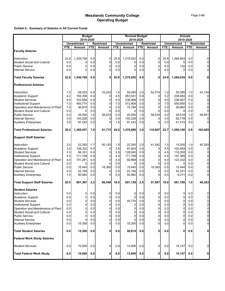### *Exhibit b - Summary of Salaries in All Current Funds*

| <b>FTE</b><br>22.8<br>0.0<br>0.0<br>0.0<br>22.8 | 2019-2020<br><b>Unrestricted</b><br><b>Amount</b><br>1,249,706<br>0<br>0<br>0                                              | <b>FTE</b><br>0.0<br>0.0<br>0.0<br>0.0                                                                                              | <b>Restricted</b><br><b>Amount</b><br>0<br>$\Omega$                                                                 | <b>FTE</b><br>25.8                                                                                                           | 2019-2020<br><b>Unrestricted</b><br><b>Amount</b>                                                  | <b>FTE</b>                                                                                                                     | <b>Restricted</b><br>Amount                                                                                      | <b>FTE</b>                                                                             | 2019-2020<br><b>Unrestricted</b><br>Amount                                                                       | <b>FTE</b>                                                                                                            | <b>Restricted</b><br>Amount                                                                                                           |
|-------------------------------------------------|----------------------------------------------------------------------------------------------------------------------------|-------------------------------------------------------------------------------------------------------------------------------------|---------------------------------------------------------------------------------------------------------------------|------------------------------------------------------------------------------------------------------------------------------|----------------------------------------------------------------------------------------------------|--------------------------------------------------------------------------------------------------------------------------------|------------------------------------------------------------------------------------------------------------------|----------------------------------------------------------------------------------------|------------------------------------------------------------------------------------------------------------------|-----------------------------------------------------------------------------------------------------------------------|---------------------------------------------------------------------------------------------------------------------------------------|
|                                                 |                                                                                                                            |                                                                                                                                     |                                                                                                                     |                                                                                                                              |                                                                                                    |                                                                                                                                |                                                                                                                  |                                                                                        |                                                                                                                  |                                                                                                                       |                                                                                                                                       |
|                                                 |                                                                                                                            |                                                                                                                                     |                                                                                                                     |                                                                                                                              |                                                                                                    |                                                                                                                                |                                                                                                                  |                                                                                        |                                                                                                                  |                                                                                                                       |                                                                                                                                       |
|                                                 |                                                                                                                            |                                                                                                                                     |                                                                                                                     |                                                                                                                              |                                                                                                    |                                                                                                                                |                                                                                                                  |                                                                                        |                                                                                                                  |                                                                                                                       |                                                                                                                                       |
|                                                 |                                                                                                                            |                                                                                                                                     |                                                                                                                     |                                                                                                                              | 1,279,052                                                                                          | 0.0                                                                                                                            | 0                                                                                                                | 24.8                                                                                   | 1,268,903                                                                                                        | 0.0                                                                                                                   | 0                                                                                                                                     |
|                                                 |                                                                                                                            |                                                                                                                                     |                                                                                                                     | 0.0                                                                                                                          |                                                                                                    | 0.0                                                                                                                            | 0                                                                                                                | 0.0                                                                                    |                                                                                                                  | 0.0                                                                                                                   | 0l                                                                                                                                    |
|                                                 |                                                                                                                            |                                                                                                                                     | 0                                                                                                                   | 0.0                                                                                                                          | 0                                                                                                  | 0.0                                                                                                                            | 0                                                                                                                | 0.0                                                                                    | 132                                                                                                              | 0.0                                                                                                                   | $\Omega$                                                                                                                              |
|                                                 |                                                                                                                            |                                                                                                                                     | 0                                                                                                                   | 0.0                                                                                                                          | 0                                                                                                  | 0.0                                                                                                                            | $\mathbf 0$                                                                                                      | 0.0                                                                                    | 0                                                                                                                | 0.0                                                                                                                   |                                                                                                                                       |
|                                                 | 1,249,706                                                                                                                  | 0.0                                                                                                                                 | 0                                                                                                                   | 25.8                                                                                                                         | 1,279,052                                                                                          | 0.0                                                                                                                            | 0                                                                                                                | 24.8                                                                                   | 1,269,035                                                                                                        | 0.0                                                                                                                   |                                                                                                                                       |
|                                                 |                                                                                                                            |                                                                                                                                     |                                                                                                                     |                                                                                                                              |                                                                                                    |                                                                                                                                |                                                                                                                  |                                                                                        |                                                                                                                  |                                                                                                                       |                                                                                                                                       |
| 1.0                                             | 58,522                                                                                                                     | 0.9                                                                                                                                 | 33,242                                                                                                              | 1.0                                                                                                                          | 55,000                                                                                             | 2.0                                                                                                                            | 52,074                                                                                                           | 1.0                                                                                    | 50,385                                                                                                           | 1.0                                                                                                                   | 43,154                                                                                                                                |
|                                                 |                                                                                                                            | 0.0                                                                                                                                 | $\mathbf{0}$                                                                                                        |                                                                                                                              |                                                                                                    |                                                                                                                                | 0                                                                                                                |                                                                                        | 238,484                                                                                                          | 0.0                                                                                                                   |                                                                                                                                       |
| 6.0                                             | 333,656                                                                                                                    | 0.0                                                                                                                                 | $\Omega$                                                                                                            | 5.0                                                                                                                          | 236,899                                                                                            | 0.0                                                                                                                            | 0                                                                                                                | 4.0                                                                                    | 238,927                                                                                                          | 0.0                                                                                                                   |                                                                                                                                       |
| 7.0                                             | 493,774                                                                                                                    | 0.0                                                                                                                                 | 0                                                                                                                   | 7.0                                                                                                                          |                                                                                                    | 0.0                                                                                                                            | 0                                                                                                                | 7.5                                                                                    | 550,650                                                                                                          | 0.0                                                                                                                   |                                                                                                                                       |
| 1.0                                             | 36,678                                                                                                                     | 0.0                                                                                                                                 | 0                                                                                                                   | 2.0                                                                                                                          | 75,784                                                                                             | 0.0                                                                                                                            | 0                                                                                                                | 2.0                                                                                    |                                                                                                                  | 0.0                                                                                                                   |                                                                                                                                       |
| 0.0                                             |                                                                                                                            | 0.0                                                                                                                                 | $\Omega$                                                                                                            | 0.0                                                                                                                          |                                                                                                    | 0.0                                                                                                                            | 0                                                                                                                | 0.0                                                                                    | 0                                                                                                                | 0.0                                                                                                                   |                                                                                                                                       |
| 0.0                                             | 25,000                                                                                                                     | 1.0                                                                                                                                 | 58,533                                                                                                              | 0.0                                                                                                                          | 25,000                                                                                             | 1.0                                                                                                                            | 58,533                                                                                                           | 0.0                                                                                    | 29,519                                                                                                           | 1.0                                                                                                                   | 58,851                                                                                                                                |
| 3.0                                             | 150,228                                                                                                                    | 0.0                                                                                                                                 | $\Omega$                                                                                                            | 3.0                                                                                                                          | 150,228                                                                                            | 0.0                                                                                                                            | 0                                                                                                                | 3.0                                                                                    | 82,718                                                                                                           | 0.0                                                                                                                   |                                                                                                                                       |
| 3.0                                             | 97,243                                                                                                                     | 0.0                                                                                                                                 | 0                                                                                                                   | 1.5                                                                                                                          | 97,243                                                                                             | 0.0                                                                                                                            | $\Omega$                                                                                                         | 2.0                                                                                    | 41,515                                                                                                           | 0.0                                                                                                                   |                                                                                                                                       |
| 25.2                                            | 1,389,457                                                                                                                  | 1.9                                                                                                                                 | 91,775                                                                                                              | 24.0                                                                                                                         | 1,476,889                                                                                          | 3.0                                                                                                                            | 110,607                                                                                                          | 22.7                                                                                   | 1,269,158                                                                                                        | 2.0                                                                                                                   | 102,005                                                                                                                               |
|                                                 |                                                                                                                            |                                                                                                                                     |                                                                                                                     |                                                                                                                              |                                                                                                    |                                                                                                                                |                                                                                                                  |                                                                                        |                                                                                                                  |                                                                                                                       |                                                                                                                                       |
|                                                 |                                                                                                                            |                                                                                                                                     |                                                                                                                     |                                                                                                                              |                                                                                                    |                                                                                                                                |                                                                                                                  |                                                                                        |                                                                                                                  |                                                                                                                       | 40,283                                                                                                                                |
|                                                 |                                                                                                                            |                                                                                                                                     |                                                                                                                     |                                                                                                                              |                                                                                                    |                                                                                                                                |                                                                                                                  |                                                                                        |                                                                                                                  |                                                                                                                       |                                                                                                                                       |
|                                                 |                                                                                                                            |                                                                                                                                     |                                                                                                                     |                                                                                                                              |                                                                                                    |                                                                                                                                |                                                                                                                  |                                                                                        |                                                                                                                  |                                                                                                                       |                                                                                                                                       |
|                                                 |                                                                                                                            |                                                                                                                                     |                                                                                                                     |                                                                                                                              |                                                                                                    |                                                                                                                                |                                                                                                                  |                                                                                        |                                                                                                                  |                                                                                                                       |                                                                                                                                       |
|                                                 |                                                                                                                            |                                                                                                                                     |                                                                                                                     |                                                                                                                              |                                                                                                    |                                                                                                                                |                                                                                                                  |                                                                                        |                                                                                                                  |                                                                                                                       |                                                                                                                                       |
|                                                 |                                                                                                                            |                                                                                                                                     |                                                                                                                     |                                                                                                                              |                                                                                                    |                                                                                                                                |                                                                                                                  |                                                                                        |                                                                                                                  |                                                                                                                       |                                                                                                                                       |
|                                                 |                                                                                                                            |                                                                                                                                     |                                                                                                                     |                                                                                                                              |                                                                                                    |                                                                                                                                |                                                                                                                  |                                                                                        |                                                                                                                  |                                                                                                                       |                                                                                                                                       |
|                                                 |                                                                                                                            |                                                                                                                                     |                                                                                                                     |                                                                                                                              |                                                                                                    |                                                                                                                                |                                                                                                                  |                                                                                        |                                                                                                                  |                                                                                                                       |                                                                                                                                       |
|                                                 |                                                                                                                            |                                                                                                                                     |                                                                                                                     |                                                                                                                              |                                                                                                    |                                                                                                                                |                                                                                                                  |                                                                                        |                                                                                                                  |                                                                                                                       |                                                                                                                                       |
|                                                 |                                                                                                                            |                                                                                                                                     |                                                                                                                     |                                                                                                                              |                                                                                                    |                                                                                                                                |                                                                                                                  |                                                                                        |                                                                                                                  |                                                                                                                       |                                                                                                                                       |
| 20.5                                            |                                                                                                                            | 2.2                                                                                                                                 | 66,548                                                                                                              | 18.0                                                                                                                         | 601,139                                                                                            | 2.5                                                                                                                            | 57,907                                                                                                           | 19.0                                                                                   | 581,706                                                                                                          | 1.0                                                                                                                   | 40,283                                                                                                                                |
|                                                 |                                                                                                                            |                                                                                                                                     |                                                                                                                     |                                                                                                                              |                                                                                                    |                                                                                                                                |                                                                                                                  |                                                                                        |                                                                                                                  |                                                                                                                       |                                                                                                                                       |
|                                                 |                                                                                                                            |                                                                                                                                     | 0                                                                                                                   | 0.0                                                                                                                          | 0                                                                                                  |                                                                                                                                |                                                                                                                  |                                                                                        | 0                                                                                                                |                                                                                                                       |                                                                                                                                       |
|                                                 |                                                                                                                            |                                                                                                                                     |                                                                                                                     |                                                                                                                              |                                                                                                    |                                                                                                                                |                                                                                                                  |                                                                                        |                                                                                                                  |                                                                                                                       |                                                                                                                                       |
|                                                 |                                                                                                                            |                                                                                                                                     |                                                                                                                     |                                                                                                                              |                                                                                                    |                                                                                                                                |                                                                                                                  |                                                                                        |                                                                                                                  |                                                                                                                       | $\overline{O}$                                                                                                                        |
|                                                 |                                                                                                                            |                                                                                                                                     |                                                                                                                     |                                                                                                                              |                                                                                                    |                                                                                                                                |                                                                                                                  |                                                                                        |                                                                                                                  |                                                                                                                       | $\overline{O}$                                                                                                                        |
|                                                 | 0                                                                                                                          |                                                                                                                                     |                                                                                                                     | 0.0                                                                                                                          | 0                                                                                                  | 0.0                                                                                                                            |                                                                                                                  |                                                                                        | 0                                                                                                                |                                                                                                                       | 0                                                                                                                                     |
|                                                 | 0                                                                                                                          |                                                                                                                                     |                                                                                                                     | 0.0                                                                                                                          |                                                                                                    |                                                                                                                                |                                                                                                                  | 0.0                                                                                    | 0                                                                                                                |                                                                                                                       | $\overline{0}$                                                                                                                        |
|                                                 | 0                                                                                                                          |                                                                                                                                     |                                                                                                                     |                                                                                                                              |                                                                                                    |                                                                                                                                |                                                                                                                  |                                                                                        |                                                                                                                  |                                                                                                                       | $\overline{0}$                                                                                                                        |
|                                                 | 0                                                                                                                          |                                                                                                                                     | 0                                                                                                                   | 0.0                                                                                                                          |                                                                                                    | 0.0                                                                                                                            | 0                                                                                                                | 0.0                                                                                    | 0                                                                                                                | 0.0                                                                                                                   | $\overline{0}$                                                                                                                        |
| 0.0                                             |                                                                                                                            | 0.0                                                                                                                                 | $\Omega$                                                                                                            | 0.0                                                                                                                          | 15,300                                                                                             | 0.0                                                                                                                            | 0                                                                                                                | 0.0                                                                                    | $\overline{0}$                                                                                                   | 0.0                                                                                                                   | 0                                                                                                                                     |
| 0.0                                             | 15,300                                                                                                                     | 0.0                                                                                                                                 | 0                                                                                                                   | 0.0                                                                                                                          | 56,074                                                                                             | 0.0                                                                                                                            | 0                                                                                                                | 0.0                                                                                    | 0                                                                                                                | 0.0                                                                                                                   | Οl                                                                                                                                    |
|                                                 |                                                                                                                            |                                                                                                                                     |                                                                                                                     |                                                                                                                              |                                                                                                    |                                                                                                                                |                                                                                                                  |                                                                                        |                                                                                                                  |                                                                                                                       |                                                                                                                                       |
| 0.0                                             | 10,000                                                                                                                     | 0.0                                                                                                                                 | 0                                                                                                                   | 0.0                                                                                                                          | 13,000                                                                                             | 0.0                                                                                                                            | 0                                                                                                                | 0.0                                                                                    |                                                                                                                  | 0.0                                                                                                                   | 0                                                                                                                                     |
| 0.0                                             | 10,000                                                                                                                     | $0.0\,$                                                                                                                             | 0                                                                                                                   | 0.0                                                                                                                          | 13,000                                                                                             | 0.0                                                                                                                            | 0                                                                                                                | 0.0                                                                                    |                                                                                                                  | 0.0                                                                                                                   |                                                                                                                                       |
|                                                 | 4.2<br>2.0<br>3.0<br>3.5<br>5.5<br>4.0<br>0.0<br>0.5<br>0.5<br>1.5<br>0.0<br>0.0<br>0.0<br>0.0<br>0.0<br>0.0<br>0.0<br>0.0 | 194,356<br>22,293<br>108,322<br>99,161<br>171,709<br>101,281<br>15,445<br>22,194<br>50,982<br>591,387<br>0<br>0<br>0<br>0<br>15,300 | 1.7<br>0.0<br>0.0<br>0.0<br>0.0<br>0.0<br>0.5<br>0.0<br>0.0<br>0.0<br>0.0<br>0.0<br>0.0<br>0.0<br>0.0<br>0.0<br>0.0 | 50,183<br>$\Omega$<br>$\mathbf{0}$<br>0<br>$\Omega$<br>$\Omega$<br>16,365<br>$\mathbf{0}$<br>0<br>U<br>0<br>0<br>0<br>0<br>0 | 4.5<br>1.5<br>3.0<br>3.5<br>4.5<br>4.0<br>0.0<br>0.5<br>0.5<br>0.5<br>$0.0\,$<br>0.0<br>0.0<br>0.0 | 263,931<br>572,804<br>22,293<br>97,603<br>128,045<br>171,709<br>92,868<br>15,445<br>22,194<br>50,982<br><sup>n</sup><br>40,774 | 0.0<br>2.0<br>0.0<br>0.0<br>0.0<br>0.0<br>0.0<br>0.5<br>0.0<br>0.0<br>0.0<br>$0.0\,$<br>0.0<br>0.0<br>0.0<br>0.0 | 41,542<br>0<br>0<br>0<br>0<br>0<br>16,365<br>0<br>0<br>0<br>0<br>0<br>0<br>0<br>0<br>0 | 3.2<br>1.5<br>3.5<br>4.5<br>4.5<br>4.0<br>0.0<br>0.5<br>0.0<br>0.5<br>0.0<br>$0.0\,$<br>0.0<br>0.0<br>0.0<br>0.0 | 36,960<br>14,205<br>102,493<br>116,202<br>157,389<br>123,332<br>15,444<br>43,331<br>9,311<br>0<br>$\overline{0}$<br>0 | 1.0<br>0.0<br>0.0<br>0.0<br>0.0<br>0.0<br>0.0<br>0.0<br>0.0<br>0.0<br>0.0<br>0<br>0.0<br>0.0<br>0.0<br>0.0<br>0.0<br>15,147<br>15,147 |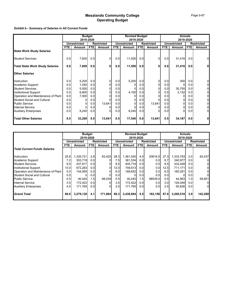### *Exhibit b - Summary of Salaries in All Current Funds*

|                                        | <b>Budget</b> |              |            | <b>Revised Budget</b> |                  |              |            | <b>Actuals</b>    |            |              |                  |                   |
|----------------------------------------|---------------|--------------|------------|-----------------------|------------------|--------------|------------|-------------------|------------|--------------|------------------|-------------------|
|                                        | 2019-2020     |              |            | 2019-2020             |                  |              |            | 2019-2020         |            |              |                  |                   |
|                                        |               | Unrestricted |            | <b>Restricted</b>     |                  | Unrestricted |            | <b>Restricted</b> |            | Unrestricted |                  | <b>Restricted</b> |
|                                        | <b>FTE</b>    | Amount       | <b>FTE</b> | Amount                | <b>FTE</b>       | Amount       | <b>FTE</b> | Amount            | <b>FTE</b> | Amount       | <b>FTE</b>       | Amount            |
| <b>State Work Study Salaries</b>       |               |              |            |                       |                  |              |            |                   |            |              |                  |                   |
| <b>Student Services</b>                | 0.0           | 7,600        | 0.0        |                       | 0.0              | 11,500       | 0.0        | 0                 | 0.0        | 31,416       | 0.0              | 01                |
| <b>Total State Work Study Salaries</b> | 0.0           | 7,600        | 0.0        | U                     | 0.0              | 11,500       | 0.0        | 0                 | 0.0        | 31,416       | 0.0              | ΟI                |
| <b>Other Salaries</b>                  |               |              |            |                       |                  |              |            |                   |            |              |                  |                   |
| Instruction                            | 0.0           | 5,200        | 0.0        |                       | 0.0              | 5,200        | 0.0        | 0                 | 0.0        | 300          | 0.0 <sub>l</sub> | $\overline{0}$    |
| Academic Support                       | 0.0           | 1,040        | 0.0        |                       | 0.0 <sub>l</sub> |              | 0.0        |                   | 0.0        |              | 0.0              | $\overline{0}$    |
| <b>Student Services</b>                | 0.0           | 5,000        | 0.0        |                       | 0.0              |              | 0.0        |                   | 0.0        | 30,755       | 0.0              | $\overline{0}$    |
| <b>Institutional Support</b>           | 0.5           | 6,800        | 0.0        |                       | 0.5              | 4,100        | 0.01       |                   | 0.5        | 3,132        | 0.0              | $\overline{0}$    |
| Operation and Maintenance of Plant     | 0.0           | 7,000        | 0.0        |                       | 0.0              |              | 0.0        |                   | 0.0        |              | 0.0              | $\overline{0}$    |
| <b>Student Social and Cultural</b>     | 0.0           |              | 0.0        |                       | 0.0              |              | 0.0        |                   | 0.0        |              | 0.0              | $\overline{0}$    |
| <b>Public Service</b>                  | 0.0           | 01           | 0.0        | 13,641                | 0.0              | 0            | 0.0        | 13,641            | 0.0        |              | 0.0              | $\overline{0}$    |
| <b>Internal Service</b>                | 0.0           |              | 0.0        |                       | 0.0              |              | 0.0        |                   | 0.0        | 0            | 0.0              | $\overline{0}$    |
| <b>Auxiliary Enterprises</b>           | 0.0           | 8,240        | 0.0        |                       | 0.0 <sub>l</sub> | 8,240        | 0.0        |                   | 0.0        | 0            | 0.0              | $\overline{0}$    |
| <b>Total Other Salaries</b>            | 0.5           | 33,280       | 0.0        | 13,641                | 0.5              | 17,540       | 0.0        | 13,641            | 0.5        | 34,187       | 0.0              | 0                 |

| <b>Budget</b><br>2019-2020          |              |           |     | <b>Revised Budget</b><br>2019-2020       |            |           |                   | <b>Actuals</b><br>2019-2020 |                     |           |                   |                |
|-------------------------------------|--------------|-----------|-----|------------------------------------------|------------|-----------|-------------------|-----------------------------|---------------------|-----------|-------------------|----------------|
|                                     | Unrestricted |           |     | <b>Restricted</b><br><b>Unrestricted</b> |            |           | <b>Restricted</b> |                             | <b>Unrestricted</b> |           | <b>Restricted</b> |                |
|                                     | <b>FTE</b>   | Amount    | FTE | Amount                                   | <b>FTE</b> | Amount    | FTE               | <b>Amount</b>               | FTE.                | Amount    | <b>FTE</b>        | Amount         |
| <b>Total Current Funds Salaries</b> |              |           |     |                                          |            |           |                   |                             |                     |           |                   |                |
| Instruction                         | 25.8         | 1,335,721 | 2.6 | 83,425                                   | 28.3       | 1,361,545 | 4.0               | 93616.5                     | 27.3                | 1,333,793 | 2.0               | 83,437         |
| Academic Support                    | 7.2          | 303,718   | 0.0 |                                          | 7.5        | 361,534   | 0.01              | 0.0                         | 6.7                 | 340,977   | 0.0 <sub>l</sub>  | 0              |
| <b>Student Services</b>             | 9.5          | 437.817   | 0.0 |                                          | 8.5        | 405,718   | 0.01              | 0.01                        | 8.5                 | 432.448   | 0.0               | 0              |
| Institutional Support               | 13.0         | 672,283   | 0.0 |                                          | 12.0       | 748,613   | 0.01              | 0.01                        | 12.5                | 711,171   | 0.0               | $\overline{0}$ |
| Operation and Maintenance of Plant  | 5.0          | 144,959   | 0.0 |                                          | 6.0        | 168,652   | 0.01              | 0.01                        | 6.0                 | 160.291   | 0.0               | $\overline{0}$ |
| <b>Student Social and Cultural</b>  | 0.0          |           | 0.0 |                                          | 0.0        |           | 0.01              | 0.01                        | 0.01                |           | 0.0               | 0              |
| <b>Public Service</b>               | 0.5          | 40.445    | 1.5 | 88,539                                   | 0.5        | 40.445    | 1.51              | 88539.0                     | 0.5                 | 44,963    | 1.0               | 58,851         |
| <b>Internal Service</b>             | 3.5          | 172,422   | 0.0 |                                          | 3.5        | 172,422   | 0.0               | 0.01                        | 3.0                 | 126,048   | 0.0               | $\overline{0}$ |
| <b>Auxiliary Enterprises</b>        | 4.5          | 171,765   | 0.0 |                                          | 2.0        | 171.765   | 0.01              | 0.01                        | 2.5                 | 50,826    | 0.0 <sub>l</sub>  | $\overline{0}$ |
| <b>Grand Total</b>                  | 69.0         | 3,279,130 | 4.1 | 171,964                                  | 68.3       | 3,430,694 | 5.5               | 182,156                     | 67.0                | 3,200,518 | 3.0               | 142,288        |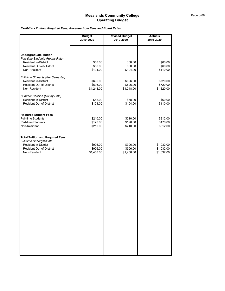### *Exhibit d - Tuition, Required Fees, Revenue from Fees and Board Rates*

|                                                                                                                                    | <b>Budget</b><br>2019-2020         | <b>Revised Budget</b><br>2019-2020 | <b>Actuals</b><br>2019-2020            |
|------------------------------------------------------------------------------------------------------------------------------------|------------------------------------|------------------------------------|----------------------------------------|
|                                                                                                                                    |                                    |                                    |                                        |
|                                                                                                                                    |                                    |                                    |                                        |
| <b>Undergraduate Tuition</b><br>Part-time Students (Hourly Rate)<br><b>Resident In-District</b><br><b>Resident Out-of-District</b> | \$58.00<br>\$58.00                 | \$58.00<br>\$58.00                 | \$60.00<br>\$60.00                     |
| Non-Resident                                                                                                                       | \$104.00                           | \$104.00                           | \$110.00                               |
| Full-time Students (Per Semester)<br><b>Resident In-District</b><br><b>Resident Out-of-District</b>                                | \$696.00<br>\$696.00               | \$696.00<br>\$696.00               | \$720.00<br>\$720.00                   |
| Non-Resident                                                                                                                       | \$1,248.00                         | \$1,248.00                         | \$1,320.00                             |
| Summer Session (Hourly Rate)<br><b>Resident In-District</b><br><b>Resident Out-of-District</b>                                     | \$58.00<br>\$104.00                | \$58.00<br>\$104.00                | \$60.00<br>\$110.00                    |
| <b>Required Student Fees</b>                                                                                                       |                                    |                                    |                                        |
| <b>Full-time Students</b><br>Part-time Students<br>Non-Resident                                                                    | \$210.00<br>\$120.00<br>\$210.00   | \$210.00<br>\$120.00<br>\$210.00   | \$312.00<br>\$176.00<br>\$312.00       |
| <b>Total Tuition and Required Fees</b><br>Full-time Undergraduate                                                                  |                                    |                                    |                                        |
| <b>Resident In-District</b><br><b>Resident Out-of-District</b><br>Non-Resident                                                     | \$906.00<br>\$906.00<br>\$1,458.00 | \$906.00<br>\$906.00<br>\$1,458.00 | \$1,032.00<br>\$1,032.00<br>\$1,632.00 |
|                                                                                                                                    |                                    |                                    |                                        |
|                                                                                                                                    |                                    |                                    |                                        |
|                                                                                                                                    |                                    |                                    |                                        |
|                                                                                                                                    |                                    |                                    |                                        |
|                                                                                                                                    |                                    |                                    |                                        |
|                                                                                                                                    |                                    |                                    |                                        |
|                                                                                                                                    |                                    |                                    |                                        |
|                                                                                                                                    |                                    |                                    |                                        |
|                                                                                                                                    |                                    |                                    |                                        |
|                                                                                                                                    |                                    |                                    |                                        |